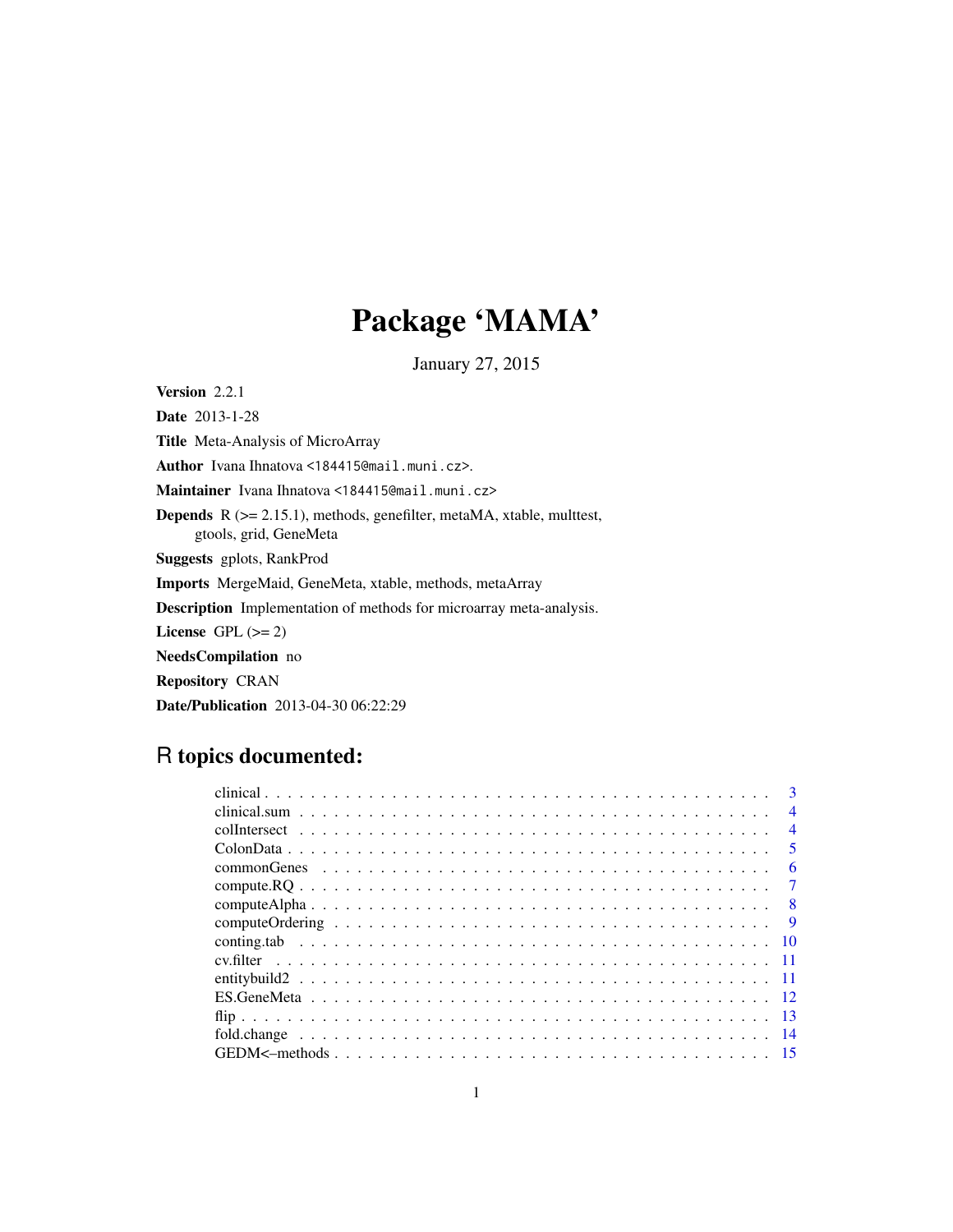## Package 'MAMA'

January 27, 2015

<span id="page-0-0"></span>Version 2.2.1

Date 2013-1-28 Title Meta-Analysis of MicroArray Author Ivana Ihnatova <184415@mail.muni.cz>. Maintainer Ivana Ihnatova <184415@mail.muni.cz> Depends R (>= 2.15.1), methods, genefilter, metaMA, xtable, multtest, gtools, grid, GeneMeta Suggests gplots, RankProd Imports MergeMaid, GeneMeta, xtable, methods, metaArray Description Implementation of methods for microarray meta-analysis. License GPL  $(>= 2)$ NeedsCompilation no Repository CRAN Date/Publication 2013-04-30 06:22:29

## R topics documented:

| $\overline{4}$          |
|-------------------------|
| $\overline{4}$          |
| $\overline{\mathbf{5}}$ |
| 6                       |
|                         |
| - 8                     |
| $\overline{Q}$          |
|                         |
|                         |
|                         |
|                         |
|                         |
|                         |
|                         |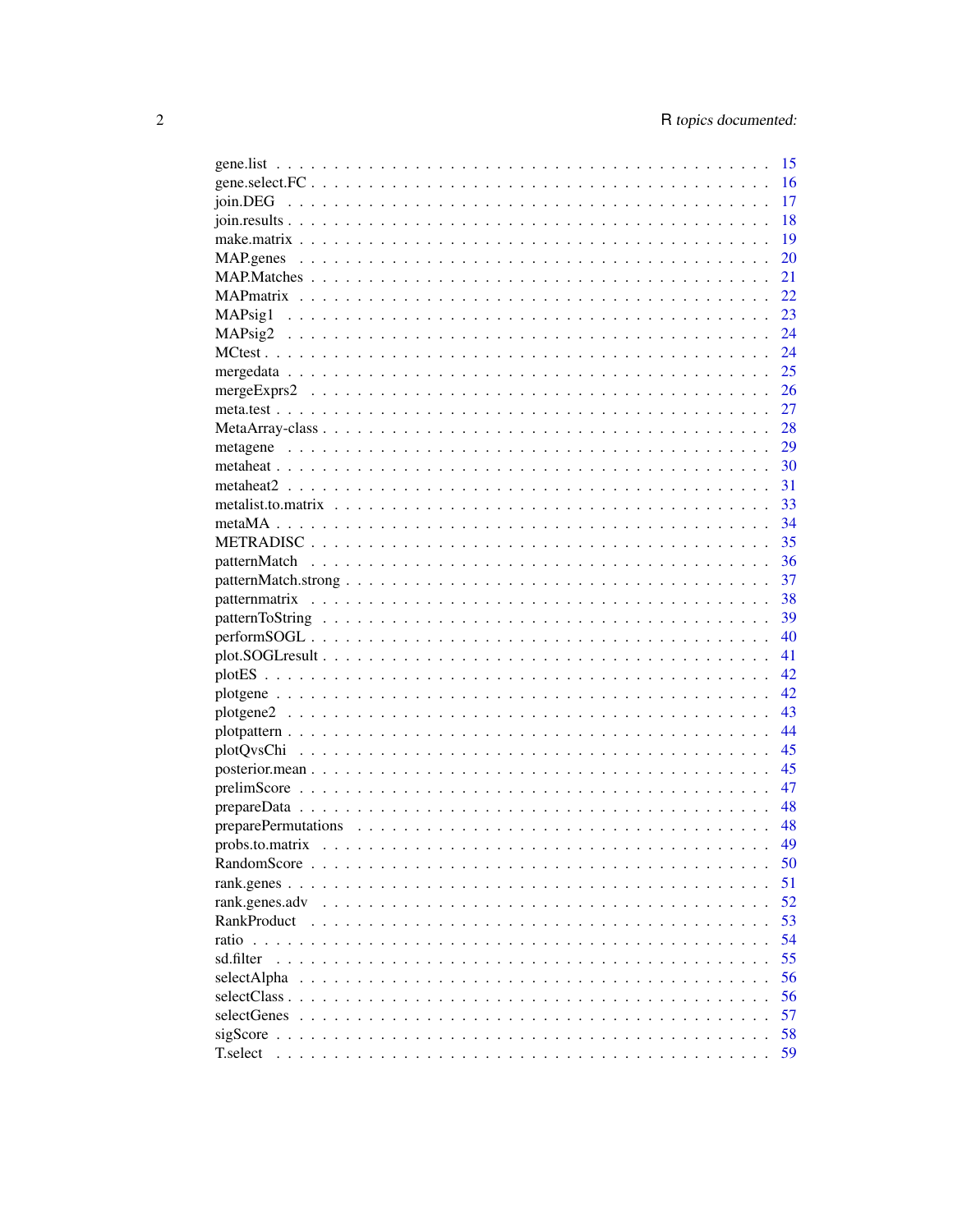|                | -15  |
|----------------|------|
|                | 16   |
|                | 17   |
|                | 18   |
|                | 19   |
|                | 20   |
|                | 21   |
|                | 22   |
|                | 23   |
|                | 24   |
|                | 24   |
|                | 25   |
|                | 26   |
|                | 27   |
|                |      |
|                |      |
|                |      |
|                |      |
|                |      |
|                |      |
|                | 35   |
|                | - 36 |
|                | 37   |
|                | - 38 |
|                | 39   |
|                | 40   |
|                | 41   |
|                | 42   |
|                | 42   |
|                | 43   |
|                | 44   |
|                |      |
|                |      |
|                | 47   |
|                | 48   |
|                | - 48 |
|                |      |
|                | 50   |
|                | 51   |
| rank.genes.adv | 52   |
| RankProduct    | 53   |
|                | 54   |
| sd filter      | 55   |
|                | 56   |
| selectAlpha    |      |
|                | 56   |
| selectGenes    | 57   |
|                | 58   |
| T.select       | 59   |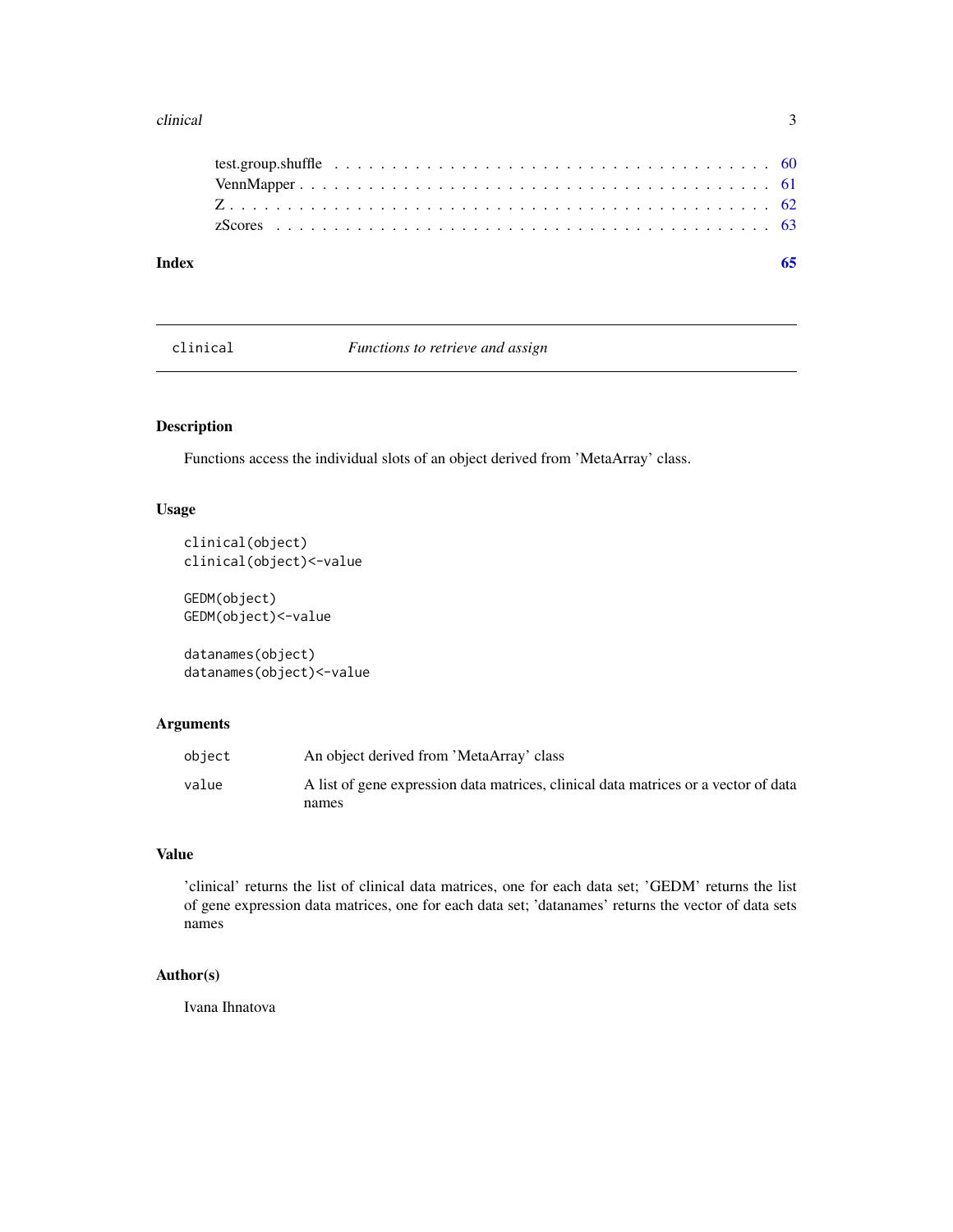#### <span id="page-2-0"></span>clinical 3

| Index |  |
|-------|--|
|       |  |
|       |  |
|       |  |
|       |  |

clinical *Functions to retrieve and assign*

### Description

Functions access the individual slots of an object derived from 'MetaArray' class.

### Usage

```
clinical(object)
clinical(object)<-value
```
GEDM(object) GEDM(object)<-value

datanames(object) datanames(object)<-value

### Arguments

| object | An object derived from 'MetaArray' class                                            |
|--------|-------------------------------------------------------------------------------------|
| value  | A list of gene expression data matrices, clinical data matrices or a vector of data |
|        | names                                                                               |

#### Value

'clinical' returns the list of clinical data matrices, one for each data set; 'GEDM' returns the list of gene expression data matrices, one for each data set; 'datanames' returns the vector of data sets names

### Author(s)

Ivana Ihnatova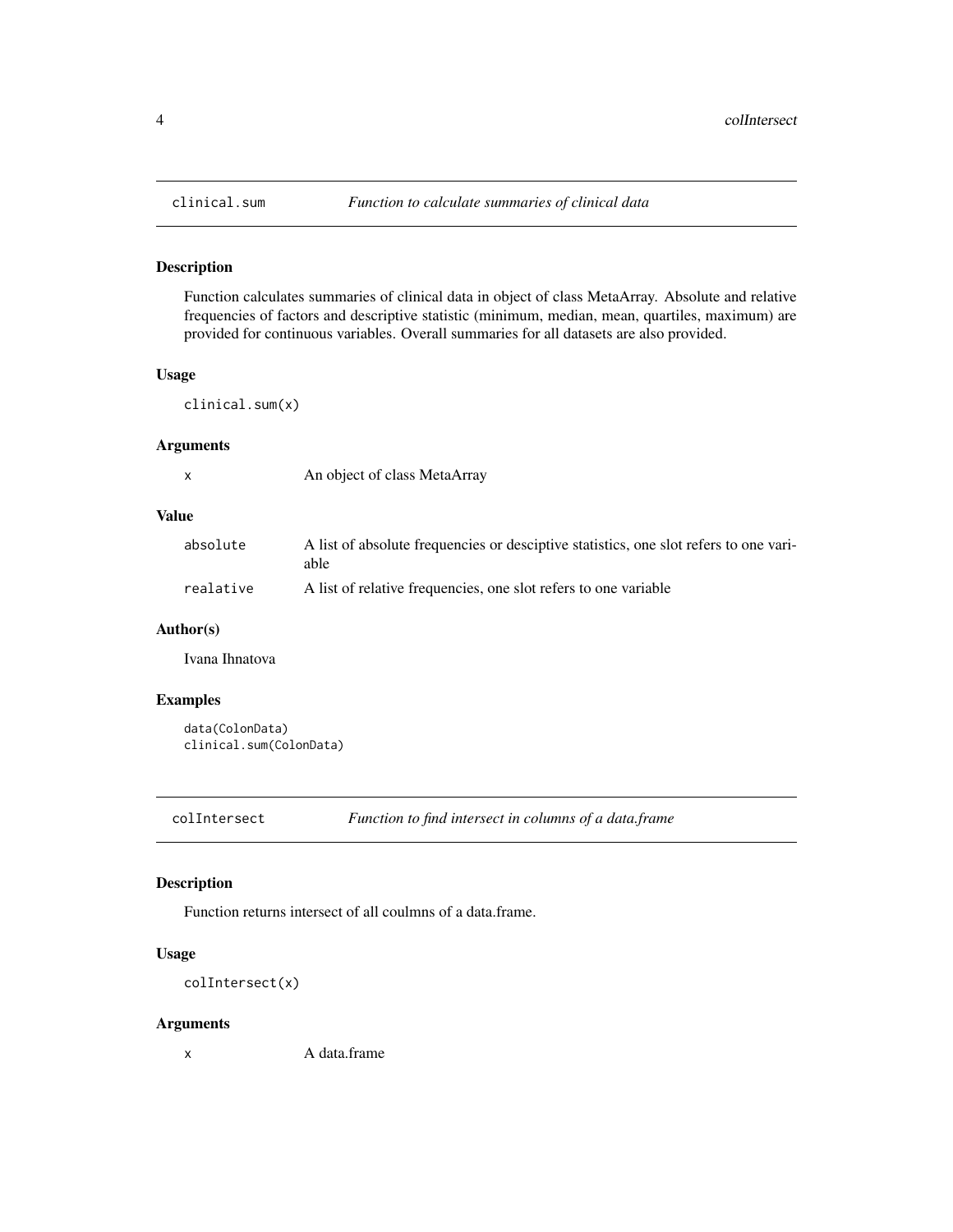Function calculates summaries of clinical data in object of class MetaArray. Absolute and relative frequencies of factors and descriptive statistic (minimum, median, mean, quartiles, maximum) are provided for continuous variables. Overall summaries for all datasets are also provided.

#### Usage

clinical.sum(x)

#### Arguments

|        | ٠ |
|--------|---|
| I<br>٦ |   |
|        |   |

An object of class MetaArray

#### Value

| absolute  | A list of absolute frequencies or desciptive statistics, one slot refers to one vari-<br>able |
|-----------|-----------------------------------------------------------------------------------------------|
| realative | A list of relative frequencies, one slot refers to one variable                               |

#### Author(s)

Ivana Ihnatova

### Examples

```
data(ColonData)
clinical.sum(ColonData)
```
colIntersect *Function to find intersect in columns of a data.frame*

### Description

Function returns intersect of all coulmns of a data.frame.

#### Usage

```
colIntersect(x)
```
#### Arguments

x A data.frame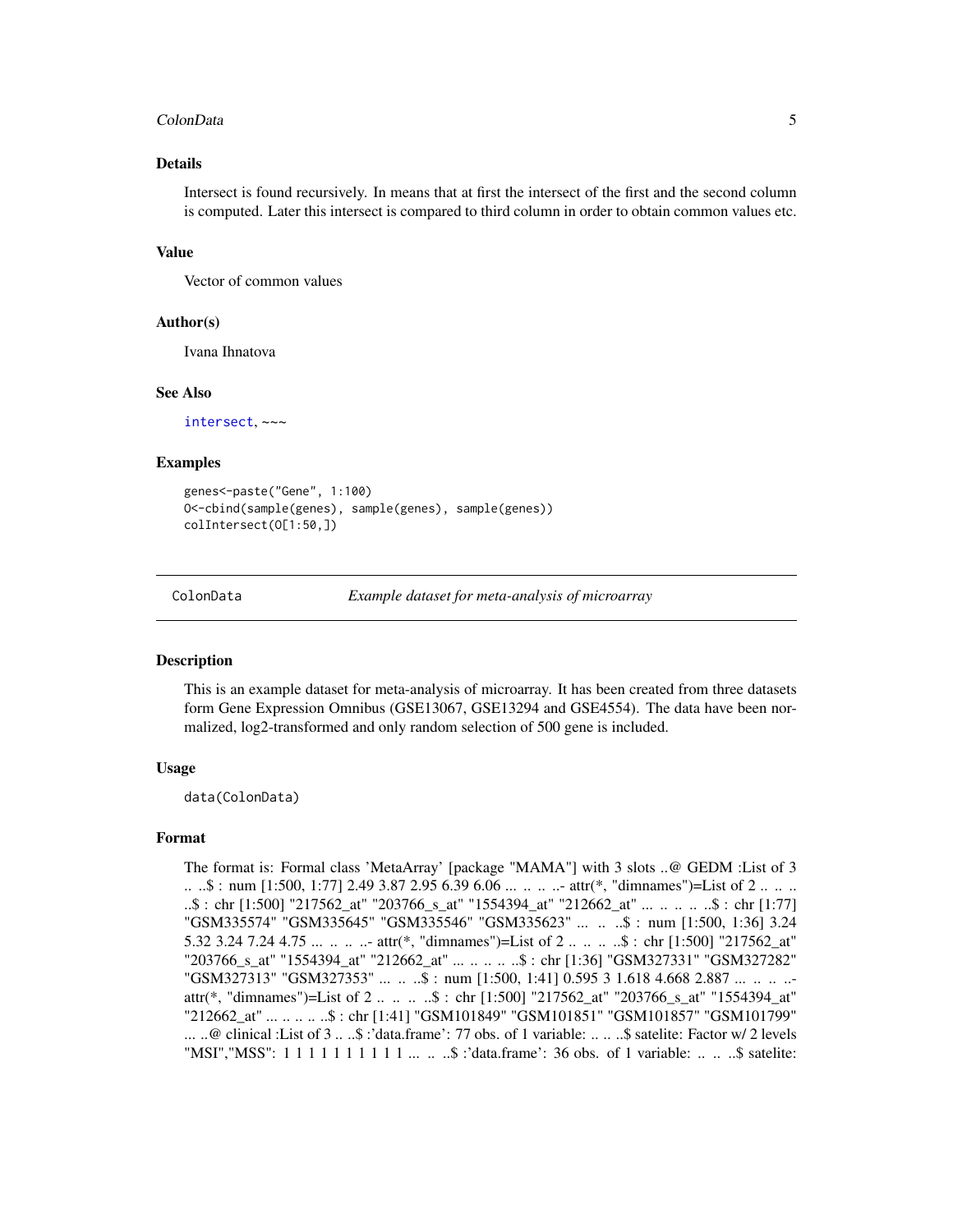#### <span id="page-4-0"></span>ColonData 5

#### Details

Intersect is found recursively. In means that at first the intersect of the first and the second column is computed. Later this intersect is compared to third column in order to obtain common values etc.

#### Value

Vector of common values

#### Author(s)

Ivana Ihnatova

#### See Also

[intersect](#page-0-0), ~~~

#### Examples

```
genes<-paste("Gene", 1:100)
O<-cbind(sample(genes), sample(genes), sample(genes))
colIntersect(O[1:50,])
```
ColonData *Example dataset for meta-analysis of microarray*

#### Description

This is an example dataset for meta-analysis of microarray. It has been created from three datasets form Gene Expression Omnibus (GSE13067, GSE13294 and GSE4554). The data have been normalized, log2-transformed and only random selection of 500 gene is included.

#### Usage

data(ColonData)

### Format

The format is: Formal class 'MetaArray' [package "MAMA"] with 3 slots ..@ GEDM :List of 3 .. ..\$ : num [1:500, 1:77] 2.49 3.87 2.95 6.39 6.06 ... .. .. ..- attr(\*, "dimnames")=List of 2 .. .. .. ..\$ : chr [1:500] "217562\_at" "203766\_s\_at" "1554394\_at" "212662\_at" ... .. .. .. ..\$ : chr [1:77] "GSM335574" "GSM335645" "GSM335546" "GSM335623" ... .. ..\$ : num [1:500, 1:36] 3.24 5.32 3.24 7.24 4.75 ... .. ... ... attr(\*, "dimnames")=List of 2 .. .. ... \$ : chr [1:500] "217562\_at" "203766\_s\_at" "1554394\_at" "212662\_at" ... .. .. .. ..\$ : chr [1:36] "GSM327331" "GSM327282" "GSM327313" "GSM327353" ... .. ..\$ : num [1:500, 1:41] 0.595 3 1.618 4.668 2.887 ... .. .. ... attr(\*, "dimnames")=List of 2 .. .. .. ..\$ : chr [1:500] "217562\_at" "203766\_s\_at" "1554394 at" "212662\_at" ... .. .. .. ..\$ : chr [1:41] "GSM101849" "GSM101851" "GSM101857" "GSM101799" ... ..@ clinical :List of 3 .. ..\$ :'data.frame': 77 obs. of 1 variable: .. .. ..\$ satelite: Factor w/ 2 levels "MSI", "MSS": 1 1 1 1 1 1 1 1 1 1 1 1 ... ... \$ :'data.frame': 36 obs. of 1 variable: .. ... \$ satelite: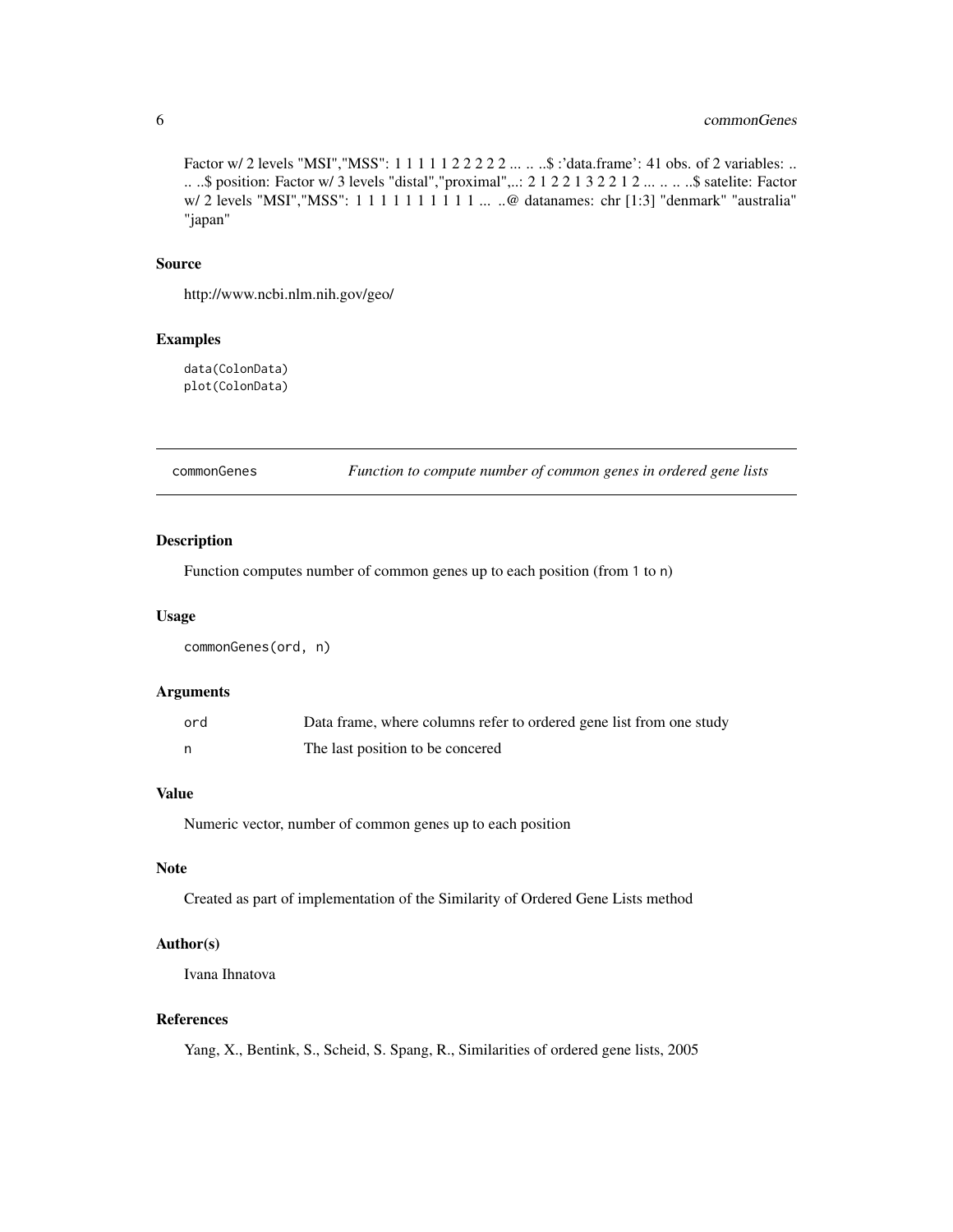### <span id="page-5-0"></span>6 commonGenes

Factor w/ 2 levels "MSI", "MSS": 1 1 1 1 1 2 2 2 2 2 ... .. ..\$ :'data.frame': 41 obs. of 2 variables: .. .. ..\$ position: Factor w/ 3 levels "distal","proximal",..: 2 1 2 2 1 3 2 2 1 2 ... .. .. ..\$ satelite: Factor w/ 2 levels "MSI", "MSS": 1 1 1 1 1 1 1 1 1 1 ... ..@ datanames: chr [1:3] "denmark" "australia" "japan"

### Source

http://www.ncbi.nlm.nih.gov/geo/

#### Examples

data(ColonData) plot(ColonData)

commonGenes *Function to compute number of common genes in ordered gene lists*

### Description

Function computes number of common genes up to each position (from 1 to n)

#### Usage

commonGenes(ord, n)

### Arguments

| ord | Data frame, where columns refer to ordered gene list from one study |
|-----|---------------------------------------------------------------------|
|     | The last position to be concered                                    |

#### Value

Numeric vector, number of common genes up to each position

### Note

Created as part of implementation of the Similarity of Ordered Gene Lists method

#### Author(s)

Ivana Ihnatova

### References

Yang, X., Bentink, S., Scheid, S. Spang, R., Similarities of ordered gene lists, 2005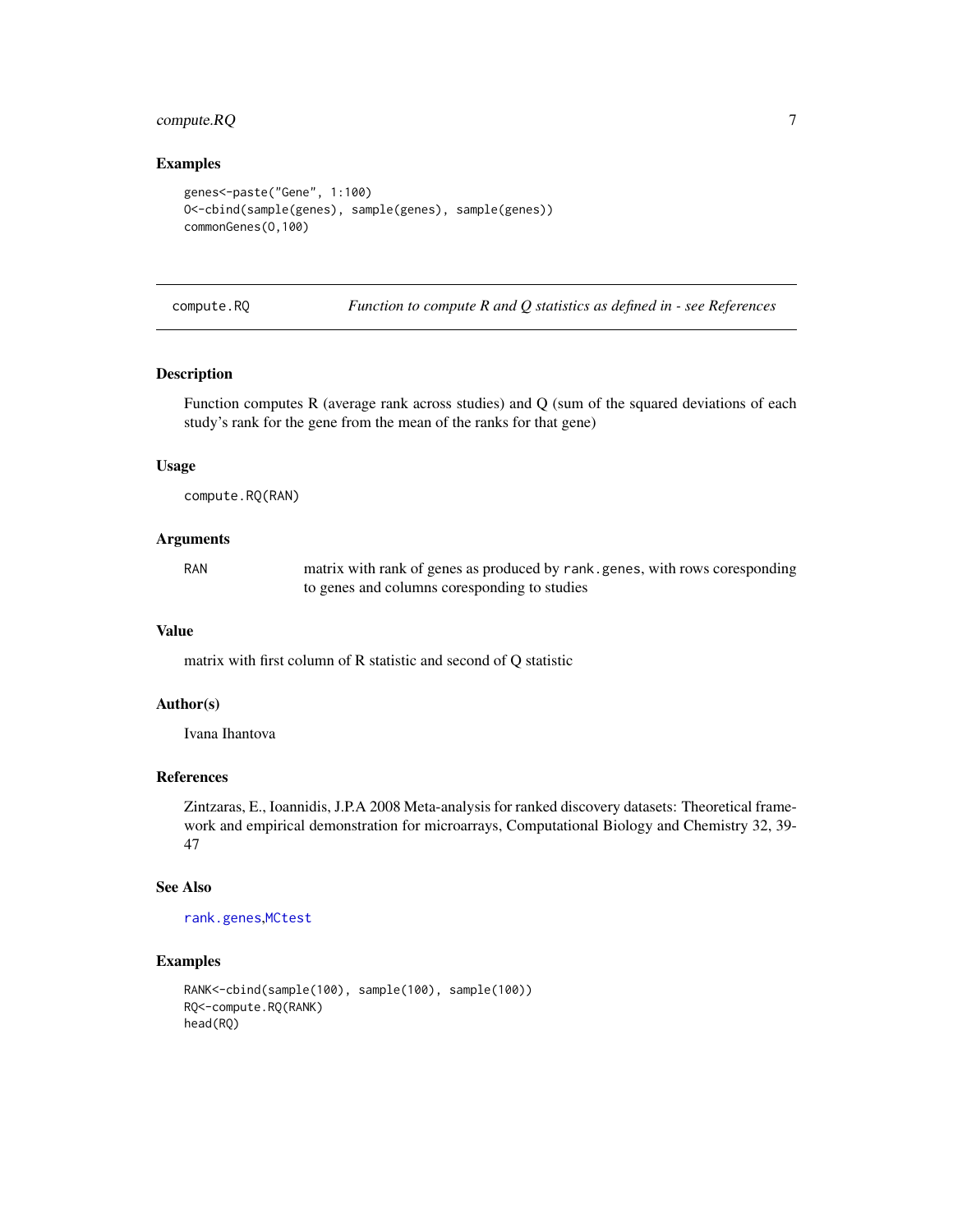### <span id="page-6-0"></span>compute.RQ 7

#### Examples

```
genes<-paste("Gene", 1:100)
O<-cbind(sample(genes), sample(genes), sample(genes))
commonGenes(O,100)
```
<span id="page-6-1"></span>compute.RQ *Function to compute R and Q statistics as defined in - see References*

#### Description

Function computes R (average rank across studies) and Q (sum of the squared deviations of each study's rank for the gene from the mean of the ranks for that gene)

#### Usage

compute.RQ(RAN)

### Arguments

RAN matrix with rank of genes as produced by rank.genes, with rows coresponding to genes and columns coresponding to studies

#### Value

matrix with first column of R statistic and second of Q statistic

### Author(s)

Ivana Ihantova

### References

Zintzaras, E., Ioannidis, J.P.A 2008 Meta-analysis for ranked discovery datasets: Theoretical framework and empirical demonstration for microarrays, Computational Biology and Chemistry 32, 39- 47

#### See Also

[rank.genes](#page-50-1),[MCtest](#page-23-1)

```
RANK<-cbind(sample(100), sample(100), sample(100))
RQ<-compute.RQ(RANK)
head(RQ)
```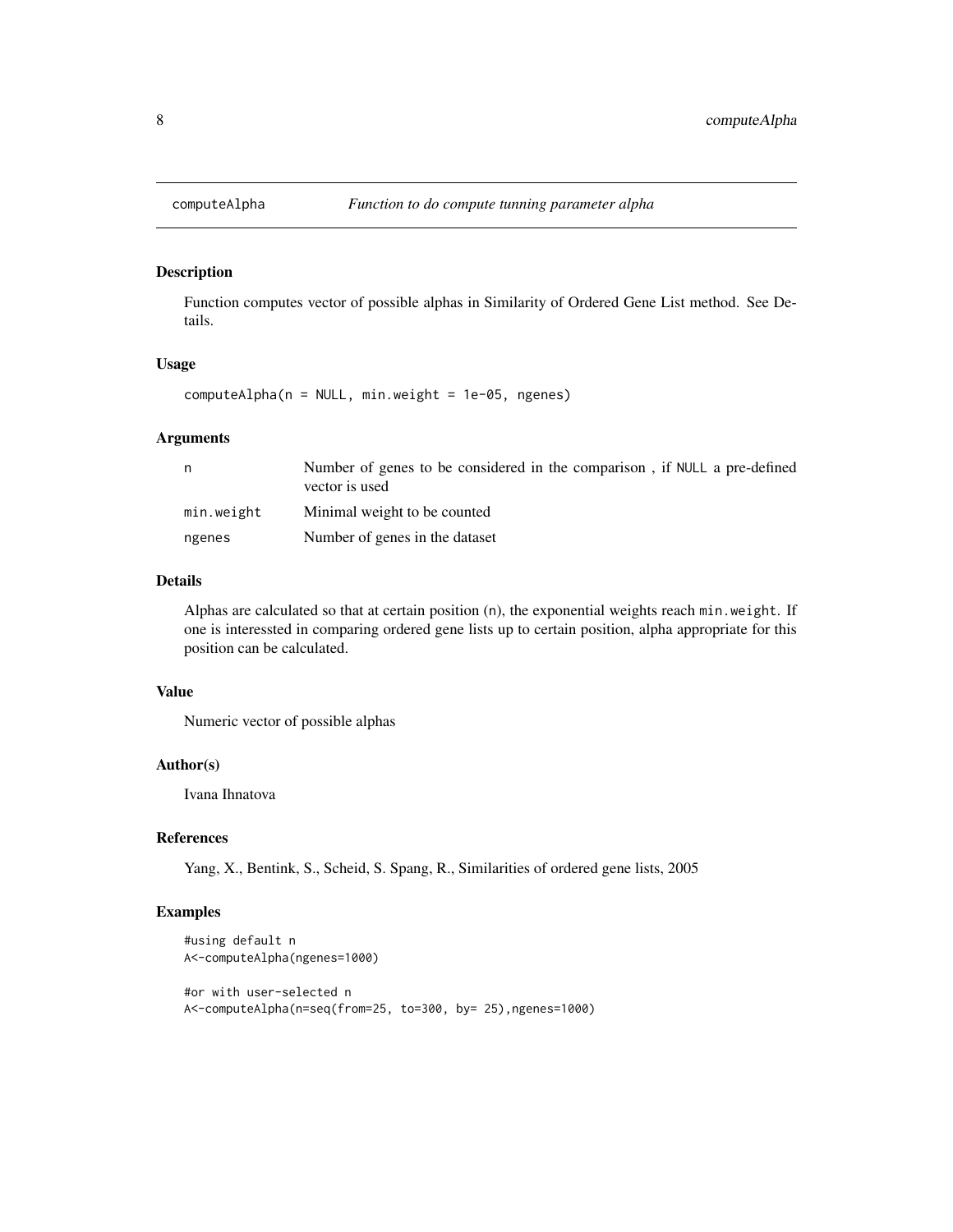<span id="page-7-0"></span>

Function computes vector of possible alphas in Similarity of Ordered Gene List method. See Details.

#### Usage

computeAlpha(n = NULL, min.weight = 1e-05, ngenes)

#### Arguments

| n          | Number of genes to be considered in the comparison, if NULL a pre-defined<br>vector is used |
|------------|---------------------------------------------------------------------------------------------|
| min.weight | Minimal weight to be counted                                                                |
| ngenes     | Number of genes in the dataset                                                              |

#### Details

Alphas are calculated so that at certain position (n), the exponential weights reach min.weight. If one is interessted in comparing ordered gene lists up to certain position, alpha appropriate for this position can be calculated.

#### Value

Numeric vector of possible alphas

### Author(s)

Ivana Ihnatova

#### References

Yang, X., Bentink, S., Scheid, S. Spang, R., Similarities of ordered gene lists, 2005

```
#using default n
A<-computeAlpha(ngenes=1000)
#or with user-selected n
A<-computeAlpha(n=seq(from=25, to=300, by= 25),ngenes=1000)
```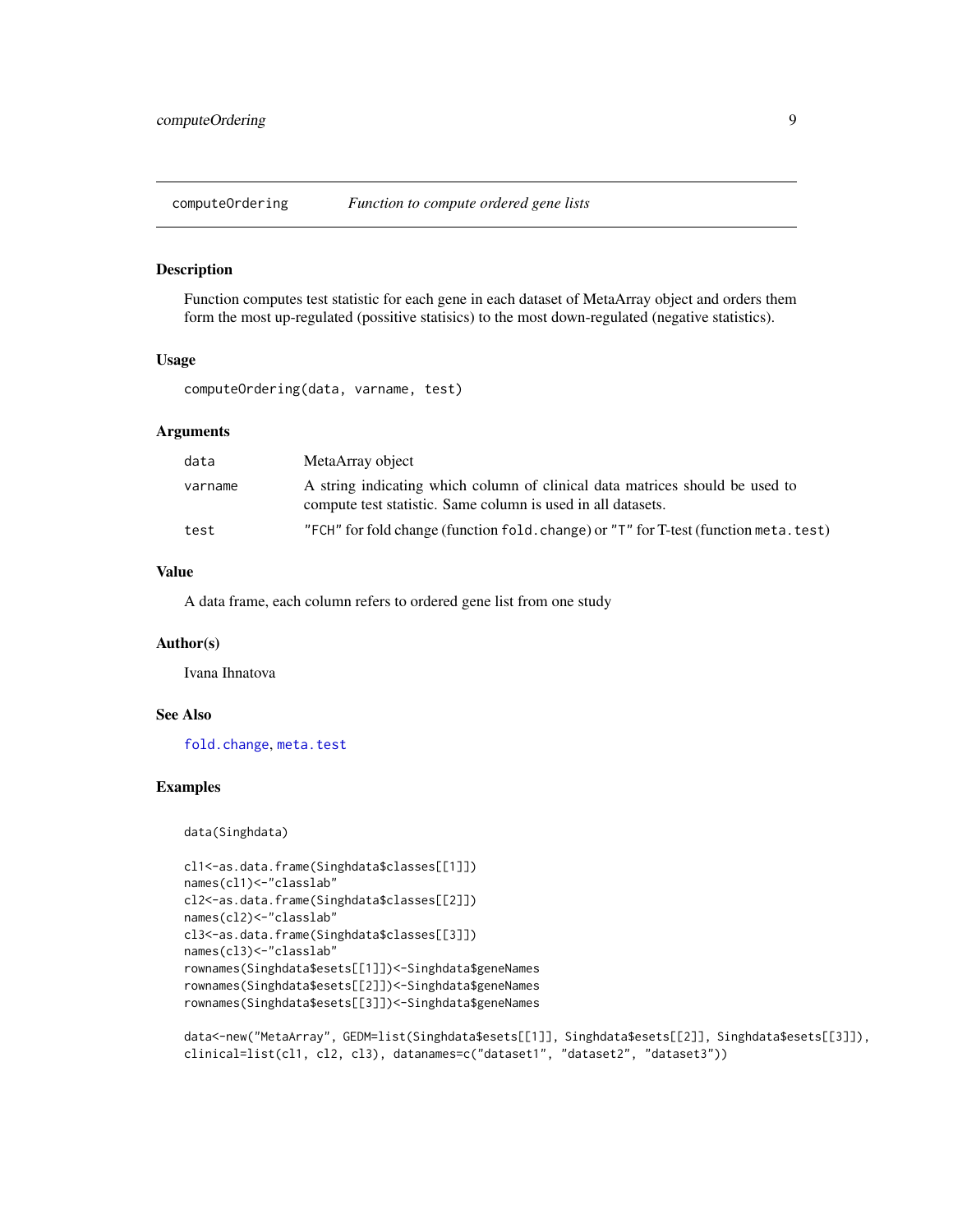<span id="page-8-0"></span>computeOrdering *Function to compute ordered gene lists*

#### Description

Function computes test statistic for each gene in each dataset of MetaArray object and orders them form the most up-regulated (possitive statisics) to the most down-regulated (negative statistics).

#### Usage

computeOrdering(data, varname, test)

#### Arguments

| data    | MetaArray object                                                                                                                             |
|---------|----------------------------------------------------------------------------------------------------------------------------------------------|
| varname | A string indicating which column of clinical data matrices should be used to<br>compute test statistic. Same column is used in all datasets. |
| test    | "FCH" for fold change (function fold, change) or "T" for T-test (function meta, test)"                                                       |

### Value

A data frame, each column refers to ordered gene list from one study

#### Author(s)

Ivana Ihnatova

#### See Also

[fold.change](#page-13-1), [meta.test](#page-26-1)

#### Examples

data(Singhdata)

```
cl1<-as.data.frame(Singhdata$classes[[1]])
names(cl1)<-"classlab"
cl2<-as.data.frame(Singhdata$classes[[2]])
names(cl2)<-"classlab"
cl3<-as.data.frame(Singhdata$classes[[3]])
names(cl3)<-"classlab"
rownames(Singhdata$esets[[1]])<-Singhdata$geneNames
rownames(Singhdata$esets[[2]])<-Singhdata$geneNames
rownames(Singhdata$esets[[3]])<-Singhdata$geneNames
```
data<-new("MetaArray", GEDM=list(Singhdata\$esets[[1]], Singhdata\$esets[[2]], Singhdata\$esets[[3]]), clinical=list(cl1, cl2, cl3), datanames=c("dataset1", "dataset2", "dataset3"))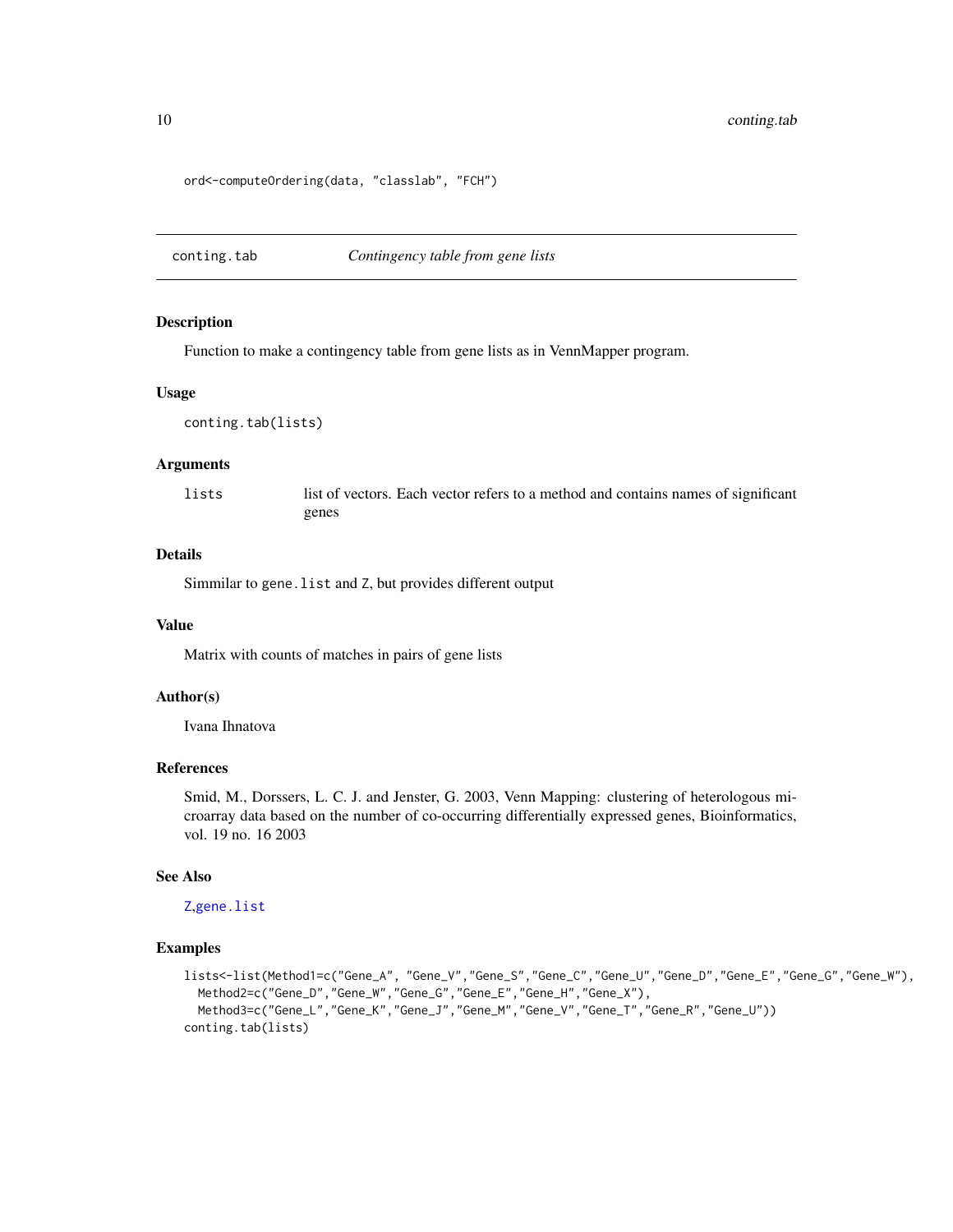ord<-computeOrdering(data, "classlab", "FCH")

<span id="page-9-1"></span>conting.tab *Contingency table from gene lists*

#### Description

Function to make a contingency table from gene lists as in VennMapper program.

#### Usage

```
conting.tab(lists)
```
#### Arguments

lists list of vectors. Each vector refers to a method and contains names of significant genes

#### Details

Simmilar to gene. list and Z, but provides different output

#### Value

Matrix with counts of matches in pairs of gene lists

#### Author(s)

Ivana Ihnatova

### References

Smid, M., Dorssers, L. C. J. and Jenster, G. 2003, Venn Mapping: clustering of heterologous microarray data based on the number of co-occurring differentially expressed genes, Bioinformatics, vol. 19 no. 16 2003

#### See Also

[Z](#page-61-1),[gene.list](#page-14-1)

```
lists<-list(Method1=c("Gene_A", "Gene_V","Gene_S","Gene_C","Gene_U","Gene_D","Gene_E","Gene_G","Gene_W"),
  Method2=c("Gene_D","Gene_W","Gene_G","Gene_E","Gene_H","Gene_X"),
 Method3=c("Gene_L","Gene_K","Gene_J","Gene_M","Gene_V","Gene_T","Gene_R","Gene_U"))
conting.tab(lists)
```
<span id="page-9-0"></span>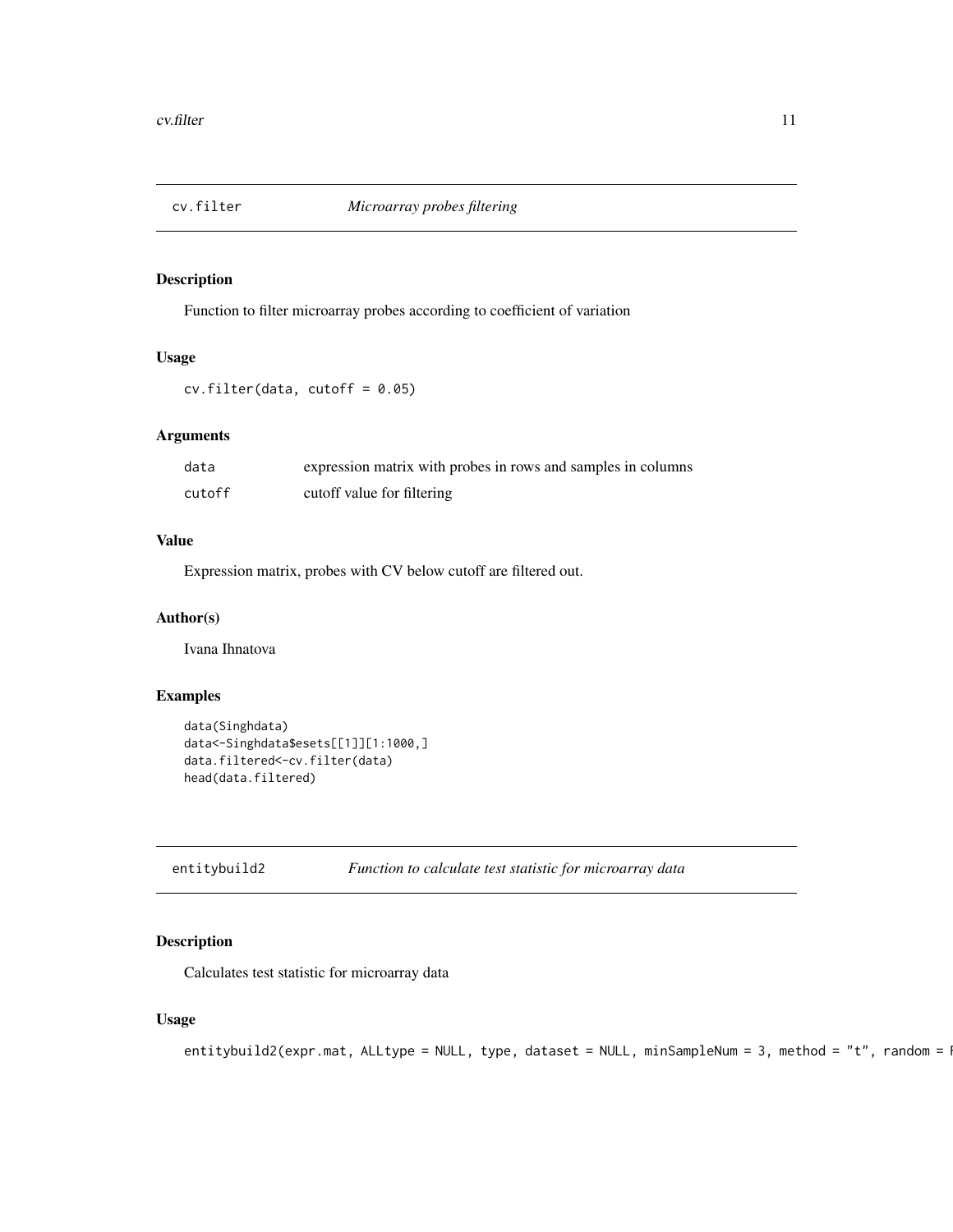<span id="page-10-0"></span>

Function to filter microarray probes according to coefficient of variation

### Usage

 $cv.filter(data, cutoff = 0.05)$ 

### Arguments

| data   | expression matrix with probes in rows and samples in columns |
|--------|--------------------------------------------------------------|
| cutoff | cutoff value for filtering                                   |

### Value

Expression matrix, probes with CV below cutoff are filtered out.

#### Author(s)

Ivana Ihnatova

### Examples

```
data(Singhdata)
data<-Singhdata$esets[[1]][1:1000,]
data.filtered<-cv.filter(data)
head(data.filtered)
```
<span id="page-10-1"></span>

entitybuild2 *Function to calculate test statistic for microarray data*

### Description

Calculates test statistic for microarray data

### Usage

```
entitybuild2(expr.mat, ALLtype = NULL, type, dataset = NULL, minSampleNum = 3, method = "t", random = \sqrt{2}
```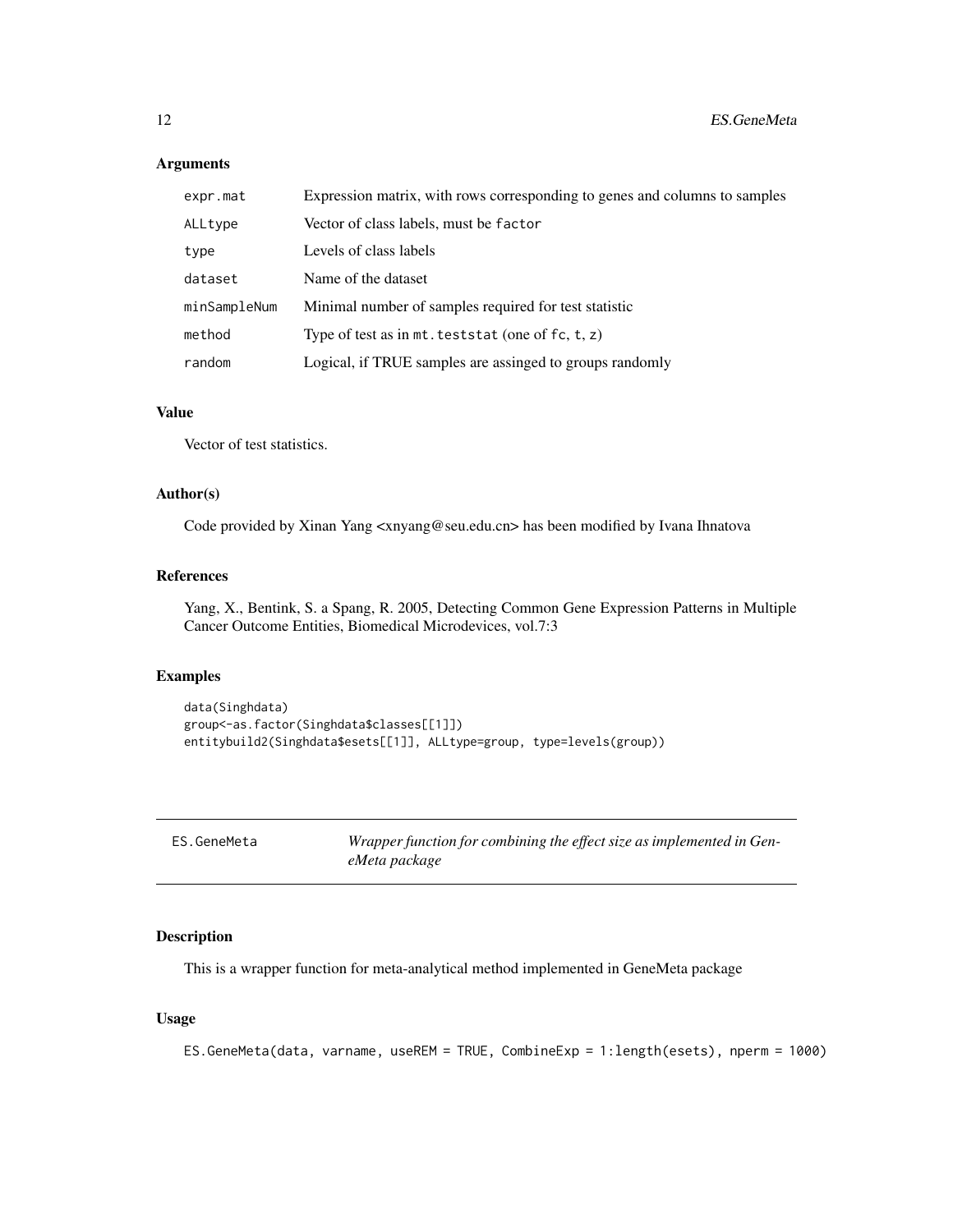<span id="page-11-0"></span>

| expr.mat     | Expression matrix, with rows corresponding to genes and columns to samples |
|--------------|----------------------------------------------------------------------------|
| ALLtype      | Vector of class labels, must be factor                                     |
| type         | Levels of class labels                                                     |
| dataset      | Name of the dataset                                                        |
| minSampleNum | Minimal number of samples required for test statistic                      |
| method       | Type of test as in $mt.$ teststat (one of $fc, t, z$ )                     |
| random       | Logical, if TRUE samples are assinged to groups randomly                   |

### Value

Vector of test statistics.

### Author(s)

Code provided by Xinan Yang <xnyang@seu.edu.cn> has been modified by Ivana Ihnatova

### References

Yang, X., Bentink, S. a Spang, R. 2005, Detecting Common Gene Expression Patterns in Multiple Cancer Outcome Entities, Biomedical Microdevices, vol.7:3

### Examples

```
data(Singhdata)
group<-as.factor(Singhdata$classes[[1]])
entitybuild2(Singhdata$esets[[1]], ALLtype=group, type=levels(group))
```

| ES.GeneMeta | Wrapper function for combining the effect size as implemented in Gen- |
|-------------|-----------------------------------------------------------------------|
|             | eMeta package                                                         |

### Description

This is a wrapper function for meta-analytical method implemented in GeneMeta package

### Usage

```
ES.GeneMeta(data, varname, useREM = TRUE, CombineExp = 1:length(esets), nperm = 1000)
```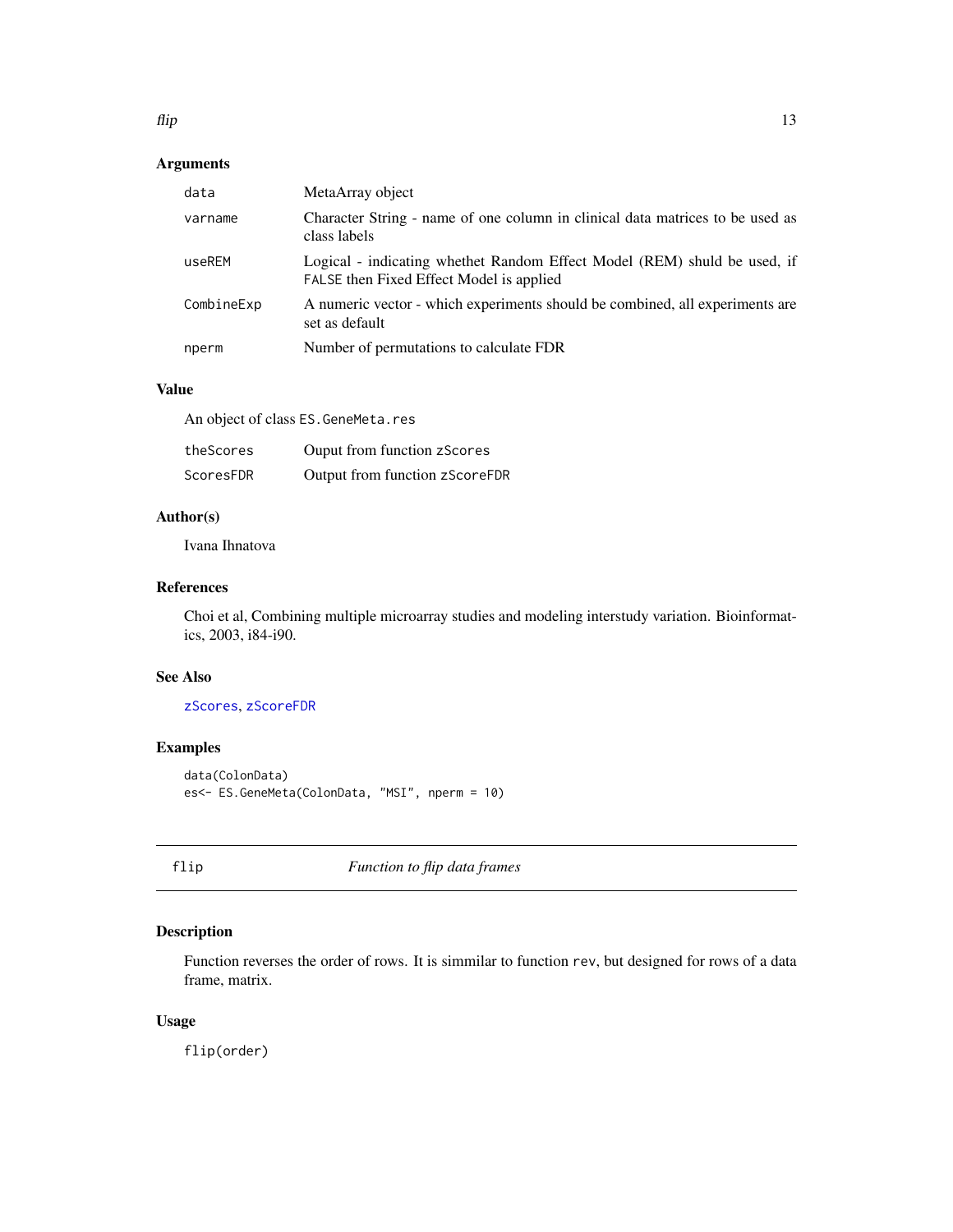<span id="page-12-0"></span>

| data       | MetaArray object                                                                                                     |
|------------|----------------------------------------------------------------------------------------------------------------------|
| varname    | Character String - name of one column in clinical data matrices to be used as<br>class labels                        |
| useREM     | Logical - indicating whethet Random Effect Model (REM) shuld be used, if<br>FALSE then Fixed Effect Model is applied |
| CombineExp | A numeric vector - which experiments should be combined, all experiments are<br>set as default                       |
| nperm      | Number of permutations to calculate FDR                                                                              |

### Value

An object of class ES.GeneMeta.res

| theScores | Ouput from function zScores    |
|-----------|--------------------------------|
| ScoresFDR | Output from function zScoreFDR |

### Author(s)

Ivana Ihnatova

### References

Choi et al, Combining multiple microarray studies and modeling interstudy variation. Bioinformatics, 2003, i84-i90.

#### See Also

#### [zScores](#page-62-1), [zScoreFDR](#page-62-2)

### Examples

```
data(ColonData)
es<- ES.GeneMeta(ColonData, "MSI", nperm = 10)
```
flip *Function to flip data frames*

### Description

Function reverses the order of rows. It is simmilar to function rev, but designed for rows of a data frame, matrix.

### Usage

flip(order)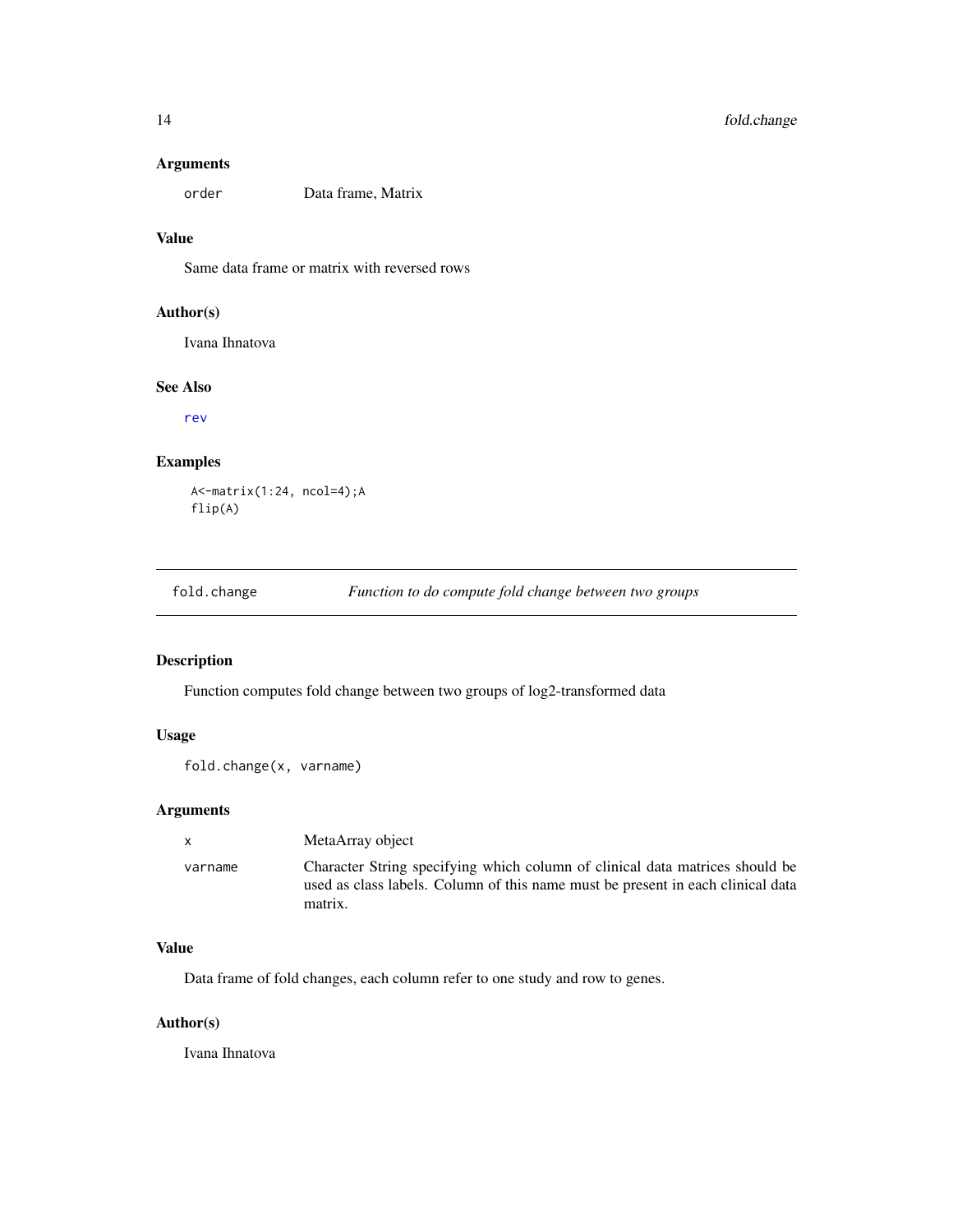<span id="page-13-0"></span>order Data frame, Matrix

### Value

Same data frame or matrix with reversed rows

#### Author(s)

Ivana Ihnatova

#### See Also

[rev](#page-0-0)

### Examples

```
A<-matrix(1:24, ncol=4);A
flip(A)
```
<span id="page-13-1"></span>

| fold.change | Function to do compute fold change between two groups |
|-------------|-------------------------------------------------------|
|             |                                                       |

### Description

Function computes fold change between two groups of log2-transformed data

### Usage

```
fold.change(x, varname)
```
### Arguments

| $\mathsf{x}$ | MetaArray object                                                                                                                                                           |
|--------------|----------------------------------------------------------------------------------------------------------------------------------------------------------------------------|
| varname      | Character String specifying which column of clinical data matrices should be<br>used as class labels. Column of this name must be present in each clinical data<br>matrix. |

### Value

Data frame of fold changes, each column refer to one study and row to genes.

#### Author(s)

Ivana Ihnatova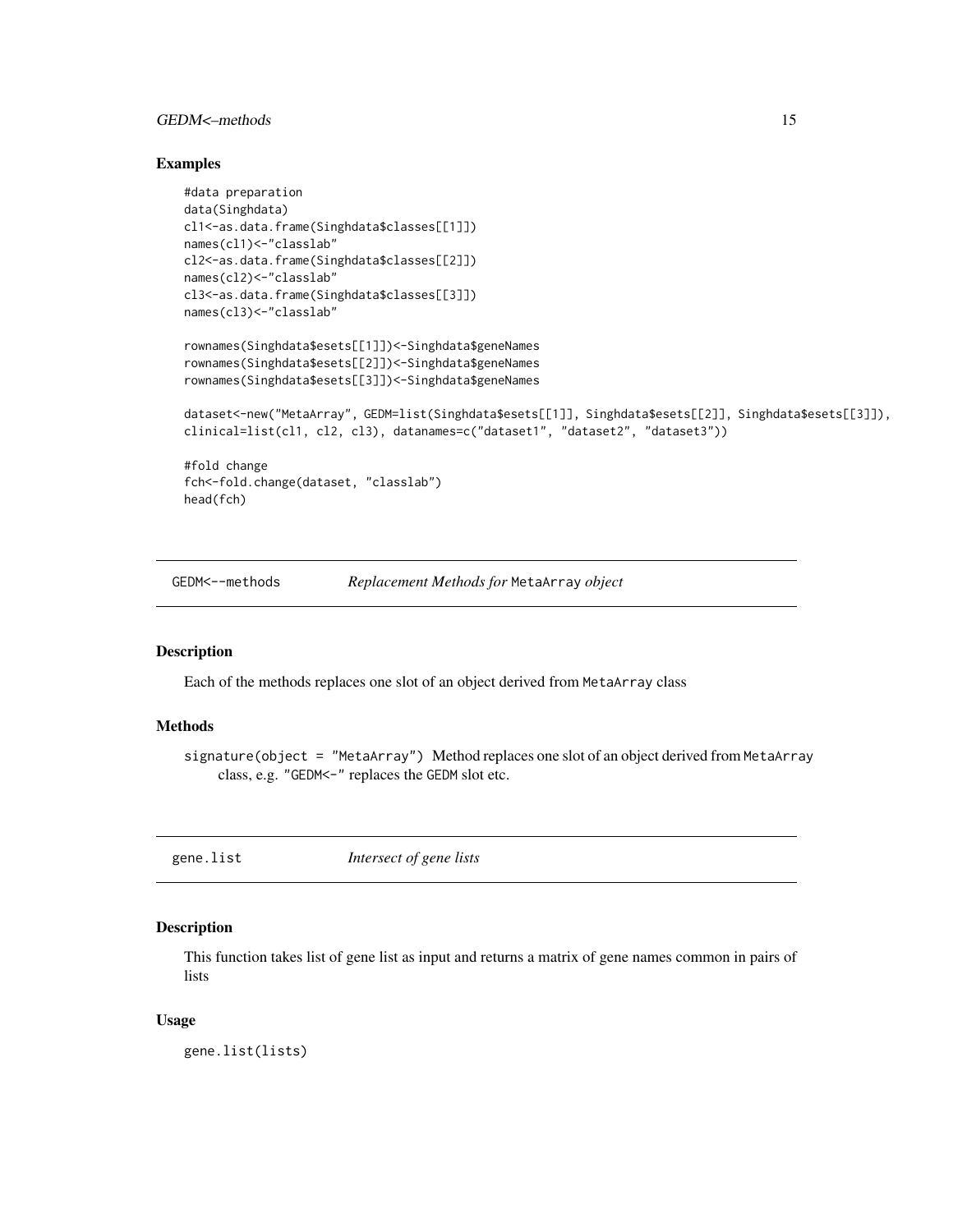### <span id="page-14-0"></span>GEDM<–methods 15

#### Examples

```
#data preparation
data(Singhdata)
cl1<-as.data.frame(Singhdata$classes[[1]])
names(cl1)<-"classlab"
cl2<-as.data.frame(Singhdata$classes[[2]])
names(cl2)<-"classlab"
cl3<-as.data.frame(Singhdata$classes[[3]])
names(cl3)<-"classlab"
rownames(Singhdata$esets[[1]])<-Singhdata$geneNames
rownames(Singhdata$esets[[2]])<-Singhdata$geneNames
rownames(Singhdata$esets[[3]])<-Singhdata$geneNames
dataset<-new("MetaArray", GEDM=list(Singhdata$esets[[1]], Singhdata$esets[[2]], Singhdata$esets[[3]]),
clinical=list(cl1, cl2, cl3), datanames=c("dataset1", "dataset2", "dataset3"))
#fold change
fch<-fold.change(dataset, "classlab")
head(fch)
```
GEDM<--methods *Replacement Methods for* MetaArray *object*

#### Description

Each of the methods replaces one slot of an object derived from MetaArray class

#### Methods

signature(object = "MetaArray") Method replaces one slot of an object derived from MetaArray class, e.g. "GEDM<-" replaces the GEDM slot etc.

<span id="page-14-1"></span>gene.list *Intersect of gene lists*

#### Description

This function takes list of gene list as input and returns a matrix of gene names common in pairs of lists

#### Usage

gene.list(lists)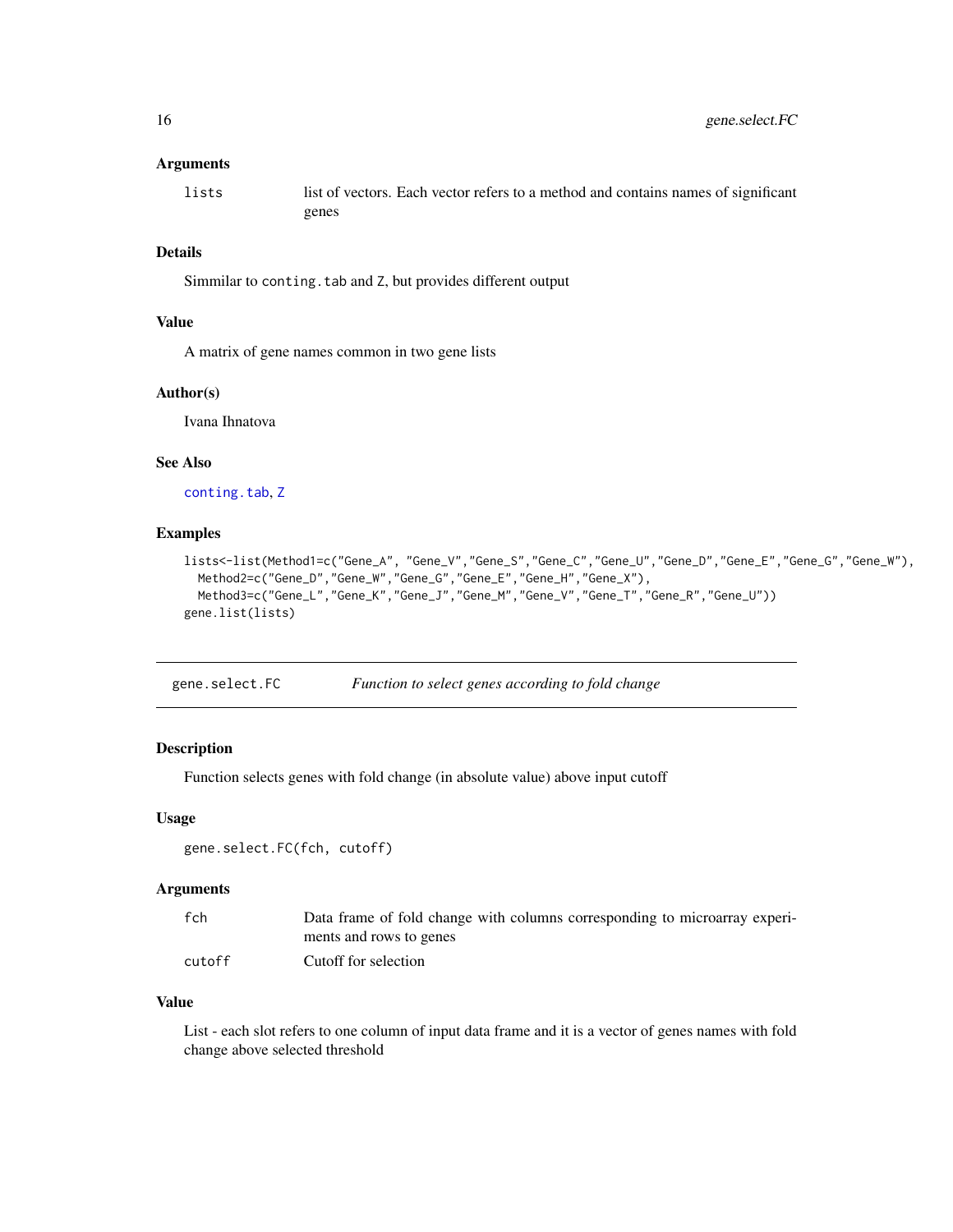<span id="page-15-0"></span>lists list of vectors. Each vector refers to a method and contains names of significant genes

#### Details

Simmilar to conting.tab and Z, but provides different output

#### Value

A matrix of gene names common in two gene lists

#### Author(s)

Ivana Ihnatova

#### See Also

[conting.tab](#page-9-1), [Z](#page-61-1)

#### Examples

```
lists<-list(Method1=c("Gene_A", "Gene_V","Gene_S","Gene_C","Gene_U","Gene_D","Gene_E","Gene_G","Gene_W"),
  Method2=c("Gene_D","Gene_W","Gene_G","Gene_E","Gene_H","Gene_X"),
  Method3=c("Gene_L","Gene_K","Gene_J","Gene_M","Gene_V","Gene_T","Gene_R","Gene_U"))
gene.list(lists)
```

|  | gene.select.FC |  | Function to select genes according to fold change |
|--|----------------|--|---------------------------------------------------|
|--|----------------|--|---------------------------------------------------|

#### Description

Function selects genes with fold change (in absolute value) above input cutoff

#### Usage

```
gene.select.FC(fch, cutoff)
```
#### Arguments

| fch    | Data frame of fold change with columns corresponding to microarray experi- |
|--------|----------------------------------------------------------------------------|
|        | ments and rows to genes                                                    |
| cutoff | Cutoff for selection                                                       |

### Value

List - each slot refers to one column of input data frame and it is a vector of genes names with fold change above selected threshold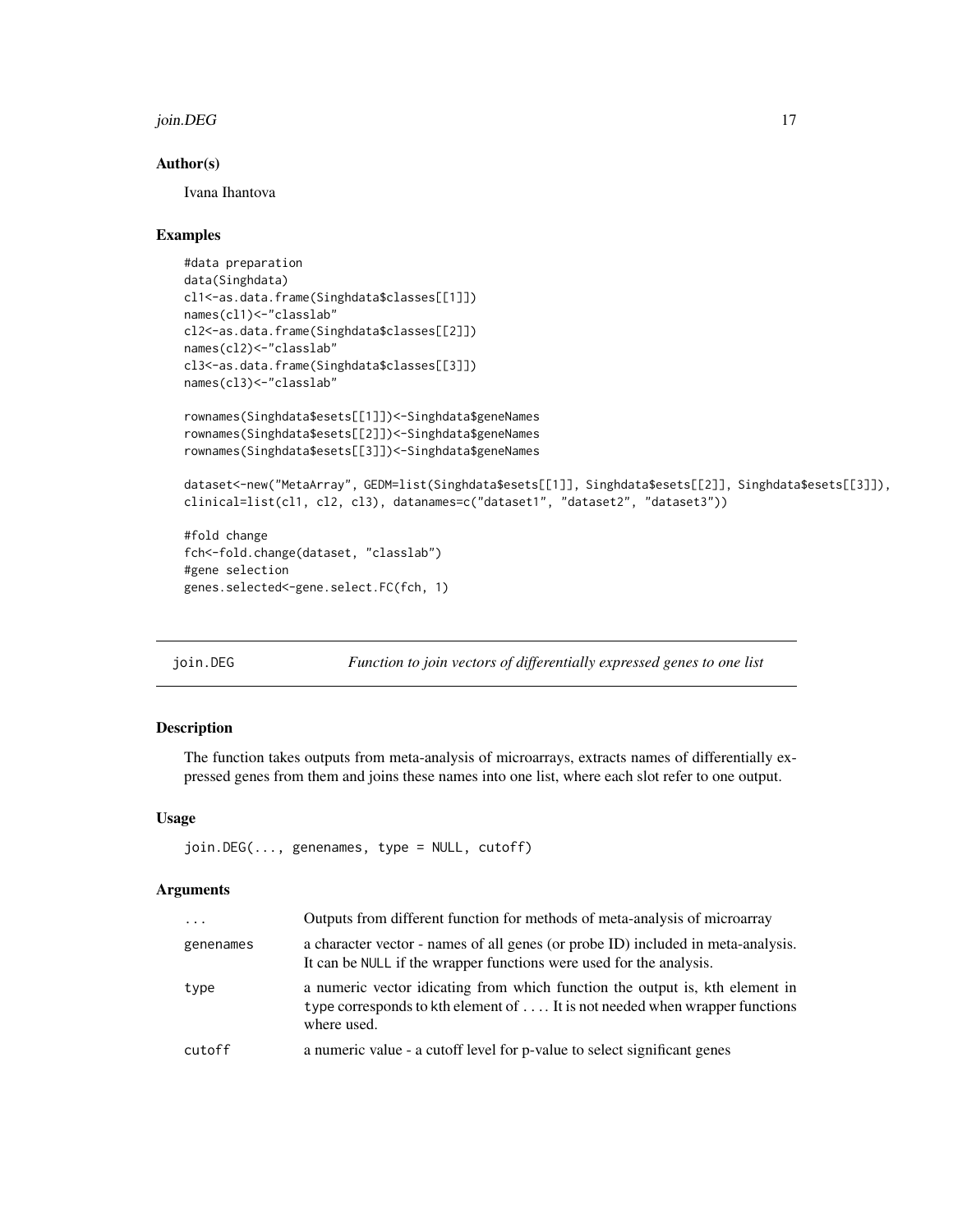#### <span id="page-16-0"></span>join. DEG  $17$

#### Author(s)

Ivana Ihantova

#### Examples

```
#data preparation
data(Singhdata)
cl1<-as.data.frame(Singhdata$classes[[1]])
names(cl1)<-"classlab"
cl2<-as.data.frame(Singhdata$classes[[2]])
names(cl2)<-"classlab"
cl3<-as.data.frame(Singhdata$classes[[3]])
names(cl3)<-"classlab"
```

```
rownames(Singhdata$esets[[1]])<-Singhdata$geneNames
rownames(Singhdata$esets[[2]])<-Singhdata$geneNames
rownames(Singhdata$esets[[3]])<-Singhdata$geneNames
```

```
dataset<-new("MetaArray", GEDM=list(Singhdata$esets[[1]], Singhdata$esets[[2]], Singhdata$esets[[3]]),
clinical=list(cl1, cl2, cl3), datanames=c("dataset1", "dataset2", "dataset3"))
```
#fold change fch<-fold.change(dataset, "classlab") #gene selection genes.selected<-gene.select.FC(fch, 1)

join.DEG *Function to join vectors of differentially expressed genes to one list*

### Description

The function takes outputs from meta-analysis of microarrays, extracts names of differentially expressed genes from them and joins these names into one list, where each slot refer to one output.

#### Usage

```
join.DEG(..., genenames, type = NULL, cutoff)
```
#### Arguments

| $\cdot \cdot \cdot$ | Outputs from different function for methods of meta-analysis of microarray                                                                                                 |
|---------------------|----------------------------------------------------------------------------------------------------------------------------------------------------------------------------|
| genenames           | a character vector - names of all genes (or probe ID) included in meta-analysis.<br>It can be NULL if the wrapper functions were used for the analysis.                    |
| type                | a numeric vector idicating from which function the output is, kth element in<br>type corresponds to kth element of  It is not needed when wrapper functions<br>where used. |
| cutoff              | a numeric value - a cutoff level for p-value to select significant genes                                                                                                   |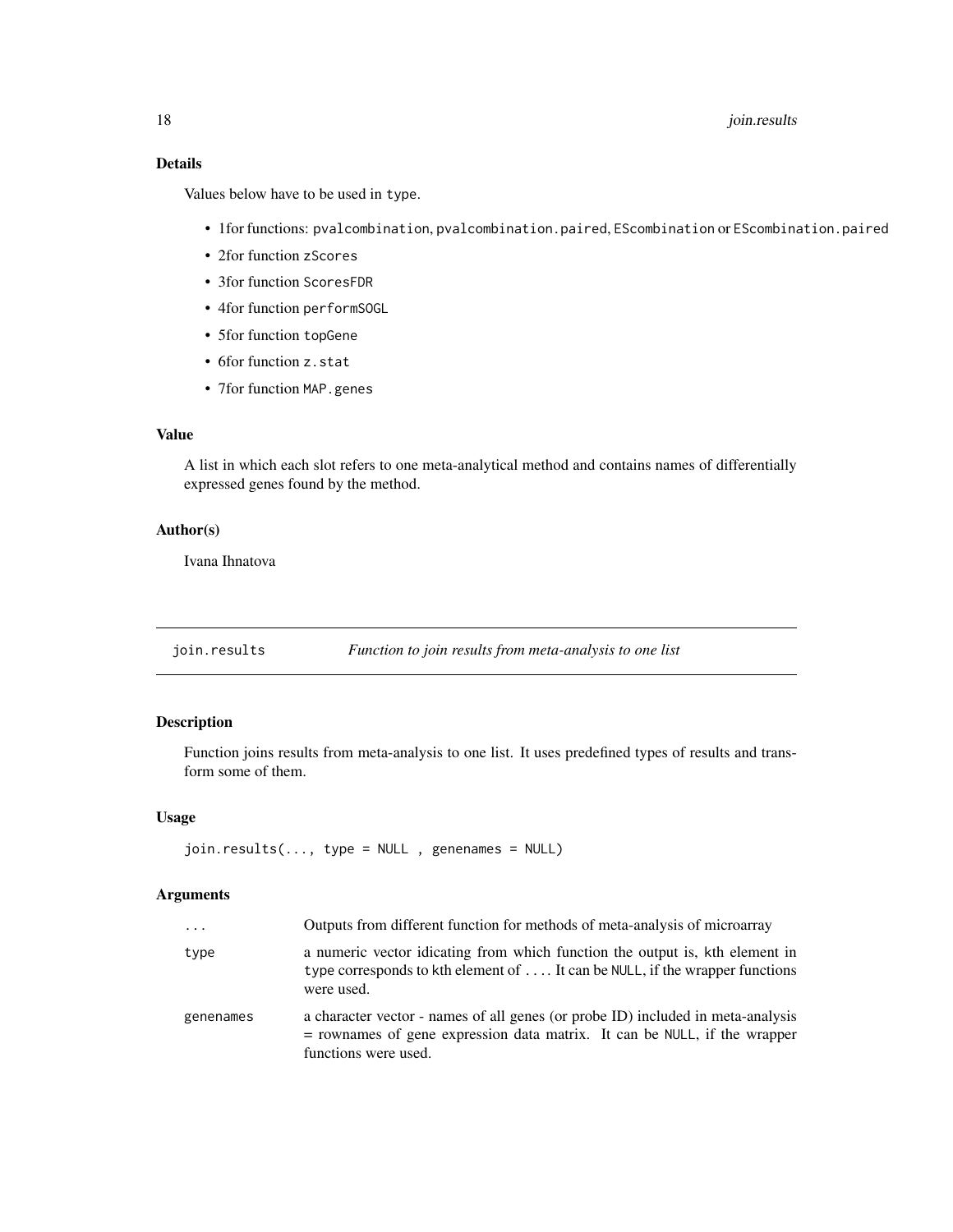### <span id="page-17-0"></span>18 *join.results*

### Details

Values below have to be used in type.

- 1for functions: pvalcombination, pvalcombination.paired, EScombination or EScombination.paired
- 2for function zScores
- 3for function ScoresFDR
- 4for function performSOGL
- 5for function topGene
- 6for function z.stat
- 7for function MAP.genes

### Value

A list in which each slot refers to one meta-analytical method and contains names of differentially expressed genes found by the method.

### Author(s)

Ivana Ihnatova

join.results *Function to join results from meta-analysis to one list*

### Description

Function joins results from meta-analysis to one list. It uses predefined types of results and transform some of them.

### Usage

join.results(..., type = NULL , genenames = NULL)

#### Arguments

| $\cdots$  | Outputs from different function for methods of meta-analysis of microarray                                                                                                             |
|-----------|----------------------------------------------------------------------------------------------------------------------------------------------------------------------------------------|
| type      | a numeric vector idicating from which function the output is, kth element in<br>type corresponds to kth element of  It can be NULL, if the wrapper functions<br>were used.             |
| genenames | a character vector - names of all genes (or probe ID) included in meta-analysis<br>$=$ rownames of gene expression data matrix. It can be NULL, if the wrapper<br>functions were used. |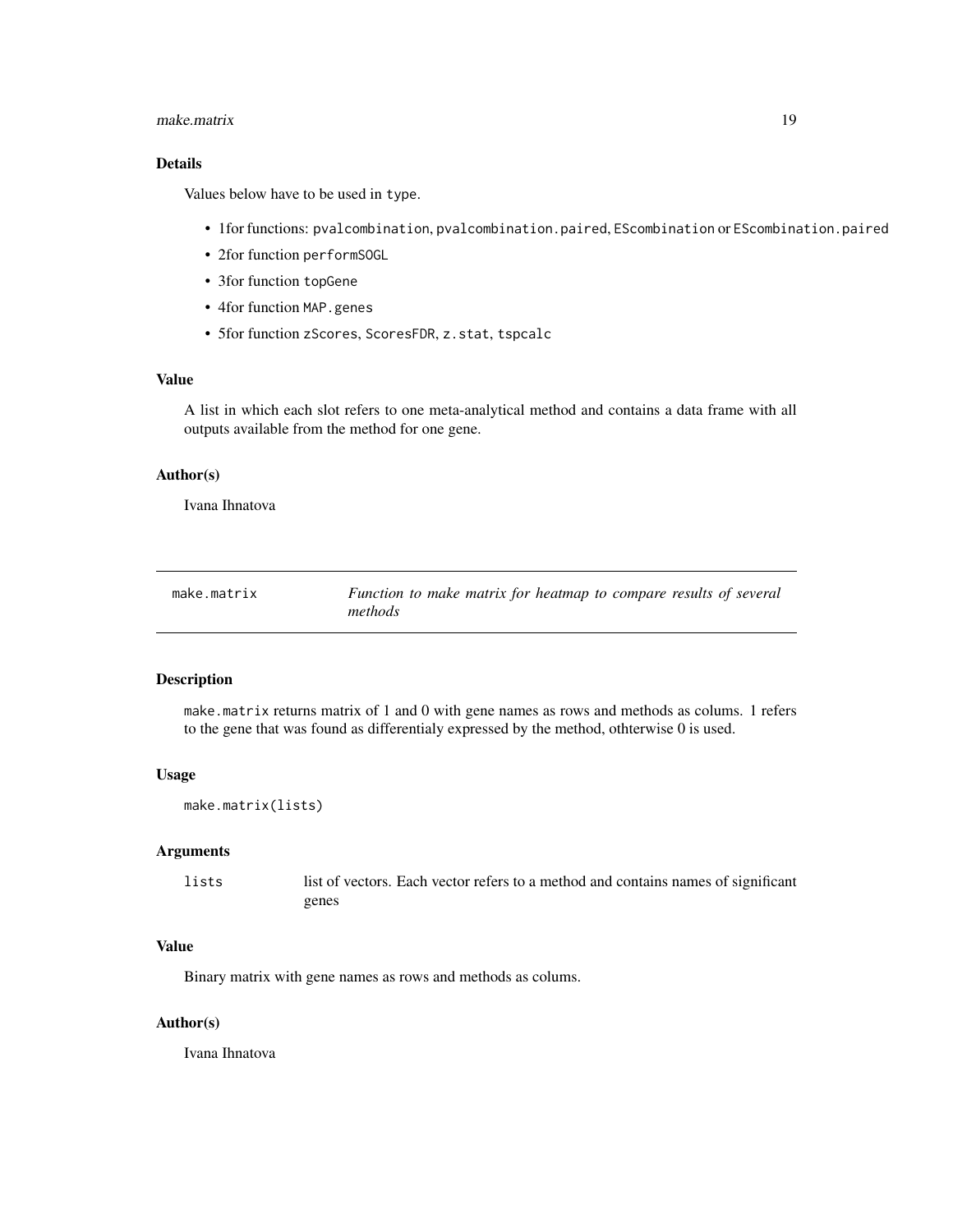#### <span id="page-18-0"></span>make.matrix 19

### Details

Values below have to be used in type.

- 1for functions: pvalcombination, pvalcombination.paired, EScombination or EScombination.paired
- 2for function performSOGL
- 3for function topGene
- 4for function MAP.genes
- 5for function zScores, ScoresFDR, z.stat, tspcalc

#### Value

A list in which each slot refers to one meta-analytical method and contains a data frame with all outputs available from the method for one gene.

#### Author(s)

Ivana Ihnatova

| make.matrix | Function to make matrix for heatmap to compare results of several |
|-------------|-------------------------------------------------------------------|
|             | methods                                                           |

#### Description

make.matrix returns matrix of 1 and 0 with gene names as rows and methods as colums. 1 refers to the gene that was found as differentialy expressed by the method, othterwise 0 is used.

#### Usage

```
make.matrix(lists)
```
#### Arguments

| lists | list of vectors. Each vector refers to a method and contains names of significant |
|-------|-----------------------------------------------------------------------------------|
|       | genes                                                                             |

#### Value

Binary matrix with gene names as rows and methods as colums.

#### Author(s)

Ivana Ihnatova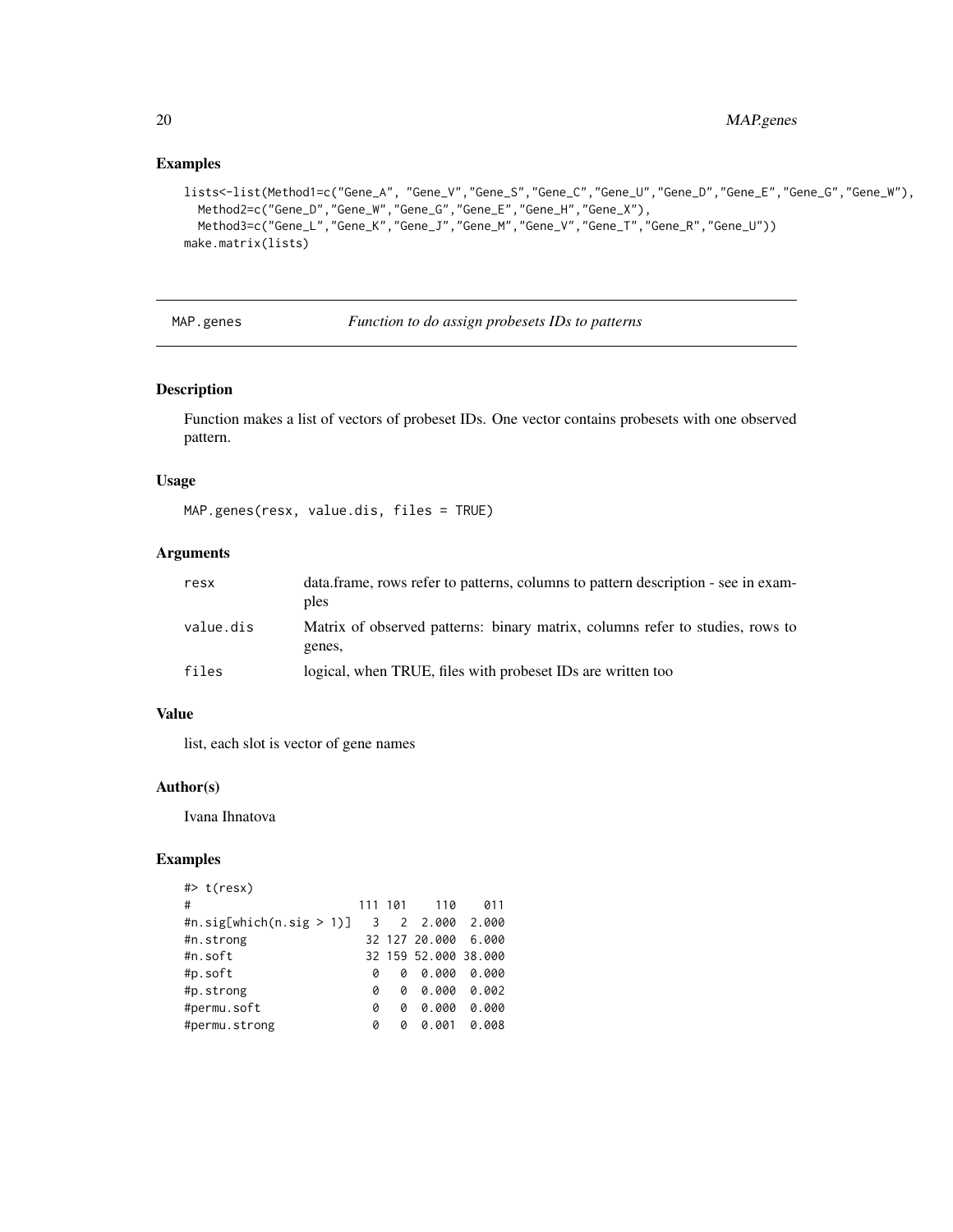### Examples

```
lists<-list(Method1=c("Gene_A", "Gene_V","Gene_S","Gene_C","Gene_U","Gene_D","Gene_E","Gene_G","Gene_W"),
  Method2=c("Gene_D","Gene_W","Gene_G","Gene_E","Gene_H","Gene_X"),
  Method3=c("Gene_L","Gene_K","Gene_J","Gene_M","Gene_V","Gene_T","Gene_R","Gene_U"))
make.matrix(lists)
```
MAP.genes *Function to do assign probesets IDs to patterns*

### Description

Function makes a list of vectors of probeset IDs. One vector contains probesets with one observed pattern.

### Usage

```
MAP.genes(resx, value.dis, files = TRUE)
```
#### Arguments

| resx      | data.frame, rows refer to patterns, columns to pattern description - see in exam-<br>ples |
|-----------|-------------------------------------------------------------------------------------------|
| value.dis | Matrix of observed patterns: binary matrix, columns refer to studies, rows to<br>genes,   |
| files     | logical, when TRUE, files with probeset IDs are written too                               |

#### Value

list, each slot is vector of gene names

#### Author(s)

Ivana Ihnatova

| $#$ > t(resx)               |                         |         |                      |       |
|-----------------------------|-------------------------|---------|----------------------|-------|
| #                           |                         | 111 101 | 110                  | 011   |
| #n.sig[which(n.sig $> 1$ )] | $\overline{\mathbf{3}}$ |         | 2 2.000 2.000        |       |
| #n.strong                   |                         |         | 32 127 20.000        | 6.000 |
| #n.soft                     |                         |         | 32 159 52.000 38.000 |       |
| #p.soft                     | ø                       | ø       | 0.000                | 0.000 |
| #p.strong                   | ø                       | ø       | 0.000                | 0.002 |
| #permu.soft                 | 0                       | ø       | 0.000                | 0.000 |
| #permu.strong               | 0                       | Ø       | 0.001                | 0.008 |
|                             |                         |         |                      |       |

<span id="page-19-0"></span>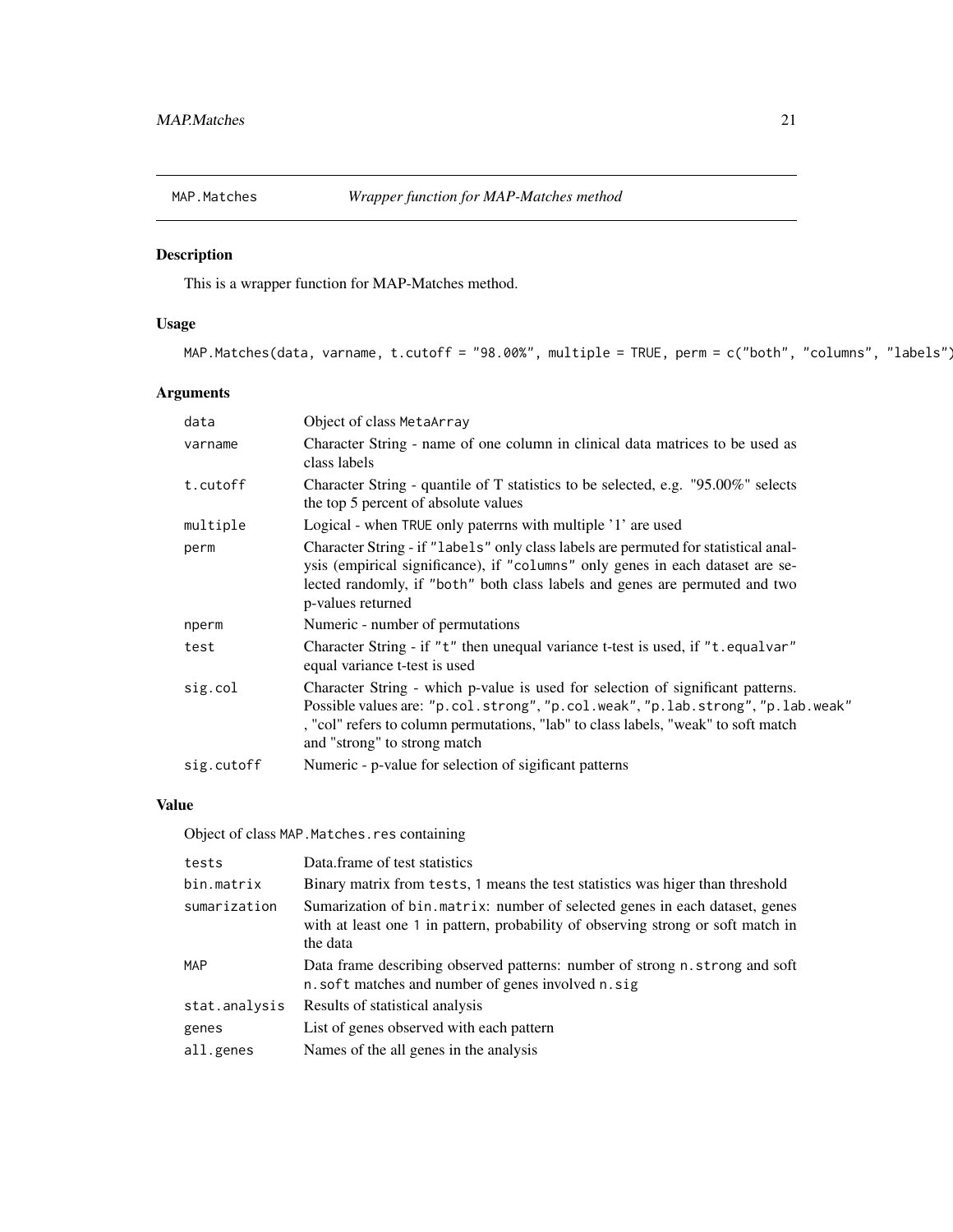<span id="page-20-0"></span>

This is a wrapper function for MAP-Matches method.

### Usage

```
MAP.Matches(data, varname, t.cutoff = "98.00%", multiple = TRUE, perm = c("both", "columns", "labels")
```
### Arguments

| data       | Object of class MetaArray                                                                                                                                                                                                                                                                |
|------------|------------------------------------------------------------------------------------------------------------------------------------------------------------------------------------------------------------------------------------------------------------------------------------------|
| varname    | Character String - name of one column in clinical data matrices to be used as<br>class labels                                                                                                                                                                                            |
| t.cutoff   | Character String - quantile of T statistics to be selected, e.g. "95.00%" selects<br>the top 5 percent of absolute values                                                                                                                                                                |
| multiple   | Logical - when TRUE only paterrns with multiple '1' are used                                                                                                                                                                                                                             |
| perm       | Character String - if "labels" only class labels are permuted for statistical anal-<br>ysis (empirical significance), if "columns" only genes in each dataset are se-<br>lected randomly, if "both" both class labels and genes are permuted and two<br>p-values returned                |
| nperm      | Numeric - number of permutations                                                                                                                                                                                                                                                         |
| test       | Character String - if "t" then unequal variance t-test is used, if "t.equalvar"<br>equal variance t-test is used                                                                                                                                                                         |
| sig.col    | Character String - which p-value is used for selection of significant patterns.<br>Possible values are: "p.col.strong", "p.col.weak", "p.lab.strong", "p.lab.weak"<br>, "col" refers to column permutations, "lab" to class labels, "weak" to soft match<br>and "strong" to strong match |
| sig.cutoff | Numeric - p-value for selection of sigificant patterns                                                                                                                                                                                                                                   |

### Value

Object of class MAP.Matches.res containing

| tests         | Data frame of test statistics                                                                                                                                                |
|---------------|------------------------------------------------------------------------------------------------------------------------------------------------------------------------------|
| bin.matrix    | Binary matrix from tests, 1 means the test statistics was higer than threshold                                                                                               |
| sumarization  | Sumarization of bin. matrix: number of selected genes in each dataset, genes<br>with at least one 1 in pattern, probability of observing strong or soft match in<br>the data |
| <b>MAP</b>    | Data frame describing observed patterns: number of strong n. strong and soft<br>n. soft matches and number of genes involved n. sig                                          |
| stat.analysis | Results of statistical analysis                                                                                                                                              |
| genes         | List of genes observed with each pattern                                                                                                                                     |
| all.genes     | Names of the all genes in the analysis                                                                                                                                       |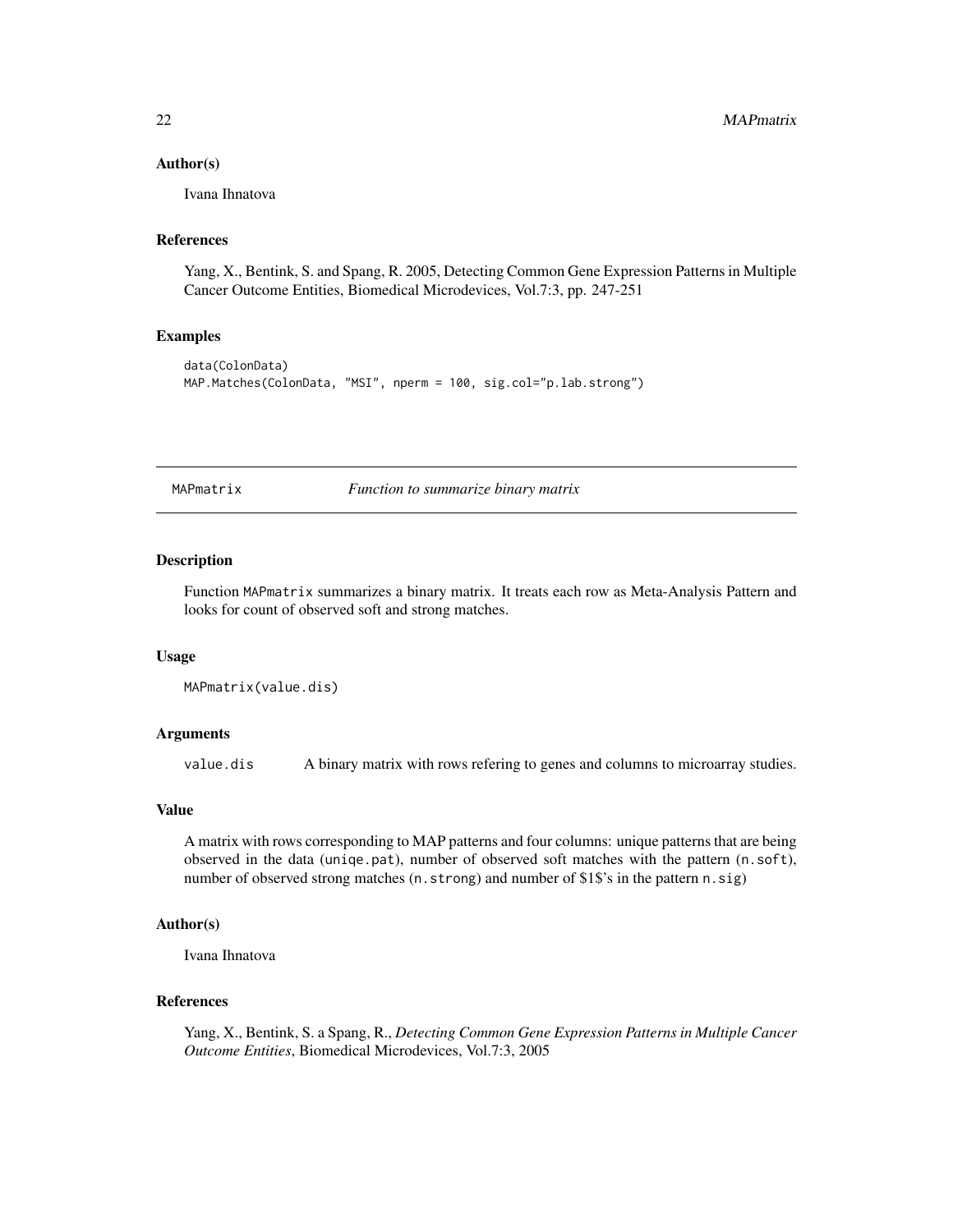#### <span id="page-21-0"></span>Author(s)

Ivana Ihnatova

### References

Yang, X., Bentink, S. and Spang, R. 2005, Detecting Common Gene Expression Patterns in Multiple Cancer Outcome Entities, Biomedical Microdevices, Vol.7:3, pp. 247-251

#### Examples

```
data(ColonData)
MAP.Matches(ColonData, "MSI", nperm = 100, sig.col="p.lab.strong")
```
MAPmatrix *Function to summarize binary matrix*

#### Description

Function MAPmatrix summarizes a binary matrix. It treats each row as Meta-Analysis Pattern and looks for count of observed soft and strong matches.

#### Usage

```
MAPmatrix(value.dis)
```
#### Arguments

value.dis A binary matrix with rows refering to genes and columns to microarray studies.

#### Value

A matrix with rows corresponding to MAP patterns and four columns: unique patterns that are being observed in the data (uniqe.pat), number of observed soft matches with the pattern (n.soft), number of observed strong matches (n.strong) and number of \$1\$'s in the pattern n.sig)

### Author(s)

Ivana Ihnatova

#### References

Yang, X., Bentink, S. a Spang, R., *Detecting Common Gene Expression Patterns in Multiple Cancer Outcome Entities*, Biomedical Microdevices, Vol.7:3, 2005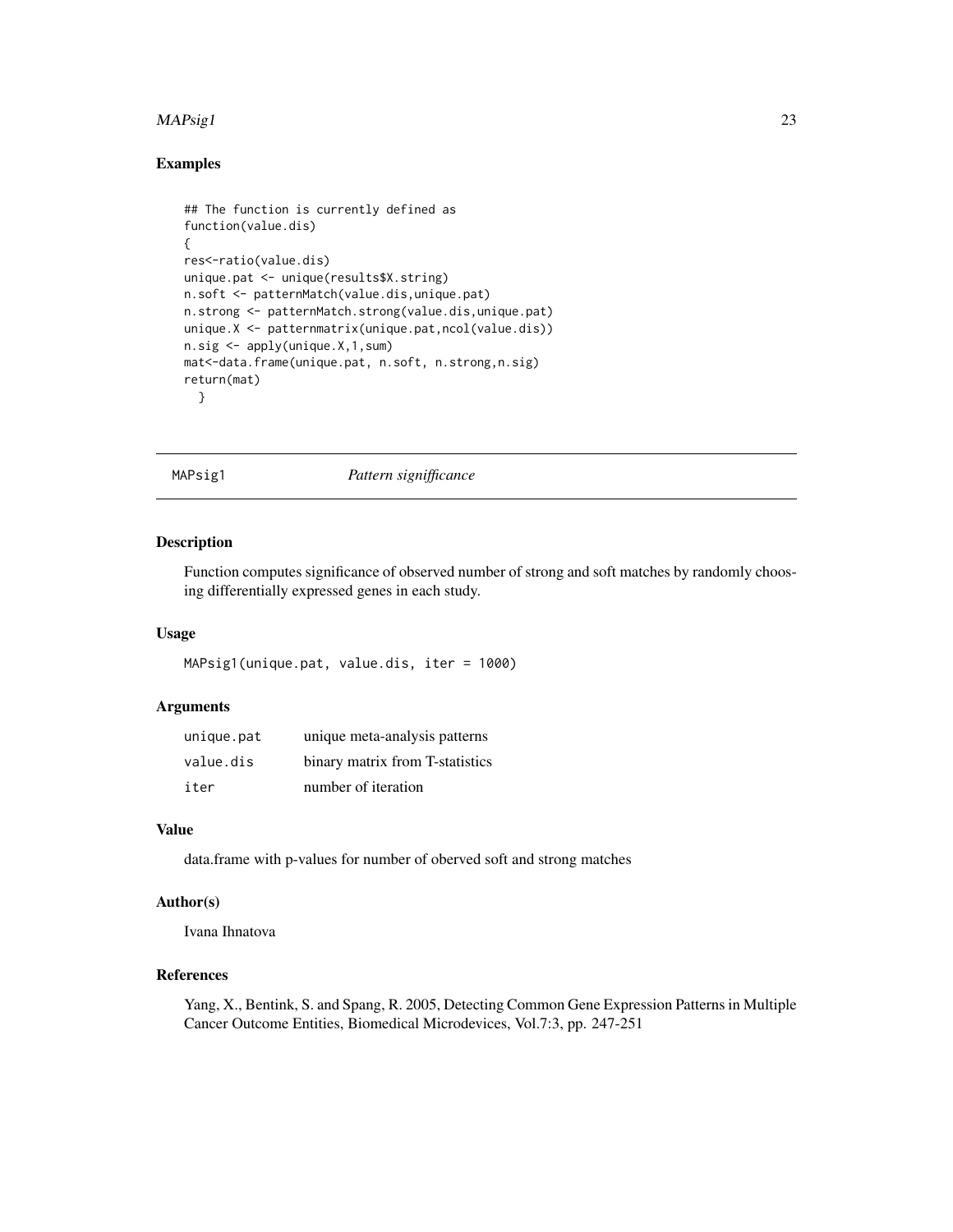#### <span id="page-22-0"></span> $MAPsig1$  23

### Examples

```
## The function is currently defined as
function(value.dis)
{
res<-ratio(value.dis)
unique.pat <- unique(results$X.string)
n.soft <- patternMatch(value.dis,unique.pat)
n.strong <- patternMatch.strong(value.dis,unique.pat)
unique.X <- patternmatrix(unique.pat,ncol(value.dis))
n.sig <- apply(unique.X,1,sum)
mat<-data.frame(unique.pat, n.soft, n.strong,n.sig)
return(mat)
  }
```
MAPsig1 *Pattern signifficance*

### Description

Function computes significance of observed number of strong and soft matches by randomly choosing differentially expressed genes in each study.

### Usage

```
MAPsig1(unique.pat, value.dis, iter = 1000)
```
#### Arguments

| unique.pat | unique meta-analysis patterns   |
|------------|---------------------------------|
| value.dis  | binary matrix from T-statistics |
| iter       | number of iteration             |

### Value

data.frame with p-values for number of oberved soft and strong matches

#### Author(s)

Ivana Ihnatova

### References

Yang, X., Bentink, S. and Spang, R. 2005, Detecting Common Gene Expression Patterns in Multiple Cancer Outcome Entities, Biomedical Microdevices, Vol.7:3, pp. 247-251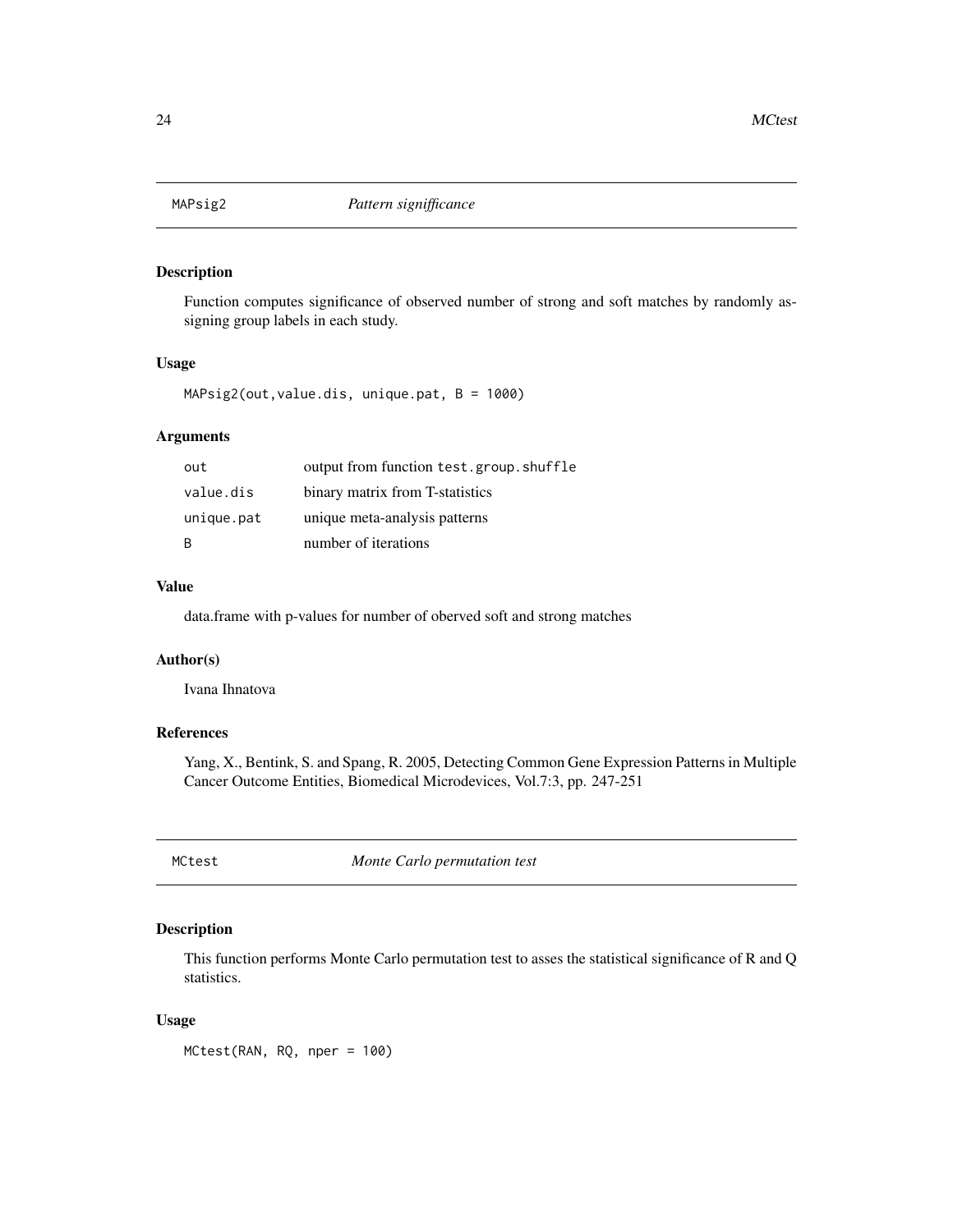<span id="page-23-0"></span>

Function computes significance of observed number of strong and soft matches by randomly assigning group labels in each study.

#### Usage

MAPsig2(out,value.dis, unique.pat, B = 1000)

### Arguments

| out        | output from function test.group.shuffle |
|------------|-----------------------------------------|
| value.dis  | binary matrix from T-statistics         |
| unique.pat | unique meta-analysis patterns           |
| B          | number of iterations                    |

#### Value

data.frame with p-values for number of oberved soft and strong matches

### Author(s)

Ivana Ihnatova

### References

Yang, X., Bentink, S. and Spang, R. 2005, Detecting Common Gene Expression Patterns in Multiple Cancer Outcome Entities, Biomedical Microdevices, Vol.7:3, pp. 247-251

<span id="page-23-1"></span>MCtest *Monte Carlo permutation test*

### Description

This function performs Monte Carlo permutation test to asses the statistical significance of R and Q statistics.

#### Usage

MCtest(RAN, RQ, nper = 100)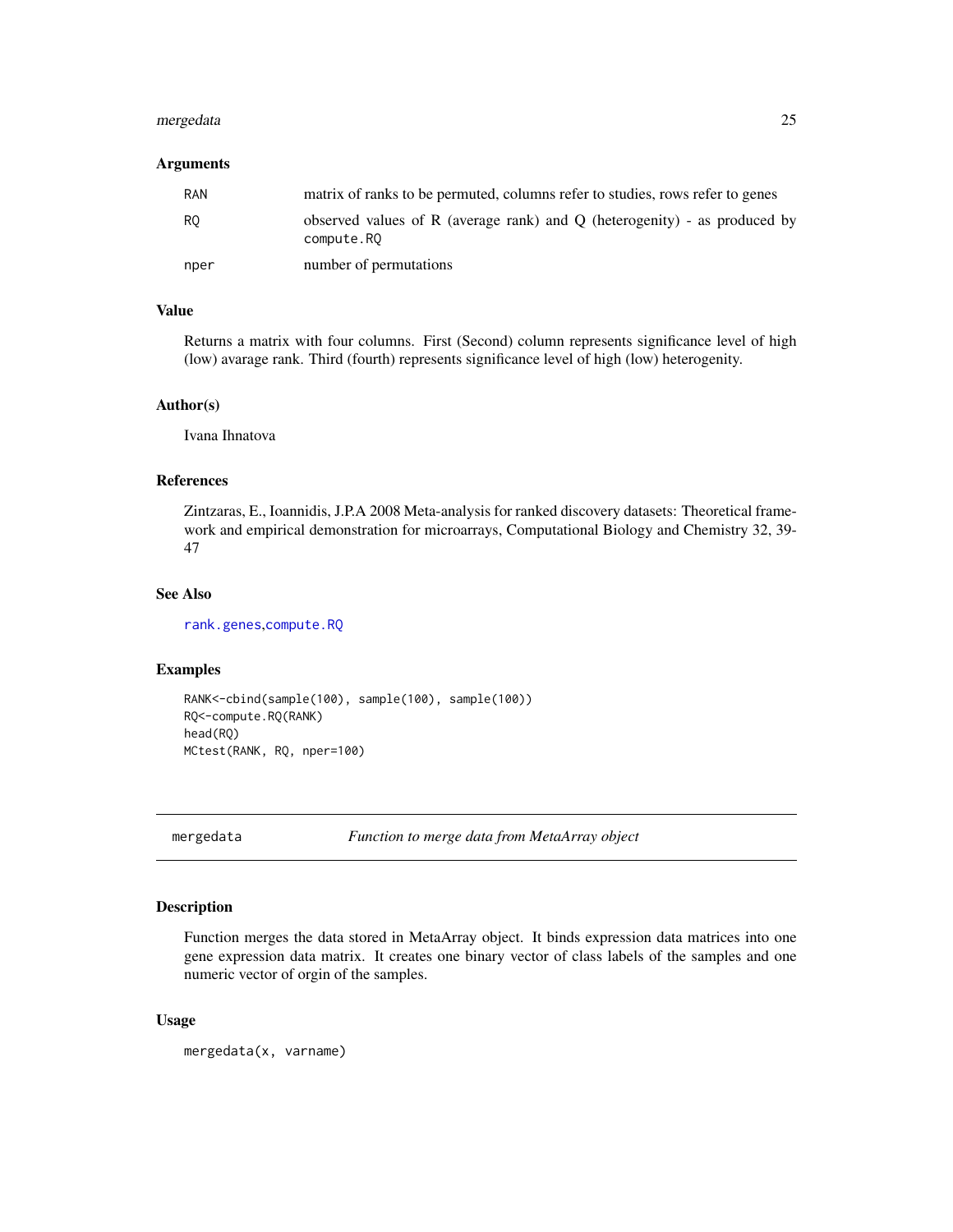### <span id="page-24-0"></span>mergedata 25

#### Arguments

| <b>RAN</b>     | matrix of ranks to be permuted, columns refer to studies, rows refer to genes           |
|----------------|-----------------------------------------------------------------------------------------|
| R <sub>0</sub> | observed values of R (average rank) and Q (heterogenity) - as produced by<br>compute.RQ |
| nper           | number of permutations                                                                  |

### Value

Returns a matrix with four columns. First (Second) column represents significance level of high (low) avarage rank. Third (fourth) represents significance level of high (low) heterogenity.

### Author(s)

Ivana Ihnatova

#### References

Zintzaras, E., Ioannidis, J.P.A 2008 Meta-analysis for ranked discovery datasets: Theoretical framework and empirical demonstration for microarrays, Computational Biology and Chemistry 32, 39- 47

#### See Also

[rank.genes](#page-50-1),[compute.RQ](#page-6-1)

#### Examples

```
RANK<-cbind(sample(100), sample(100), sample(100))
RQ<-compute.RQ(RANK)
head(RQ)
MCtest(RANK, RQ, nper=100)
```
mergedata *Function to merge data from MetaArray object*

#### Description

Function merges the data stored in MetaArray object. It binds expression data matrices into one gene expression data matrix. It creates one binary vector of class labels of the samples and one numeric vector of orgin of the samples.

#### Usage

mergedata(x, varname)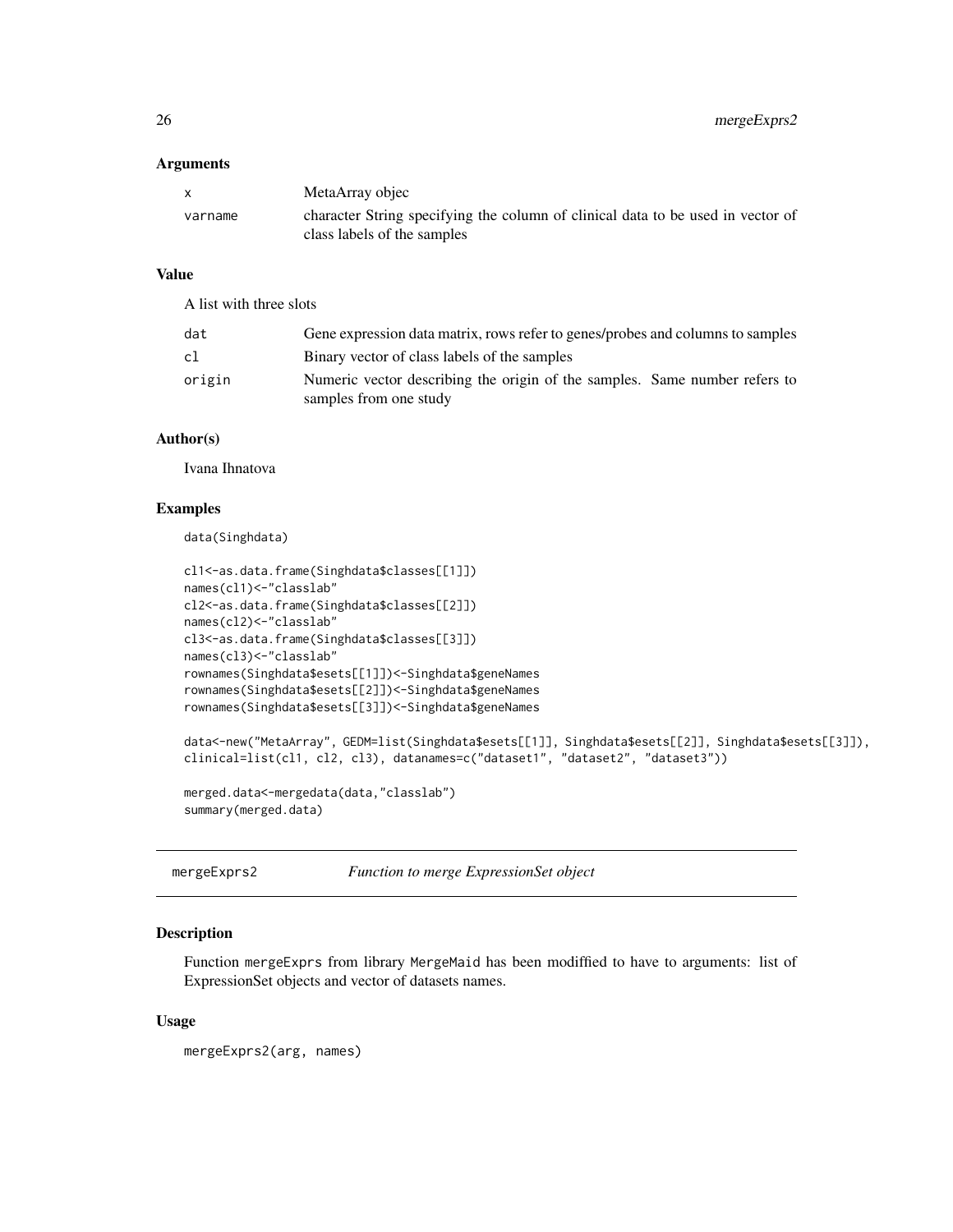<span id="page-25-0"></span>

| X.      | MetaArray objec                                                                                                |
|---------|----------------------------------------------------------------------------------------------------------------|
| varname | character String specifying the column of clinical data to be used in vector of<br>class labels of the samples |

### Value

A list with three slots

| dat    | Gene expression data matrix, rows refer to genes/probes and columns to samples                       |
|--------|------------------------------------------------------------------------------------------------------|
| c1     | Binary vector of class labels of the samples                                                         |
| origin | Numeric vector describing the origin of the samples. Same number refers to<br>samples from one study |

### Author(s)

Ivana Ihnatova

#### Examples

data(Singhdata)

```
cl1<-as.data.frame(Singhdata$classes[[1]])
names(cl1)<-"classlab"
cl2<-as.data.frame(Singhdata$classes[[2]])
names(cl2)<-"classlab"
cl3<-as.data.frame(Singhdata$classes[[3]])
names(cl3)<-"classlab"
rownames(Singhdata$esets[[1]])<-Singhdata$geneNames
rownames(Singhdata$esets[[2]])<-Singhdata$geneNames
rownames(Singhdata$esets[[3]])<-Singhdata$geneNames
data<-new("MetaArray", GEDM=list(Singhdata$esets[[1]], Singhdata$esets[[2]], Singhdata$esets[[3]]),
clinical=list(cl1, cl2, cl3), datanames=c("dataset1", "dataset2", "dataset3"))
merged.data<-mergedata(data,"classlab")
summary(merged.data)
```
mergeExprs2 *Function to merge ExpressionSet object*

### Description

Function mergeExprs from library MergeMaid has been modiffied to have to arguments: list of ExpressionSet objects and vector of datasets names.

#### Usage

mergeExprs2(arg, names)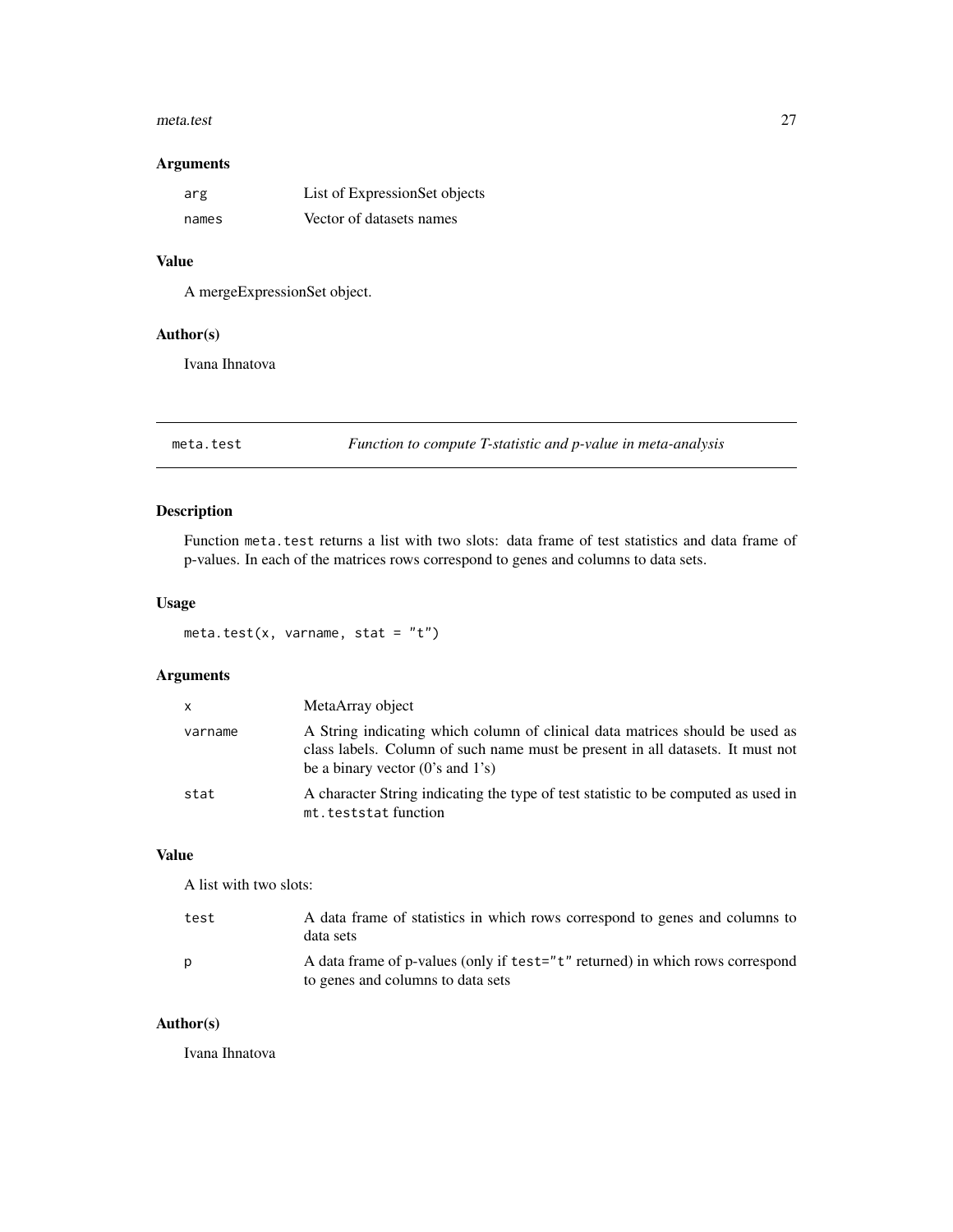#### <span id="page-26-0"></span>meta.test 27

### Arguments

| arg   | List of ExpressionSet objects |
|-------|-------------------------------|
| names | Vector of datasets names      |

### Value

A mergeExpressionSet object.

### Author(s)

Ivana Ihnatova

<span id="page-26-1"></span>meta.test *Function to compute T-statistic and p-value in meta-analysis*

### Description

Function meta.test returns a list with two slots: data frame of test statistics and data frame of p-values. In each of the matrices rows correspond to genes and columns to data sets.

### Usage

meta.test(x, varname, stat =  $"t")$ 

### Arguments

| $\mathsf{x}$ | MetaArray object                                                                                                                                                                                       |
|--------------|--------------------------------------------------------------------------------------------------------------------------------------------------------------------------------------------------------|
| varname      | A String indicating which column of clinical data matrices should be used as<br>class labels. Column of such name must be present in all datasets. It must not<br>be a binary vector $(0's$ and $1's)$ |
| stat         | A character String indicating the type of test statistic to be computed as used in<br>mt.teststatfunction                                                                                              |

### Value

A list with two slots:

| test | A data frame of statistics in which rows correspond to genes and columns to<br>data sets                           |
|------|--------------------------------------------------------------------------------------------------------------------|
| D    | A data frame of p-values (only if test="t" returned) in which rows correspond<br>to genes and columns to data sets |

#### Author(s)

Ivana Ihnatova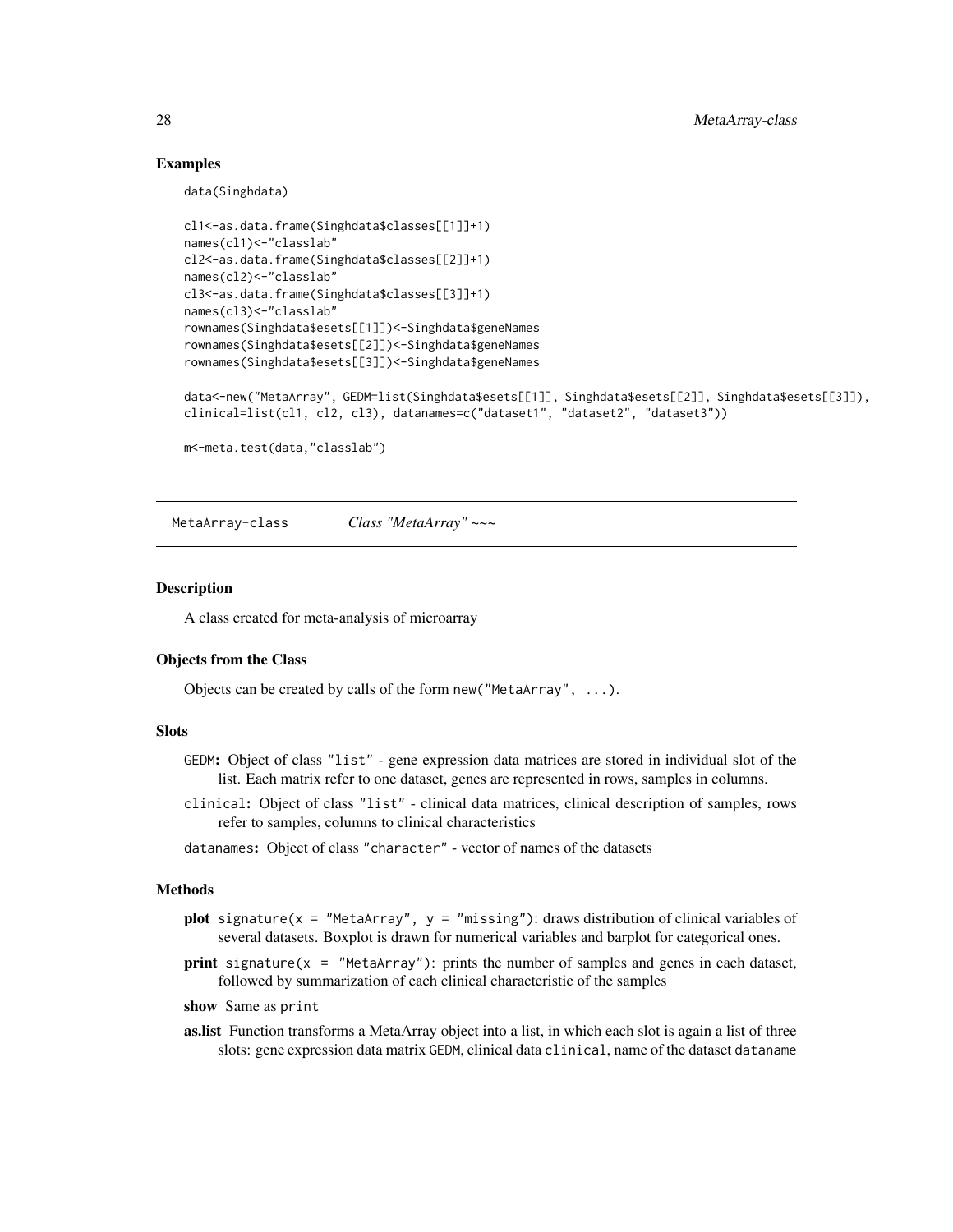### Examples

data(Singhdata)

```
cl1<-as.data.frame(Singhdata$classes[[1]]+1)
names(cl1)<-"classlab"
cl2<-as.data.frame(Singhdata$classes[[2]]+1)
names(cl2)<-"classlab"
cl3<-as.data.frame(Singhdata$classes[[3]]+1)
names(cl3)<-"classlab"
rownames(Singhdata$esets[[1]])<-Singhdata$geneNames
rownames(Singhdata$esets[[2]])<-Singhdata$geneNames
rownames(Singhdata$esets[[3]])<-Singhdata$geneNames
data<-new("MetaArray", GEDM=list(Singhdata$esets[[1]], Singhdata$esets[[2]], Singhdata$esets[[3]]),
clinical=list(cl1, cl2, cl3), datanames=c("dataset1", "dataset2", "dataset3"))
m<-meta.test(data,"classlab")
```
MetaArray-class *Class "MetaArray" ~~~*

#### Description

A class created for meta-analysis of microarray

#### Objects from the Class

Objects can be created by calls of the form new ("MetaArray",  $\dots$ ).

#### **Slots**

- GEDM: Object of class "list" gene expression data matrices are stored in individual slot of the list. Each matrix refer to one dataset, genes are represented in rows, samples in columns.
- clinical: Object of class "list" clinical data matrices, clinical description of samples, rows refer to samples, columns to clinical characteristics
- datanames: Object of class "character" vector of names of the datasets

#### Methods

- plot signature(x = "MetaArray",  $y =$  "missing"): draws distribution of clinical variables of several datasets. Boxplot is drawn for numerical variables and barplot for categorical ones.
- print signature( $x =$  "MetaArray"): prints the number of samples and genes in each dataset, followed by summarization of each clinical characteristic of the samples
- show Same as print
- as.list Function transforms a MetaArray object into a list, in which each slot is again a list of three slots: gene expression data matrix GEDM, clinical data clinical, name of the dataset dataname

<span id="page-27-0"></span>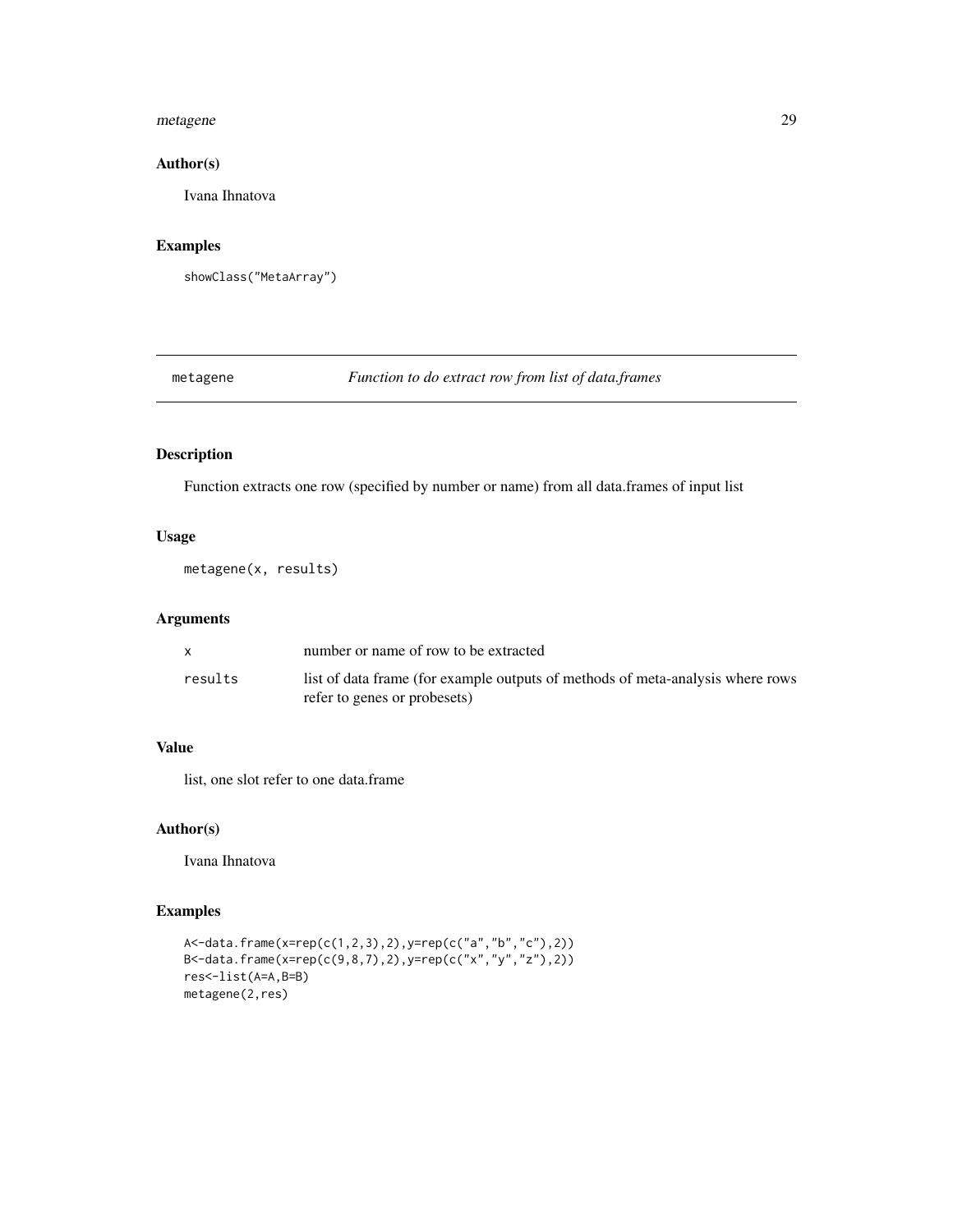#### <span id="page-28-0"></span>metagene 29

### Author(s)

Ivana Ihnatova

### Examples

```
showClass("MetaArray")
```
metagene *Function to do extract row from list of data.frames*

### Description

Function extracts one row (specified by number or name) from all data.frames of input list

### Usage

metagene(x, results)

#### Arguments

|         | number or name of row to be extracted                                          |
|---------|--------------------------------------------------------------------------------|
| results | list of data frame (for example outputs of methods of meta-analysis where rows |
|         | refer to genes or probesets)                                                   |

### Value

list, one slot refer to one data.frame

#### Author(s)

Ivana Ihnatova

```
A<-data.frame(x=rep(c(1,2,3),2),y=rep(c("a","b","c"),2))
B <- data.frame(x=rep(c(9,8,7),2),y=rep(c("x","y","z"),2))
res<-list(A=A,B=B)
metagene(2,res)
```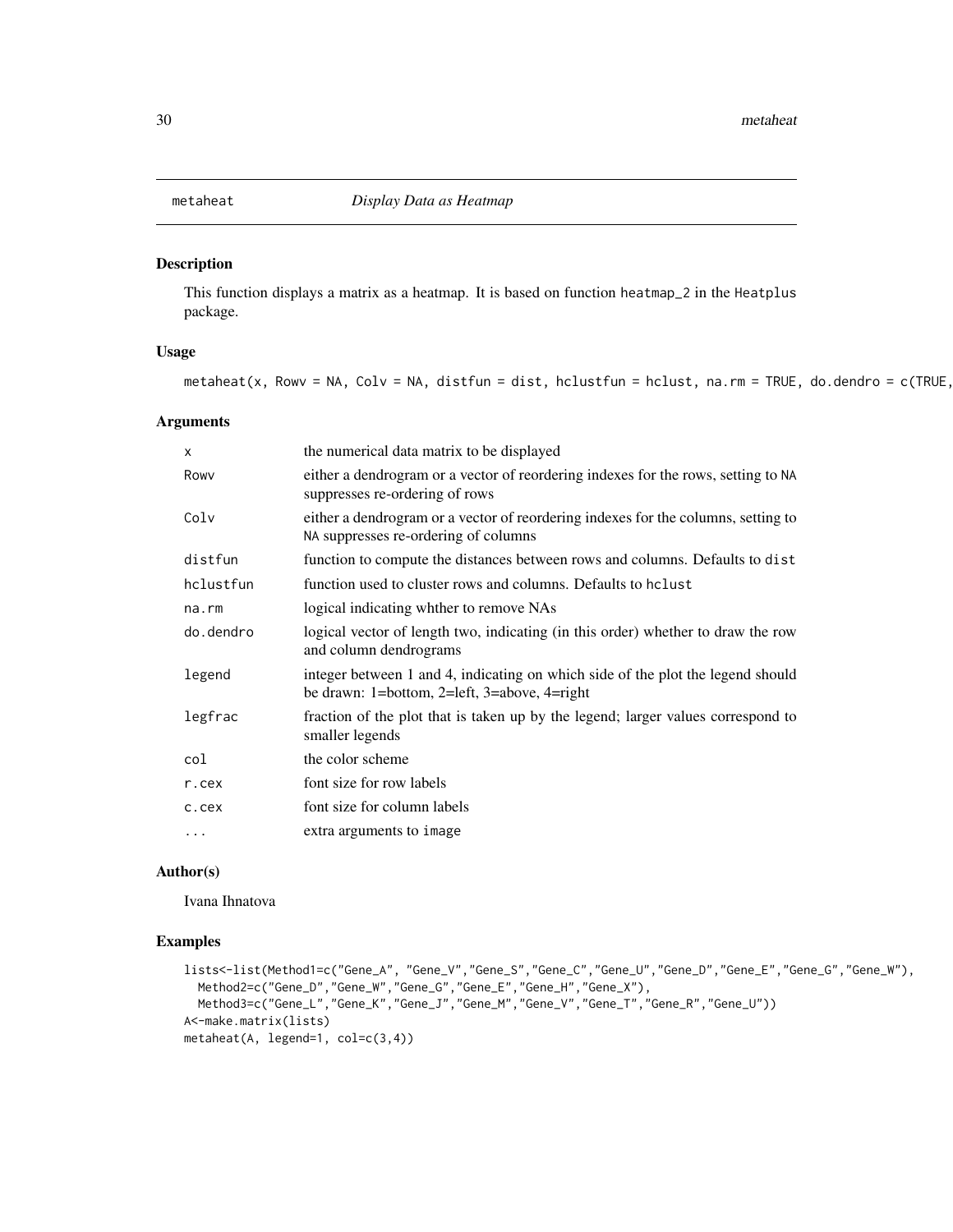<span id="page-29-0"></span>

This function displays a matrix as a heatmap. It is based on function heatmap\_2 in the Heatplus package.

#### Usage

metaheat(x, Rowv = NA, Colv = NA, distfun = dist, hclustfun = hclust, na.rm = TRUE, do.dendro =  $c$ (TRUE,

#### Arguments

| X         | the numerical data matrix to be displayed                                                                                       |
|-----------|---------------------------------------------------------------------------------------------------------------------------------|
| Rowy      | either a dendrogram or a vector of reordering indexes for the rows, setting to NA<br>suppresses re-ordering of rows             |
| Colv      | either a dendrogram or a vector of reordering indexes for the columns, setting to<br>NA suppresses re-ordering of columns       |
| distfun   | function to compute the distances between rows and columns. Defaults to dist                                                    |
| hclustfun | function used to cluster rows and columns. Defaults to holast                                                                   |
| na.rm     | logical indicating whther to remove NAs                                                                                         |
| do.dendro | logical vector of length two, indicating (in this order) whether to draw the row<br>and column dendrograms                      |
| legend    | integer between 1 and 4, indicating on which side of the plot the legend should<br>be drawn: 1=bottom, 2=left, 3=above, 4=right |
| legfrac   | fraction of the plot that is taken up by the legend; larger values correspond to<br>smaller legends                             |
| col       | the color scheme                                                                                                                |
| r.cex     | font size for row labels                                                                                                        |
| c.cex     | font size for column labels                                                                                                     |
| $\cdots$  | extra arguments to image                                                                                                        |

#### Author(s)

Ivana Ihnatova

```
lists<-list(Method1=c("Gene_A", "Gene_V","Gene_S","Gene_C","Gene_U","Gene_D","Gene_E","Gene_G","Gene_W"),
  Method2=c("Gene_D","Gene_W","Gene_G","Gene_E","Gene_H","Gene_X"),
  Method3=c("Gene_L","Gene_K","Gene_J","Gene_M","Gene_V","Gene_T","Gene_R","Gene_U"))
A<-make.matrix(lists)
metaheat(A, legend=1, col=c(3,4))
```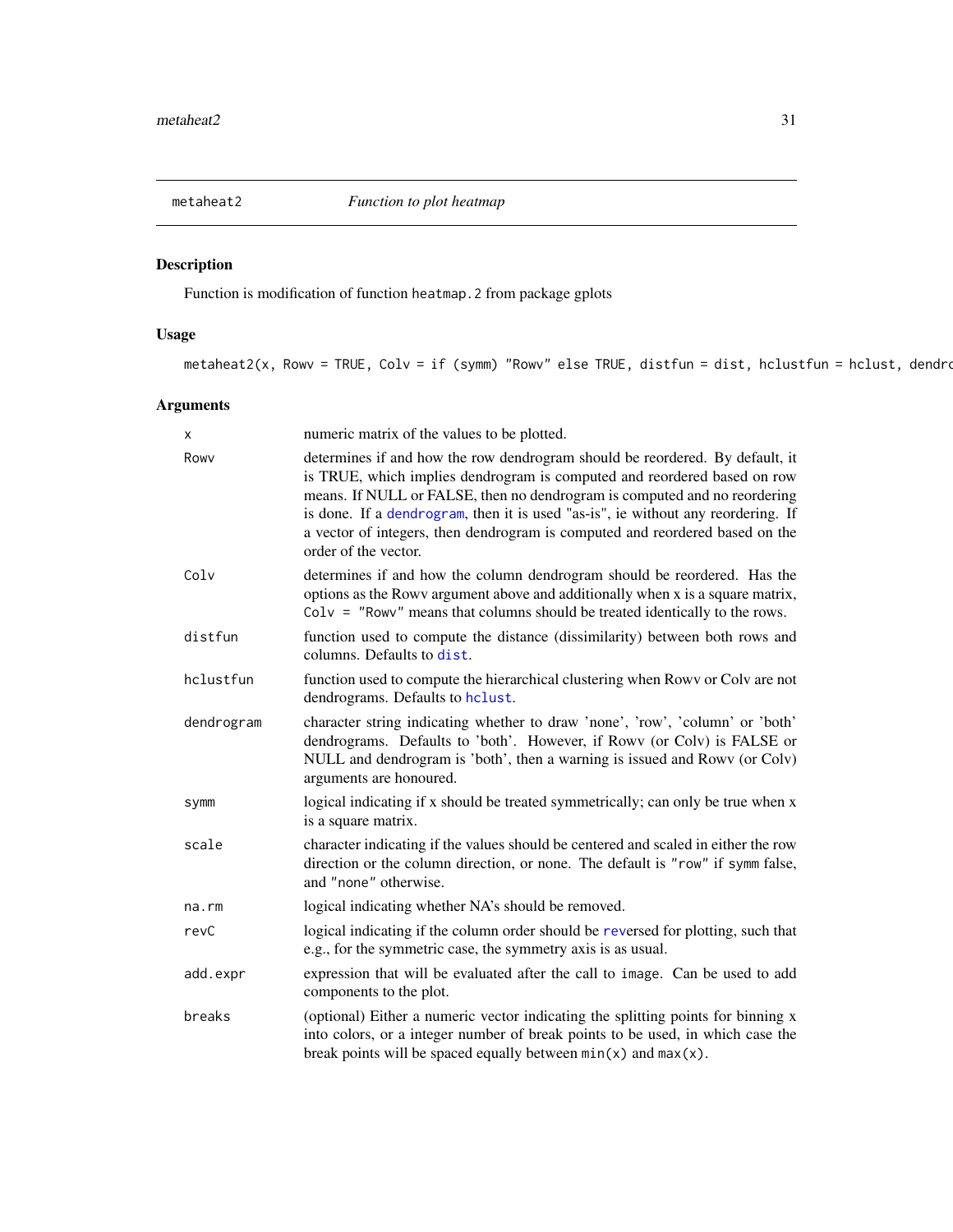<span id="page-30-0"></span>

Function is modification of function heatmap.2 from package gplots

### Usage

metaheat2(x, Rowv = TRUE, Colv = if (symm) "Rowv" else TRUE, distfun = dist, hclustfun = hclust, dendro

### Arguments

| x          | numeric matrix of the values to be plotted.                                                                                                                                                                                                                                                                                                                                                                                       |
|------------|-----------------------------------------------------------------------------------------------------------------------------------------------------------------------------------------------------------------------------------------------------------------------------------------------------------------------------------------------------------------------------------------------------------------------------------|
| Rowy       | determines if and how the row dendrogram should be reordered. By default, it<br>is TRUE, which implies dendrogram is computed and reordered based on row<br>means. If NULL or FALSE, then no dendrogram is computed and no reordering<br>is done. If a dendrogram, then it is used "as-is", ie without any reordering. If<br>a vector of integers, then dendrogram is computed and reordered based on the<br>order of the vector. |
| Colv       | determines if and how the column dendrogram should be reordered. Has the<br>options as the Rowy argument above and additionally when x is a square matrix,<br>$Colv = "Rowv"$ means that columns should be treated identically to the rows.                                                                                                                                                                                       |
| distfun    | function used to compute the distance (dissimilarity) between both rows and<br>columns. Defaults to dist.                                                                                                                                                                                                                                                                                                                         |
| hclustfun  | function used to compute the hierarchical clustering when Rowy or Colv are not<br>dendrograms. Defaults to hclust.                                                                                                                                                                                                                                                                                                                |
| dendrogram | character string indicating whether to draw 'none', 'row', 'column' or 'both'<br>dendrograms. Defaults to 'both'. However, if Rowy (or Colv) is FALSE or<br>NULL and dendrogram is 'both', then a warning is issued and Rowv (or Colv)<br>arguments are honoured.                                                                                                                                                                 |
| symm       | logical indicating if x should be treated symmetrically; can only be true when x<br>is a square matrix.                                                                                                                                                                                                                                                                                                                           |
| scale      | character indicating if the values should be centered and scaled in either the row<br>direction or the column direction, or none. The default is "row" if symm false,<br>and "none" otherwise.                                                                                                                                                                                                                                    |
| na.rm      | logical indicating whether NA's should be removed.                                                                                                                                                                                                                                                                                                                                                                                |
| revC       | logical indicating if the column order should be reversed for plotting, such that<br>e.g., for the symmetric case, the symmetry axis is as usual.                                                                                                                                                                                                                                                                                 |
| add.expr   | expression that will be evaluated after the call to image. Can be used to add<br>components to the plot.                                                                                                                                                                                                                                                                                                                          |
| breaks     | (optional) Either a numeric vector indicating the splitting points for binning x<br>into colors, or a integer number of break points to be used, in which case the<br>break points will be spaced equally between $min(x)$ and $max(x)$ .                                                                                                                                                                                         |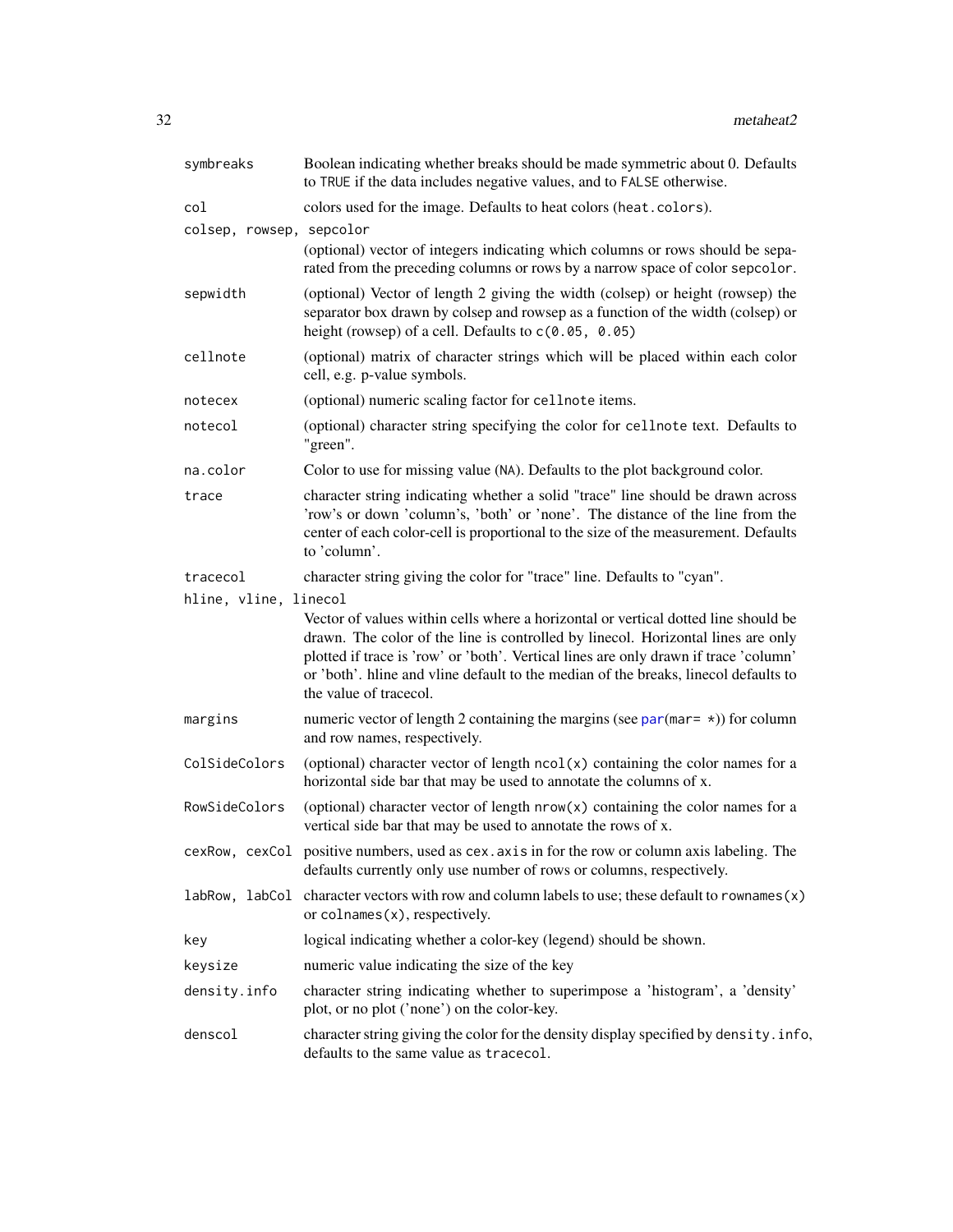<span id="page-31-0"></span>

| symbreaks                | Boolean indicating whether breaks should be made symmetric about 0. Defaults<br>to TRUE if the data includes negative values, and to FALSE otherwise.                                                                                                                                                                                                                           |
|--------------------------|---------------------------------------------------------------------------------------------------------------------------------------------------------------------------------------------------------------------------------------------------------------------------------------------------------------------------------------------------------------------------------|
| col                      | colors used for the image. Defaults to heat colors (heat.colors).                                                                                                                                                                                                                                                                                                               |
| colsep, rowsep, sepcolor |                                                                                                                                                                                                                                                                                                                                                                                 |
|                          | (optional) vector of integers indicating which columns or rows should be sepa-<br>rated from the preceding columns or rows by a narrow space of color sepcolor.                                                                                                                                                                                                                 |
| sepwidth                 | (optional) Vector of length 2 giving the width (colsep) or height (rowsep) the<br>separator box drawn by colsep and rowsep as a function of the width (colsep) or<br>height (rowsep) of a cell. Defaults to $c(0.05, 0.05)$                                                                                                                                                     |
| cellnote                 | (optional) matrix of character strings which will be placed within each color<br>cell, e.g. p-value symbols.                                                                                                                                                                                                                                                                    |
| notecex                  | (optional) numeric scaling factor for cellnote items.                                                                                                                                                                                                                                                                                                                           |
| notecol                  | (optional) character string specifying the color for cellnote text. Defaults to<br>"green".                                                                                                                                                                                                                                                                                     |
| na.color                 | Color to use for missing value (NA). Defaults to the plot background color.                                                                                                                                                                                                                                                                                                     |
| trace                    | character string indicating whether a solid "trace" line should be drawn across<br>'row's or down 'column's, 'both' or 'none'. The distance of the line from the<br>center of each color-cell is proportional to the size of the measurement. Defaults<br>to 'column'.                                                                                                          |
| tracecol                 | character string giving the color for "trace" line. Defaults to "cyan".                                                                                                                                                                                                                                                                                                         |
| hline, vline, linecol    |                                                                                                                                                                                                                                                                                                                                                                                 |
|                          | Vector of values within cells where a horizontal or vertical dotted line should be<br>drawn. The color of the line is controlled by linecol. Horizontal lines are only<br>plotted if trace is 'row' or 'both'. Vertical lines are only drawn if trace 'column'<br>or 'both'. hline and vline default to the median of the breaks, linecol defaults to<br>the value of tracecol. |
| margins                  | numeric vector of length 2 containing the margins (see $par(max = \star)$ ) for column<br>and row names, respectively.                                                                                                                                                                                                                                                          |
| ColSideColors            | (optional) character vector of length $ncol(x)$ containing the color names for a<br>horizontal side bar that may be used to annotate the columns of x.                                                                                                                                                                                                                          |
| RowSideColors            | (optional) character vector of length nrow(x) containing the color names for a<br>vertical side bar that may be used to annotate the rows of x.                                                                                                                                                                                                                                 |
|                          | cexRow, cexCol positive numbers, used as cex. axis in for the row or column axis labeling. The<br>defaults currently only use number of rows or columns, respectively.                                                                                                                                                                                                          |
|                          | $labRow$ , $labCol$ character vectors with row and column labels to use; these default to rownames $(x)$<br>or $\text{coInames}(x)$ , respectively.                                                                                                                                                                                                                             |
| key                      | logical indicating whether a color-key (legend) should be shown.                                                                                                                                                                                                                                                                                                                |
| keysize                  | numeric value indicating the size of the key                                                                                                                                                                                                                                                                                                                                    |
| density.info             | character string indicating whether to superimpose a 'histogram', a 'density'<br>plot, or no plot ('none') on the color-key.                                                                                                                                                                                                                                                    |
| denscol                  | character string giving the color for the density display specified by density. info,<br>defaults to the same value as tracecol.                                                                                                                                                                                                                                                |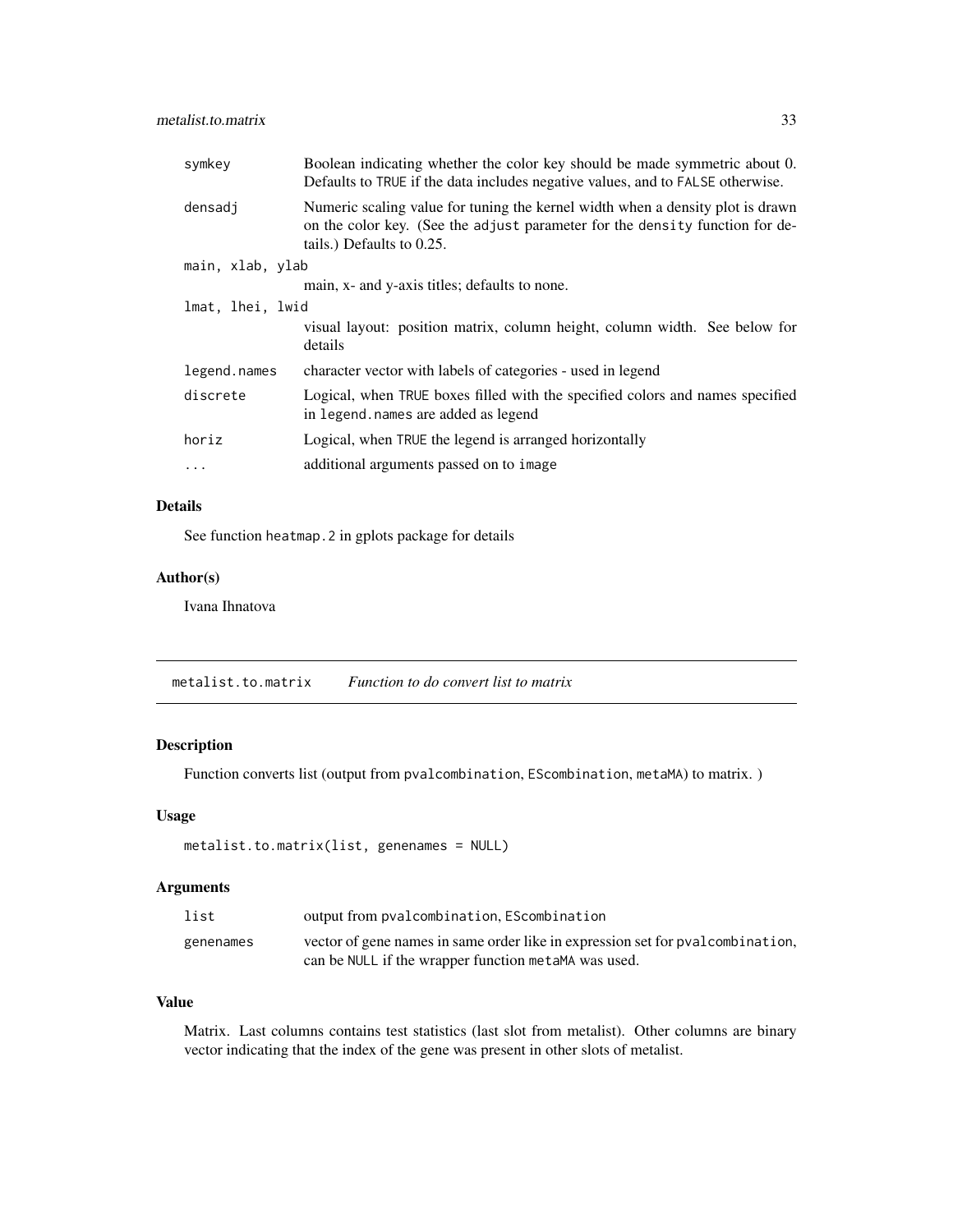<span id="page-32-0"></span>

| symkey           | Boolean indicating whether the color key should be made symmetric about 0.<br>Defaults to TRUE if the data includes negative values, and to FALSE otherwise.                                |
|------------------|---------------------------------------------------------------------------------------------------------------------------------------------------------------------------------------------|
| densadj          | Numeric scaling value for tuning the kernel width when a density plot is drawn<br>on the color key. (See the adjust parameter for the density function for de-<br>tails.) Defaults to 0.25. |
| main, xlab, ylab |                                                                                                                                                                                             |
|                  | main, x- and y-axis titles; defaults to none.                                                                                                                                               |
| lmat, lhei, lwid |                                                                                                                                                                                             |
|                  | visual layout: position matrix, column height, column width. See below for<br>details                                                                                                       |
| legend.names     | character vector with labels of categories - used in legend                                                                                                                                 |
| discrete         | Logical, when TRUE boxes filled with the specified colors and names specified<br>in legend. names are added as legend                                                                       |
| horiz            | Logical, when TRUE the legend is arranged horizontally                                                                                                                                      |
| $\ddots$ .       | additional arguments passed on to image                                                                                                                                                     |

### Details

See function heatmap.2 in gplots package for details

### Author(s)

Ivana Ihnatova

<span id="page-32-1"></span>metalist.to.matrix *Function to do convert list to matrix*

### Description

Function converts list (output from pvalcombination, EScombination, metaMA) to matrix. )

#### Usage

```
metalist.to.matrix(list, genenames = NULL)
```
### Arguments

| list      | output from pvalcombination, EScombination                                     |
|-----------|--------------------------------------------------------------------------------|
| genenames | vector of gene names in same order like in expression set for pyalcombination, |
|           | can be NULL if the wrapper function metaMA was used.                           |

#### Value

Matrix. Last columns contains test statistics (last slot from metalist). Other columns are binary vector indicating that the index of the gene was present in other slots of metalist.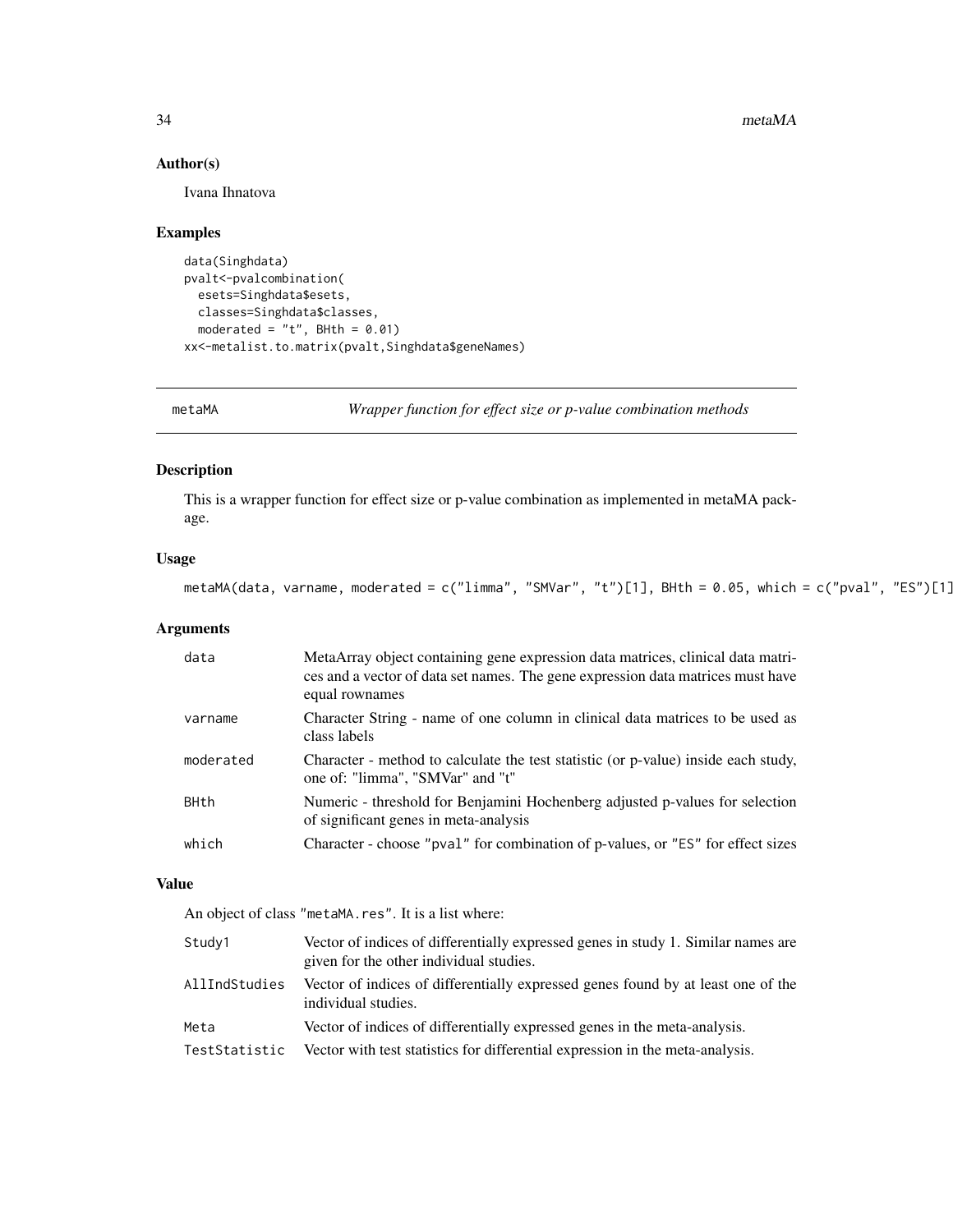34 metaMA

### Author(s)

Ivana Ihnatova

### Examples

```
data(Singhdata)
pvalt<-pvalcombination(
  esets=Singhdata$esets,
  classes=Singhdata$classes,
  moderated = "t", BHth = 0.01)
xx<-metalist.to.matrix(pvalt,Singhdata$geneNames)
```
metaMA *Wrapper function for effect size or p-value combination methods*

### Description

This is a wrapper function for effect size or p-value combination as implemented in metaMA package.

#### Usage

```
metaMA(data, varname, moderated = c("limma", "SMVar", "t")[1], BHth = 0.05, which = c("pval", "ES")[1]
```
### Arguments

| data        | MetaArray object containing gene expression data matrices, clinical data matri-<br>ces and a vector of data set names. The gene expression data matrices must have<br>equal rownames |
|-------------|--------------------------------------------------------------------------------------------------------------------------------------------------------------------------------------|
| varname     | Character String - name of one column in clinical data matrices to be used as<br>class labels                                                                                        |
| moderated   | Character - method to calculate the test statistic (or p-value) inside each study,<br>one of: "limma", "SMVar" and "t"                                                               |
| <b>BHth</b> | Numeric - threshold for Benjamini Hochenberg adjusted p-values for selection<br>of significant genes in meta-analysis                                                                |
| which       | Character - choose "pval" for combination of p-values, or "ES" for effect sizes                                                                                                      |

### Value

An object of class "metaMA.res". It is a list where:

| Study1        | Vector of indices of differentially expressed genes in study 1. Similar names are<br>given for the other individual studies. |
|---------------|------------------------------------------------------------------------------------------------------------------------------|
| AllIndStudies | Vector of indices of differentially expressed genes found by at least one of the<br>individual studies.                      |
| Meta          | Vector of indices of differentially expressed genes in the meta-analysis.                                                    |
| TestStatistic | Vector with test statistics for differential expression in the meta-analysis.                                                |

<span id="page-33-0"></span>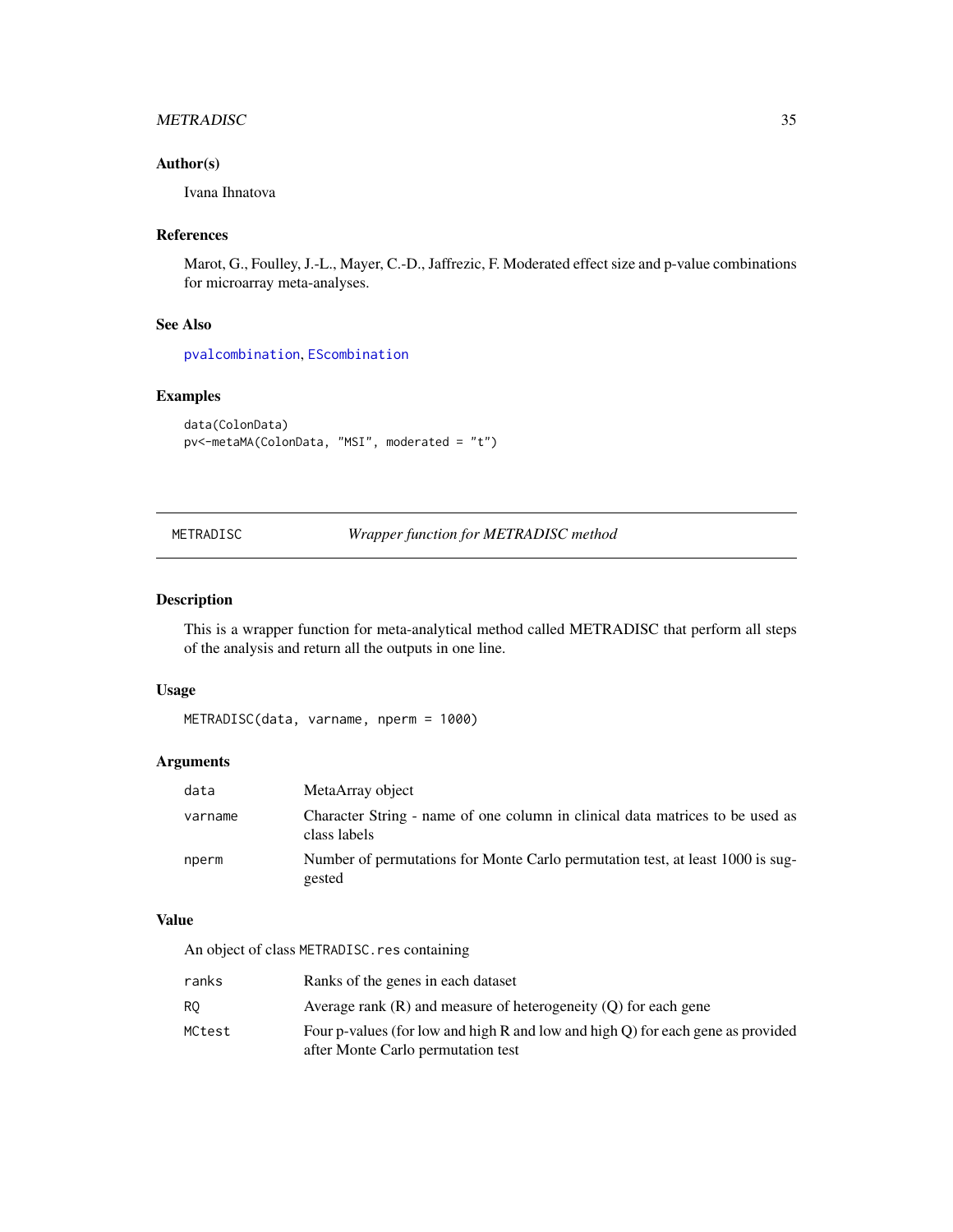### <span id="page-34-0"></span>METRADISC 35

### Author(s)

Ivana Ihnatova

### References

Marot, G., Foulley, J.-L., Mayer, C.-D., Jaffrezic, F. Moderated effect size and p-value combinations for microarray meta-analyses.

### See Also

[pvalcombination](#page-0-0), [EScombination](#page-0-0)

### Examples

```
data(ColonData)
pv<-metaMA(ColonData, "MSI", moderated = "t")
```
METRADISC *Wrapper function for METRADISC method*

#### Description

This is a wrapper function for meta-analytical method called METRADISC that perform all steps of the analysis and return all the outputs in one line.

#### Usage

```
METRADISC(data, varname, nperm = 1000)
```
### Arguments

| data    | MetaArray object                                                                              |
|---------|-----------------------------------------------------------------------------------------------|
| varname | Character String - name of one column in clinical data matrices to be used as<br>class labels |
| nperm   | Number of permutations for Monte Carlo permutation test, at least 1000 is sug-<br>gested      |

#### Value

An object of class METRADISC.res containing

| ranks  | Ranks of the genes in each dataset                                                                                    |
|--------|-----------------------------------------------------------------------------------------------------------------------|
| RO.    | Average rank $(R)$ and measure of heterogeneity $(0)$ for each gene                                                   |
| MCtest | Four p-values (for low and high R and low and high Q) for each gene as provided<br>after Monte Carlo permutation test |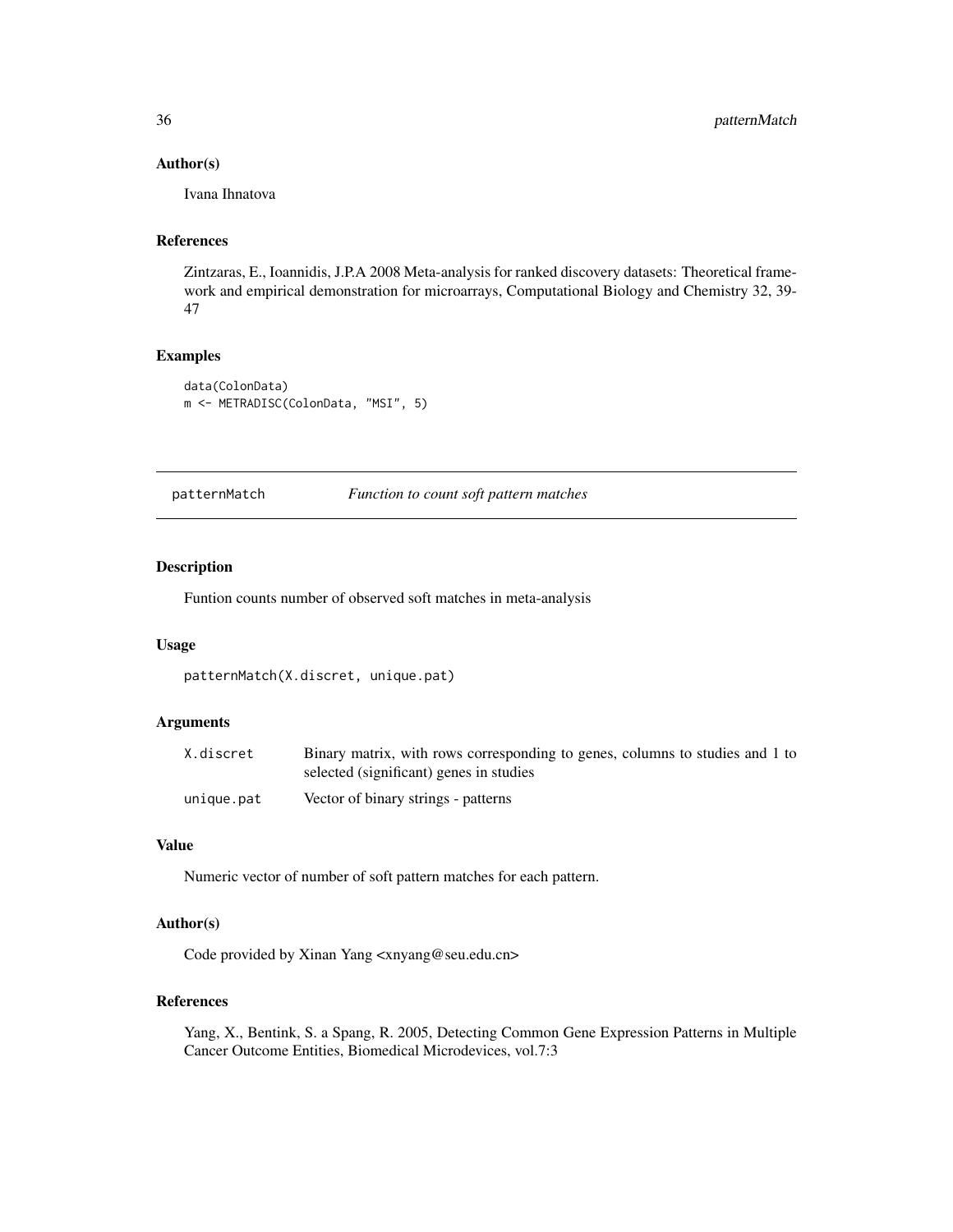#### Author(s)

Ivana Ihnatova

### References

Zintzaras, E., Ioannidis, J.P.A 2008 Meta-analysis for ranked discovery datasets: Theoretical framework and empirical demonstration for microarrays, Computational Biology and Chemistry 32, 39- 47

#### Examples

```
data(ColonData)
m <- METRADISC(ColonData, "MSI", 5)
```
patternMatch *Function to count soft pattern matches*

#### Description

Funtion counts number of observed soft matches in meta-analysis

#### Usage

```
patternMatch(X.discret, unique.pat)
```
#### Arguments

| X.discret  | Binary matrix, with rows corresponding to genes, columns to studies and 1 to |
|------------|------------------------------------------------------------------------------|
|            | selected (significant) genes in studies                                      |
| unique.pat | Vector of binary strings - patterns                                          |

#### Value

Numeric vector of number of soft pattern matches for each pattern.

### Author(s)

Code provided by Xinan Yang <xnyang@seu.edu.cn>

#### References

Yang, X., Bentink, S. a Spang, R. 2005, Detecting Common Gene Expression Patterns in Multiple Cancer Outcome Entities, Biomedical Microdevices, vol.7:3

<span id="page-35-0"></span>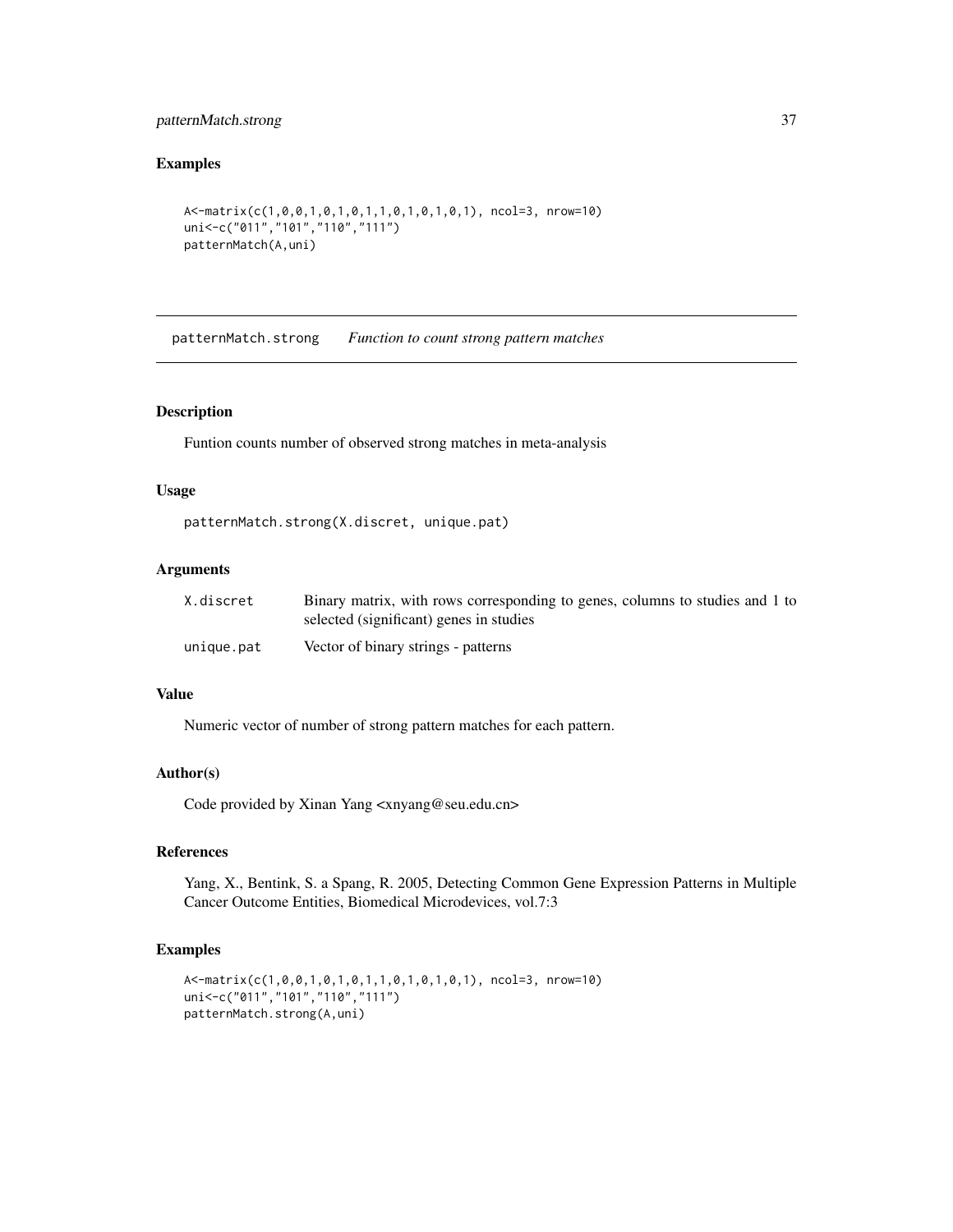### <span id="page-36-0"></span>patternMatch.strong 37

### Examples

```
A<-matrix(c(1,0,0,1,0,1,0,1,1,0,1,0,1,0,1), ncol=3, nrow=10)
uni<-c("011","101","110","111")
patternMatch(A,uni)
```
patternMatch.strong *Function to count strong pattern matches*

### Description

Funtion counts number of observed strong matches in meta-analysis

#### Usage

```
patternMatch.strong(X.discret, unique.pat)
```
#### Arguments

| X.discret  | Binary matrix, with rows corresponding to genes, columns to studies and 1 to |
|------------|------------------------------------------------------------------------------|
|            | selected (significant) genes in studies                                      |
| unique.pat | Vector of binary strings - patterns                                          |

#### Value

Numeric vector of number of strong pattern matches for each pattern.

#### Author(s)

Code provided by Xinan Yang <xnyang@seu.edu.cn>

#### References

Yang, X., Bentink, S. a Spang, R. 2005, Detecting Common Gene Expression Patterns in Multiple Cancer Outcome Entities, Biomedical Microdevices, vol.7:3

```
A<-matrix(c(1,0,0,1,0,1,0,1,1,0,1,0,1,0,1), ncol=3, nrow=10)
uni<-c("011","101","110","111")
patternMatch.strong(A,uni)
```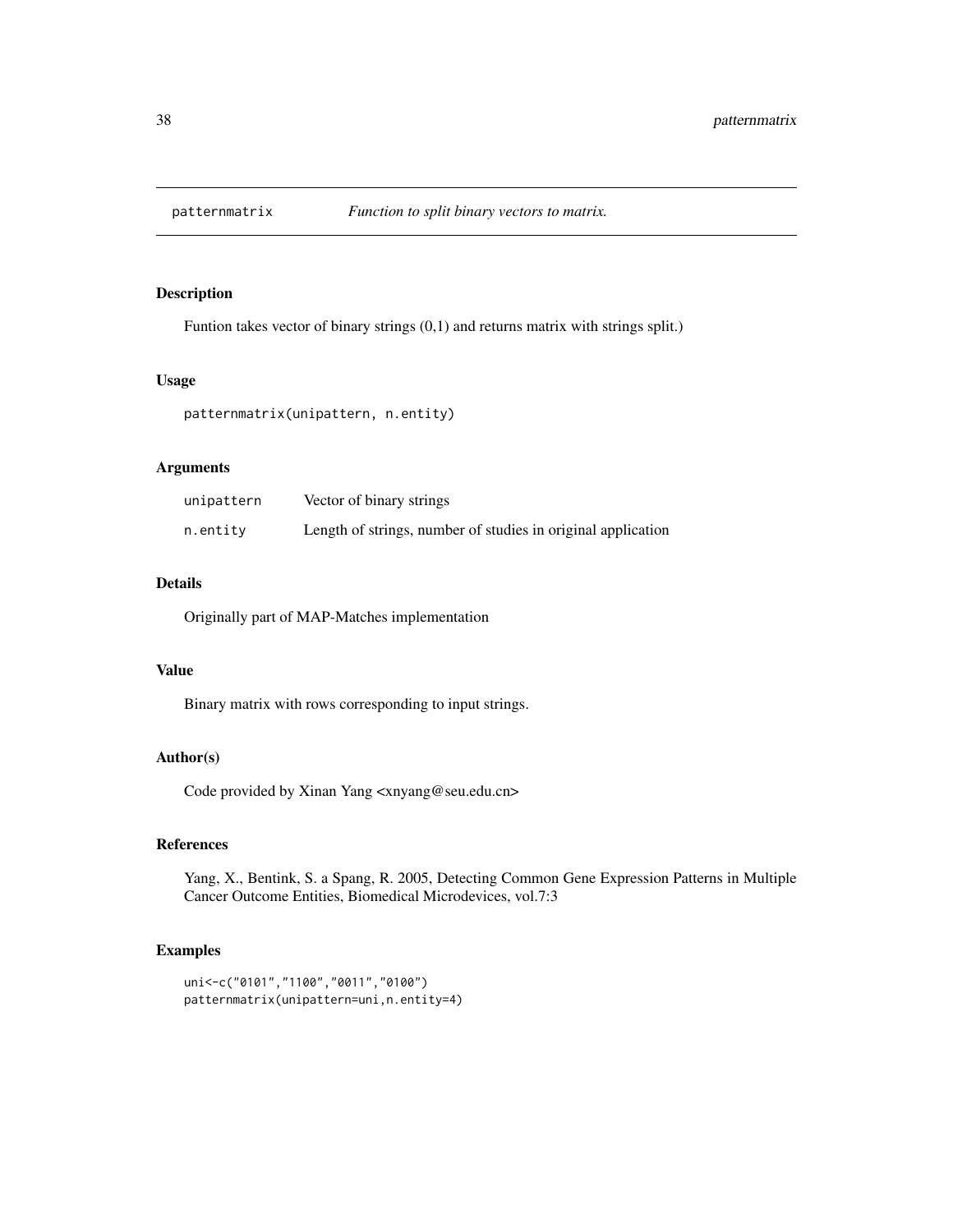<span id="page-37-0"></span>

Funtion takes vector of binary strings (0,1) and returns matrix with strings split.)

### Usage

patternmatrix(unipattern, n.entity)

#### Arguments

| unipattern | Vector of binary strings                                     |
|------------|--------------------------------------------------------------|
| n.entity   | Length of strings, number of studies in original application |

### Details

Originally part of MAP-Matches implementation

#### Value

Binary matrix with rows corresponding to input strings.

### Author(s)

Code provided by Xinan Yang <xnyang@seu.edu.cn>

### References

Yang, X., Bentink, S. a Spang, R. 2005, Detecting Common Gene Expression Patterns in Multiple Cancer Outcome Entities, Biomedical Microdevices, vol.7:3

```
uni<-c("0101","1100","0011","0100")
patternmatrix(unipattern=uni,n.entity=4)
```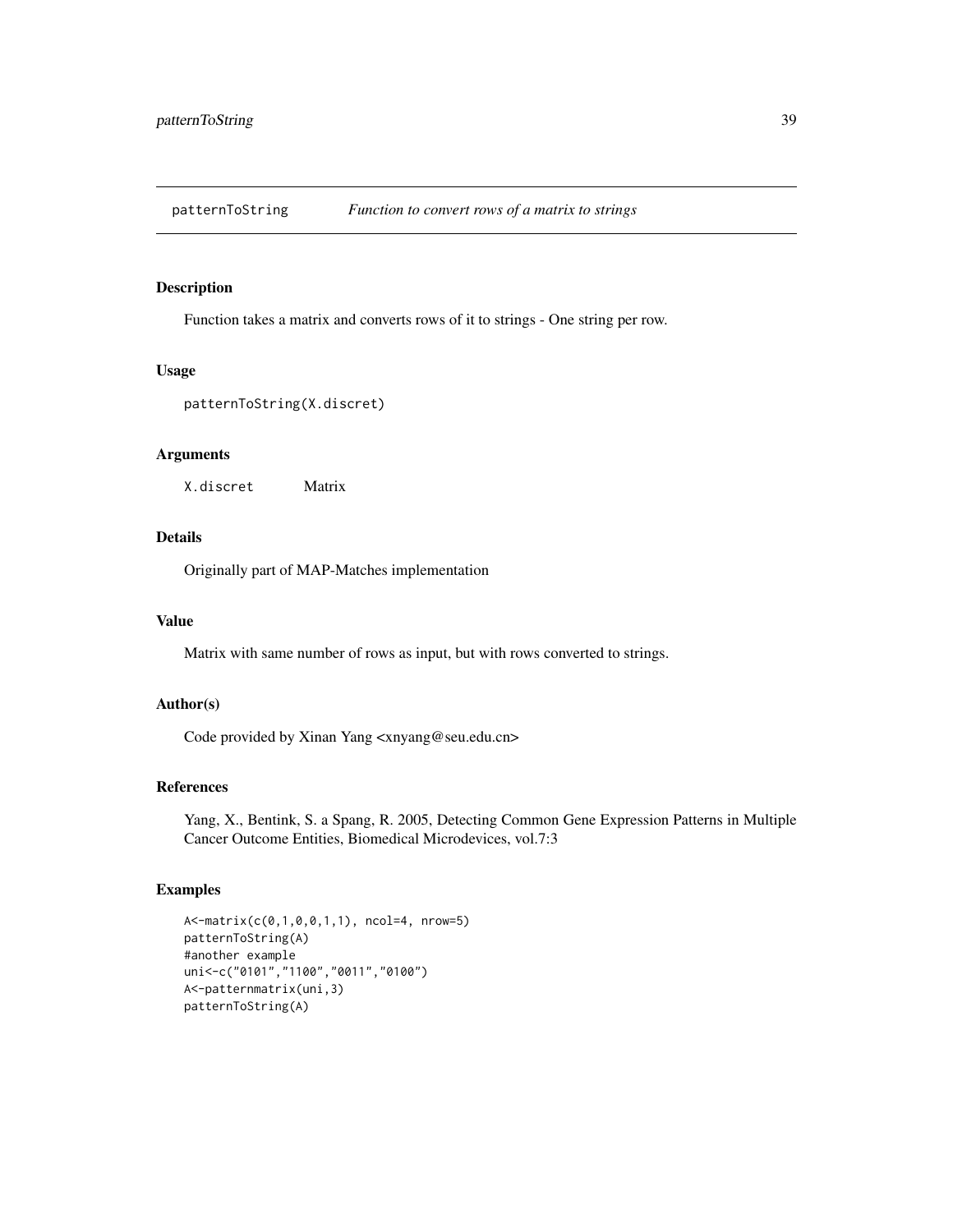<span id="page-38-0"></span>patternToString *Function to convert rows of a matrix to strings*

#### Description

Function takes a matrix and converts rows of it to strings - One string per row.

#### Usage

```
patternToString(X.discret)
```
### Arguments

X.discret Matrix

### Details

Originally part of MAP-Matches implementation

### Value

Matrix with same number of rows as input, but with rows converted to strings.

### Author(s)

Code provided by Xinan Yang <xnyang@seu.edu.cn>

### References

Yang, X., Bentink, S. a Spang, R. 2005, Detecting Common Gene Expression Patterns in Multiple Cancer Outcome Entities, Biomedical Microdevices, vol.7:3

```
A<-matrix(c(0,1,0,0,1,1), ncol=4, nrow=5)
patternToString(A)
#another example
uni<-c("0101","1100","0011","0100")
A<-patternmatrix(uni,3)
patternToString(A)
```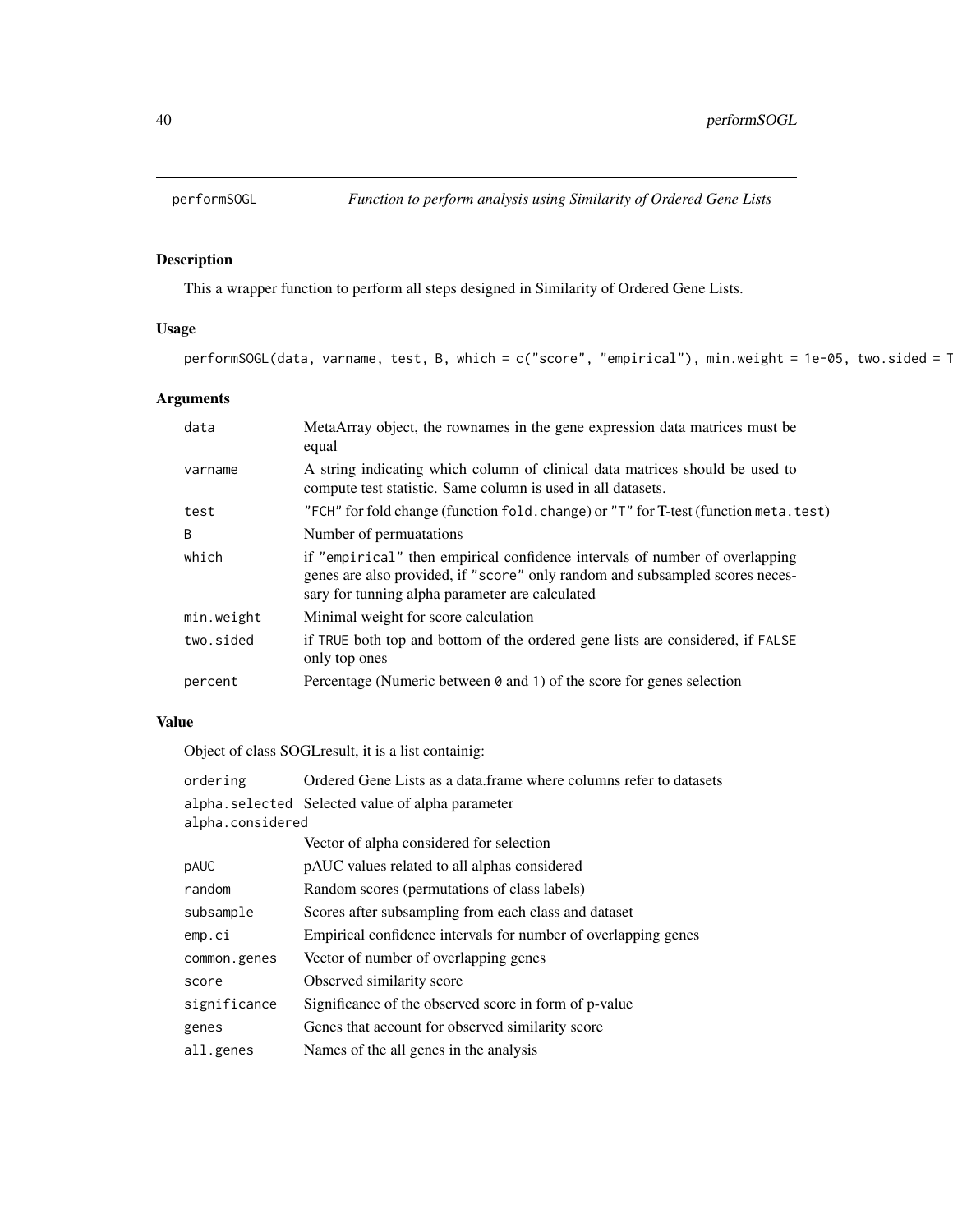<span id="page-39-0"></span>

This a wrapper function to perform all steps designed in Similarity of Ordered Gene Lists.

### Usage

performSOGL(data, varname, test, B, which = c("score", "empirical"), min.weight = 1e-05, two.sided = 1

### Arguments

| data         | MetaArray object, the rownames in the gene expression data matrices must be<br>equal                                                                                                                           |
|--------------|----------------------------------------------------------------------------------------------------------------------------------------------------------------------------------------------------------------|
| varname      | A string indicating which column of clinical data matrices should be used to<br>compute test statistic. Same column is used in all datasets.                                                                   |
| test         | "FCH" for fold change (function fold. change) or "T" for T-test (function meta. test)                                                                                                                          |
| <sub>R</sub> | Number of permuatations                                                                                                                                                                                        |
| which        | if "empirical" then empirical confidence intervals of number of overlapping<br>genes are also provided, if "score" only random and subsampled scores neces-<br>sary for tunning alpha parameter are calculated |
| min.weight   | Minimal weight for score calculation                                                                                                                                                                           |
| two.sided    | if TRUE both top and bottom of the ordered gene lists are considered, if FALSE<br>only top ones                                                                                                                |
| percent      | Percentage (Numeric between $\theta$ and 1) of the score for genes selection                                                                                                                                   |

### Value

Object of class SOGLresult, it is a list containig:

| ordering         | Ordered Gene Lists as a data. frame where columns refer to datasets |
|------------------|---------------------------------------------------------------------|
|                  | alpha.selected Selected value of alpha parameter                    |
| alpha.considered |                                                                     |
|                  | Vector of alpha considered for selection                            |
| pAUC             | pAUC values related to all alphas considered                        |
| random           | Random scores (permutations of class labels)                        |
| subsample        | Scores after subsampling from each class and dataset                |
| emp.ci           | Empirical confidence intervals for number of overlapping genes      |
| common.genes     | Vector of number of overlapping genes                               |
| score            | Observed similarity score                                           |
| significance     | Significance of the observed score in form of p-value               |
| genes            | Genes that account for observed similarity score                    |
| all.genes        | Names of the all genes in the analysis                              |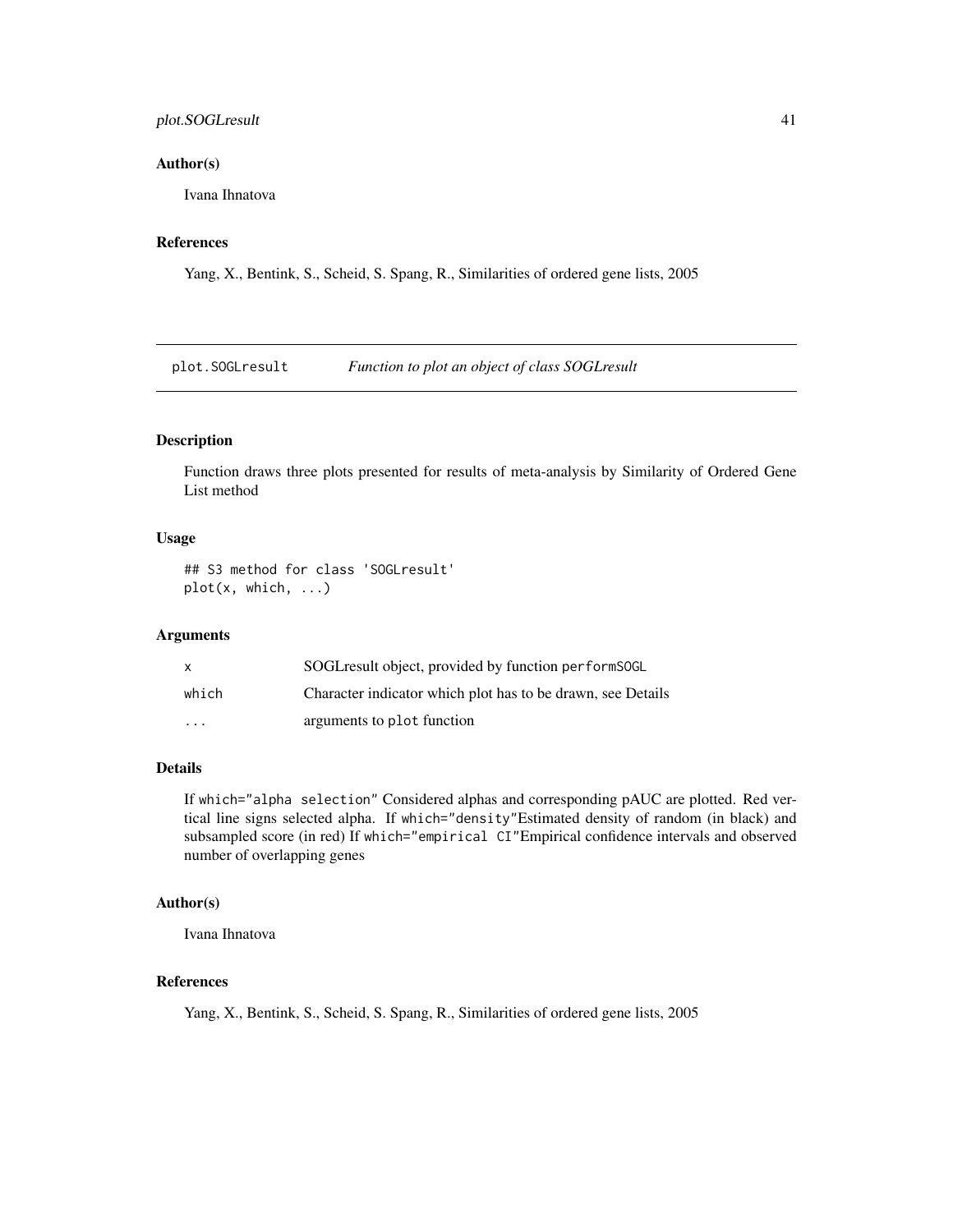### <span id="page-40-0"></span>plot.SOGLresult 41

#### Author(s)

Ivana Ihnatova

### References

Yang, X., Bentink, S., Scheid, S. Spang, R., Similarities of ordered gene lists, 2005

plot.SOGLresult *Function to plot an object of class SOGLresult*

### Description

Function draws three plots presented for results of meta-analysis by Similarity of Ordered Gene List method

### Usage

## S3 method for class 'SOGLresult' plot(x, which, ...)

#### Arguments

| X       | SOGL result object, provided by function performSOGL        |
|---------|-------------------------------------------------------------|
| which   | Character indicator which plot has to be drawn, see Details |
| $\cdot$ | arguments to plot function                                  |

### Details

If which="alpha selection" Considered alphas and corresponding pAUC are plotted. Red vertical line signs selected alpha. If which="density"Estimated density of random (in black) and subsampled score (in red) If which="empirical CI"Empirical confidence intervals and observed number of overlapping genes

#### Author(s)

Ivana Ihnatova

#### References

Yang, X., Bentink, S., Scheid, S. Spang, R., Similarities of ordered gene lists, 2005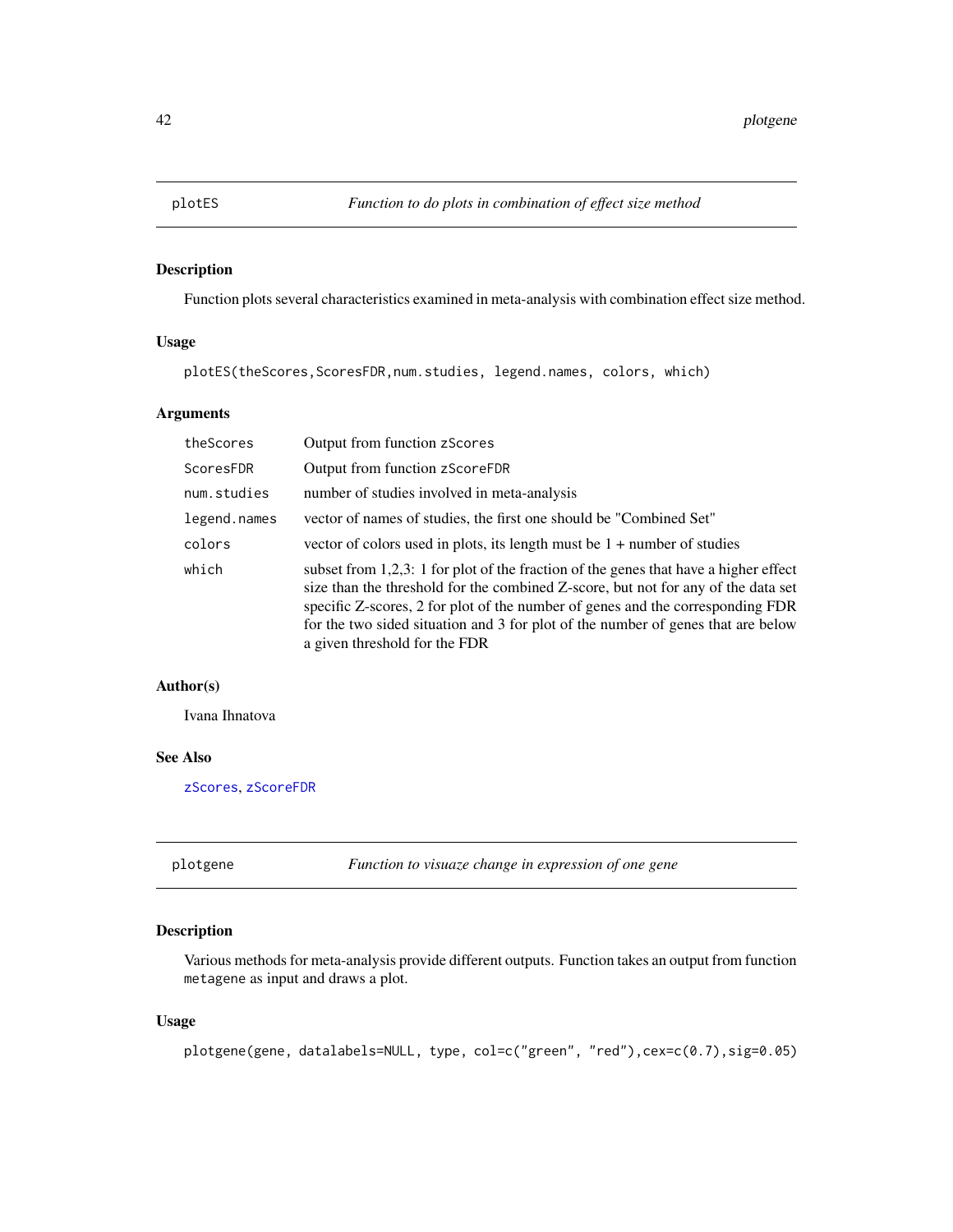<span id="page-41-0"></span>

Function plots several characteristics examined in meta-analysis with combination effect size method.

### Usage

plotES(theScores,ScoresFDR,num.studies, legend.names, colors, which)

### Arguments

| theScores    | Output from function zScores                                                                                                                                                                                                                                                                                                                                                        |
|--------------|-------------------------------------------------------------------------------------------------------------------------------------------------------------------------------------------------------------------------------------------------------------------------------------------------------------------------------------------------------------------------------------|
| ScoresFDR    | Output from function zScoreFDR                                                                                                                                                                                                                                                                                                                                                      |
| num.studies  | number of studies involved in meta-analysis                                                                                                                                                                                                                                                                                                                                         |
| legend.names | vector of names of studies, the first one should be "Combined Set"                                                                                                                                                                                                                                                                                                                  |
| colors       | vector of colors used in plots, its length must be $1 +$ number of studies                                                                                                                                                                                                                                                                                                          |
| which        | subset from $1,2,3$ : 1 for plot of the fraction of the genes that have a higher effect<br>size than the threshold for the combined Z-score, but not for any of the data set<br>specific Z-scores, 2 for plot of the number of genes and the corresponding FDR<br>for the two sided situation and 3 for plot of the number of genes that are below<br>a given threshold for the FDR |

### Author(s)

Ivana Ihnatova

### See Also

[zScores](#page-62-1), [zScoreFDR](#page-62-2)

plotgene *Function to visuaze change in expression of one gene*

### Description

Various methods for meta-analysis provide different outputs. Function takes an output from function metagene as input and draws a plot.

#### Usage

```
plotgene(gene, datalabels=NULL, type, col=c("green", "red"),cex=c(0.7),sig=0.05)
```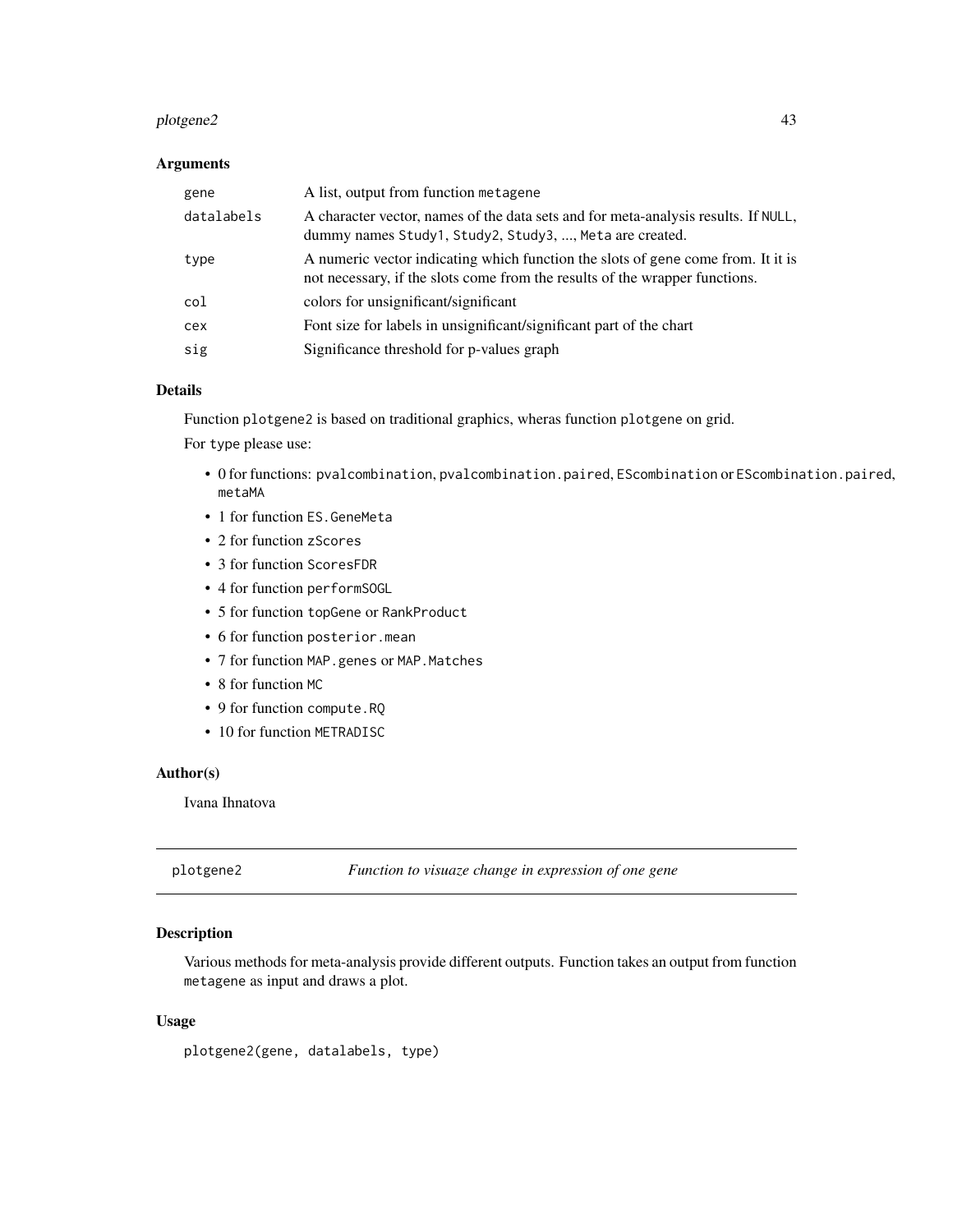#### <span id="page-42-0"></span>plotgene2 43

### Arguments

| gene       | A list, output from function metagene                                                                                                                           |
|------------|-----------------------------------------------------------------------------------------------------------------------------------------------------------------|
| datalabels | A character vector, names of the data sets and for meta-analysis results. If NULL,<br>dummy names Study1, Study2, Study3, , Meta are created.                   |
| type       | A numeric vector indicating which function the slots of gene come from. It it is<br>not necessary, if the slots come from the results of the wrapper functions. |
| col        | colors for unsignificant/significant                                                                                                                            |
| cex        | Font size for labels in unsignificant/significant part of the chart                                                                                             |
| sig        | Significance threshold for p-values graph                                                                                                                       |

#### Details

Function plotgene2 is based on traditional graphics, wheras function plotgene on grid.

For type please use:

- 0 for functions: pvalcombination, pvalcombination.paired, EScombination or EScombination.paired, metaMA
- 1 for function ES.GeneMeta
- 2 for function zScores
- 3 for function ScoresFDR
- 4 for function performSOGL
- 5 for function topGene or RankProduct
- 6 for function posterior.mean
- 7 for function MAP.genes or MAP. Matches
- 8 for function MC
- 9 for function compute.RQ
- 10 for function METRADISC

### Author(s)

Ivana Ihnatova

plotgene2 *Function to visuaze change in expression of one gene*

### Description

Various methods for meta-analysis provide different outputs. Function takes an output from function metagene as input and draws a plot.

#### Usage

plotgene2(gene, datalabels, type)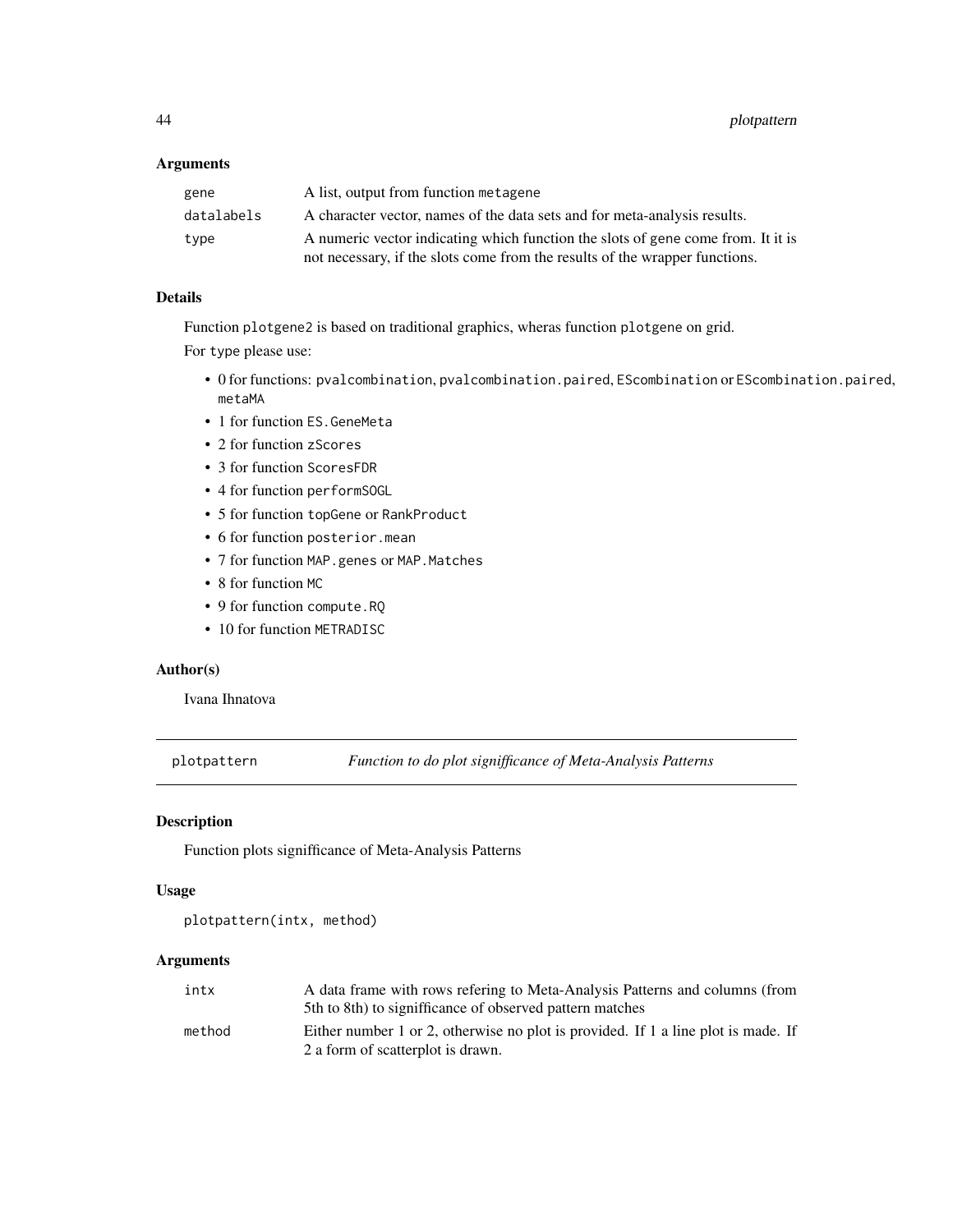<span id="page-43-0"></span>

| gene       | A list, output from function metagene                                                                                                                           |
|------------|-----------------------------------------------------------------------------------------------------------------------------------------------------------------|
| datalabels | A character vector, names of the data sets and for meta-analysis results.                                                                                       |
| type       | A numeric vector indicating which function the slots of gene come from. It it is<br>not necessary, if the slots come from the results of the wrapper functions. |
|            |                                                                                                                                                                 |

### Details

Function plotgene2 is based on traditional graphics, wheras function plotgene on grid.

For type please use:

- 0 for functions: pvalcombination, pvalcombination.paired, EScombination or EScombination.paired, metaMA
- 1 for function ES.GeneMeta
- 2 for function zScores
- 3 for function ScoresFDR
- 4 for function performSOGL
- 5 for function topGene or RankProduct
- 6 for function posterior.mean
- 7 for function MAP.genes or MAP. Matches
- 8 for function MC
- 9 for function compute.RQ
- 10 for function METRADISC

### Author(s)

Ivana Ihnatova

plotpattern *Function to do plot signifficance of Meta-Analysis Patterns*

### Description

Function plots signifficance of Meta-Analysis Patterns

### Usage

```
plotpattern(intx, method)
```
### Arguments

| intx   | A data frame with rows refering to Meta-Analysis Patterns and columns (from                                            |
|--------|------------------------------------------------------------------------------------------------------------------------|
|        | 5th to 8th) to signifficance of observed pattern matches                                                               |
| method | Either number 1 or 2, otherwise no plot is provided. If 1 a line plot is made. If<br>2 a form of scatterplot is drawn. |
|        |                                                                                                                        |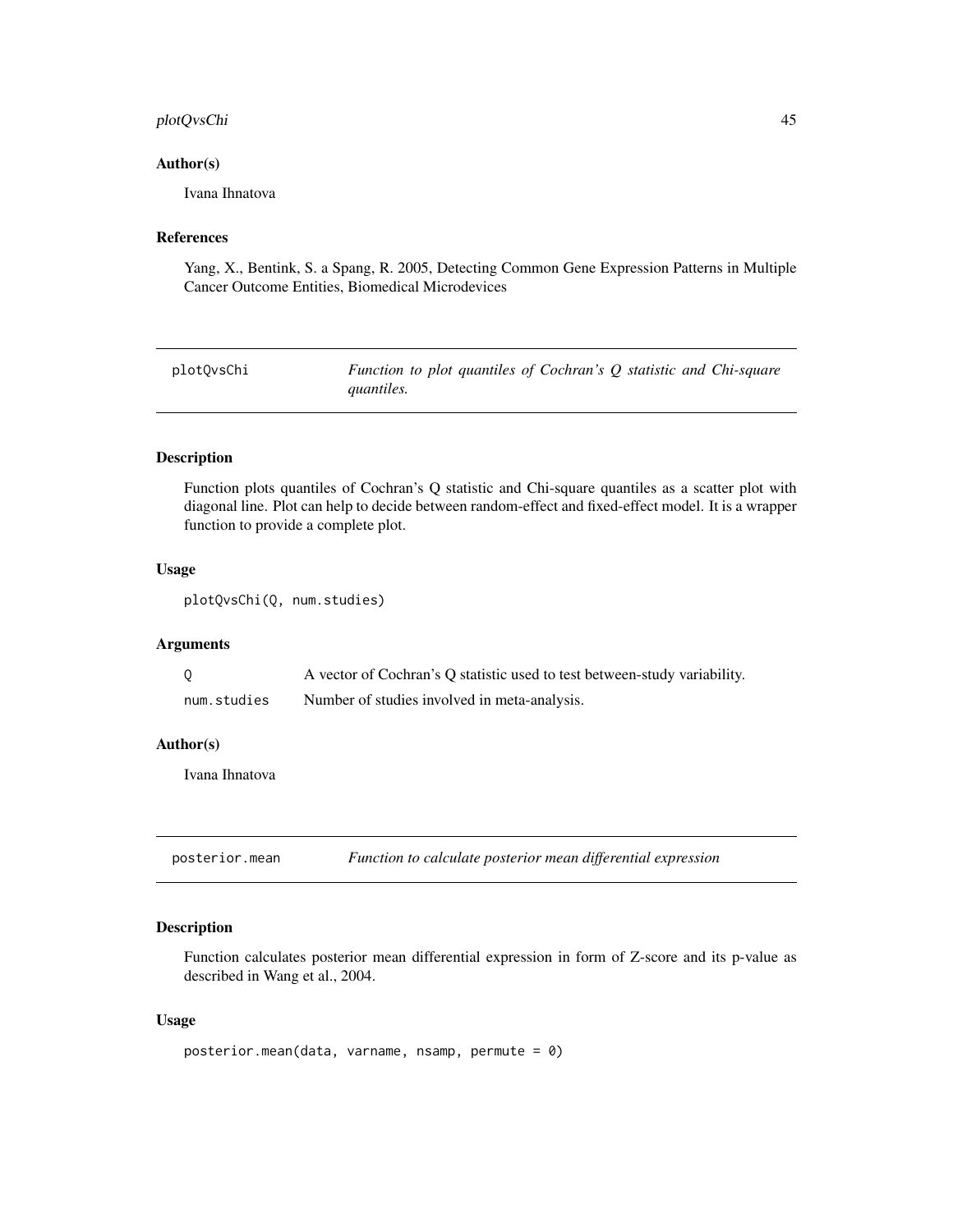### <span id="page-44-0"></span>plotQvsChi 45

#### Author(s)

Ivana Ihnatova

#### References

Yang, X., Bentink, S. a Spang, R. 2005, Detecting Common Gene Expression Patterns in Multiple Cancer Outcome Entities, Biomedical Microdevices

| plotOvsChi | Function to plot quantiles of Cochran's Q statistic and Chi-square |
|------------|--------------------------------------------------------------------|
|            | <i>quantiles.</i>                                                  |

#### Description

Function plots quantiles of Cochran's Q statistic and Chi-square quantiles as a scatter plot with diagonal line. Plot can help to decide between random-effect and fixed-effect model. It is a wrapper function to provide a complete plot.

#### Usage

plotQvsChi(Q, num.studies)

### Arguments

|             | A vector of Cochran's Q statistic used to test between-study variability. |
|-------------|---------------------------------------------------------------------------|
| num.studies | Number of studies involved in meta-analysis.                              |

#### Author(s)

Ivana Ihnatova

posterior.mean *Function to calculate posterior mean differential expression*

#### Description

Function calculates posterior mean differential expression in form of Z-score and its p-value as described in Wang et al., 2004.

#### Usage

```
posterior.mean(data, varname, nsamp, permute = 0)
```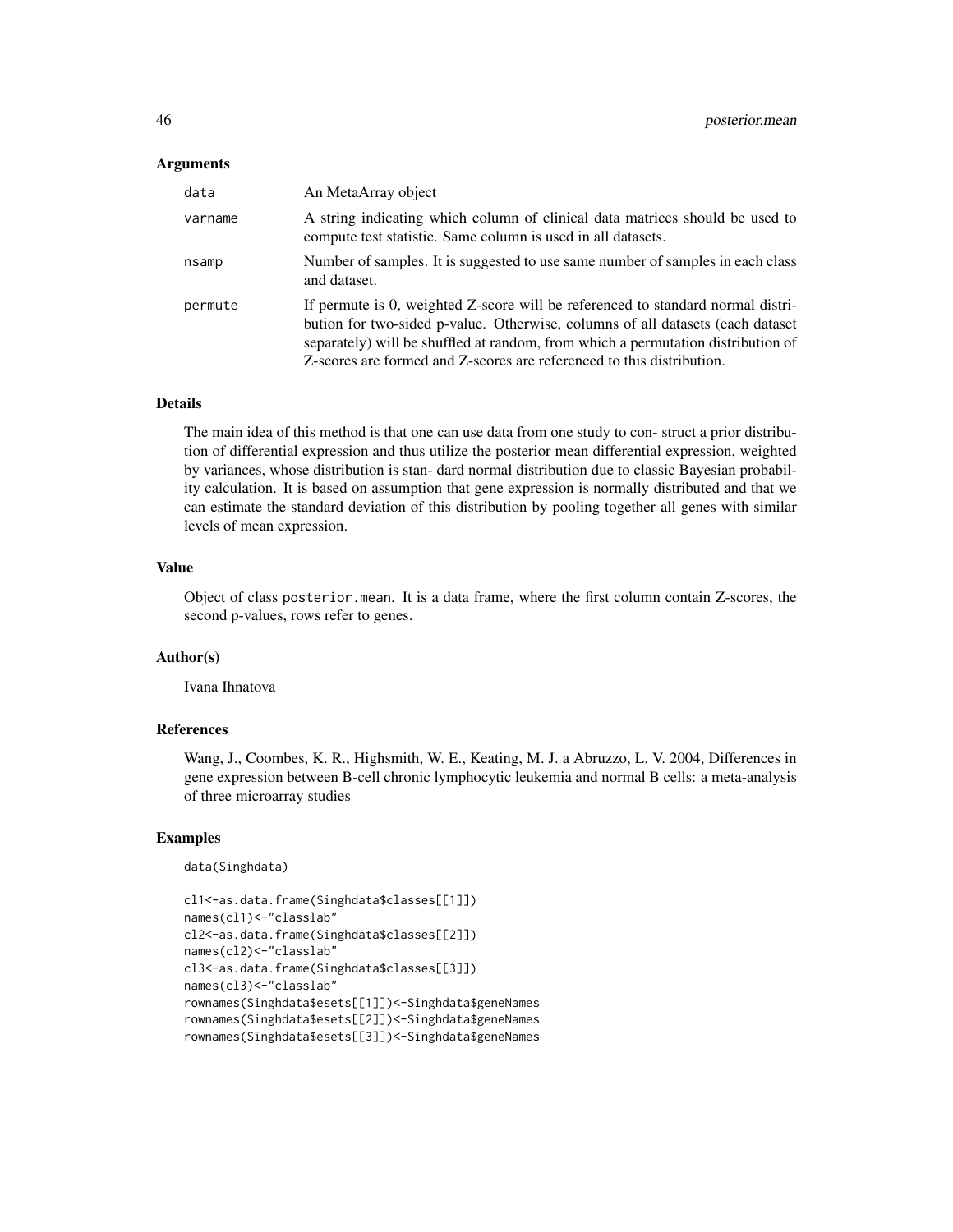| data    | An MetaArray object                                                                                                                                                                                                                                                                                                             |
|---------|---------------------------------------------------------------------------------------------------------------------------------------------------------------------------------------------------------------------------------------------------------------------------------------------------------------------------------|
| varname | A string indicating which column of clinical data matrices should be used to<br>compute test statistic. Same column is used in all datasets.                                                                                                                                                                                    |
| nsamp   | Number of samples. It is suggested to use same number of samples in each class<br>and dataset.                                                                                                                                                                                                                                  |
| permute | If permute is 0, weighted Z-score will be referenced to standard normal distri-<br>bution for two-sided p-value. Otherwise, columns of all datasets (each dataset)<br>separately) will be shuffled at random, from which a permutation distribution of<br>Z-scores are formed and Z-scores are referenced to this distribution. |

### Details

The main idea of this method is that one can use data from one study to con- struct a prior distribution of differential expression and thus utilize the posterior mean differential expression, weighted by variances, whose distribution is stan- dard normal distribution due to classic Bayesian probability calculation. It is based on assumption that gene expression is normally distributed and that we can estimate the standard deviation of this distribution by pooling together all genes with similar levels of mean expression.

### Value

Object of class posterior.mean. It is a data frame, where the first column contain Z-scores, the second p-values, rows refer to genes.

### Author(s)

Ivana Ihnatova

### References

Wang, J., Coombes, K. R., Highsmith, W. E., Keating, M. J. a Abruzzo, L. V. 2004, Differences in gene expression between B-cell chronic lymphocytic leukemia and normal B cells: a meta-analysis of three microarray studies

```
data(Singhdata)
```

```
cl1<-as.data.frame(Singhdata$classes[[1]])
names(cl1)<-"classlab"
cl2<-as.data.frame(Singhdata$classes[[2]])
names(cl2)<-"classlab"
cl3<-as.data.frame(Singhdata$classes[[3]])
names(cl3)<-"classlab"
rownames(Singhdata$esets[[1]])<-Singhdata$geneNames
rownames(Singhdata$esets[[2]])<-Singhdata$geneNames
rownames(Singhdata$esets[[3]])<-Singhdata$geneNames
```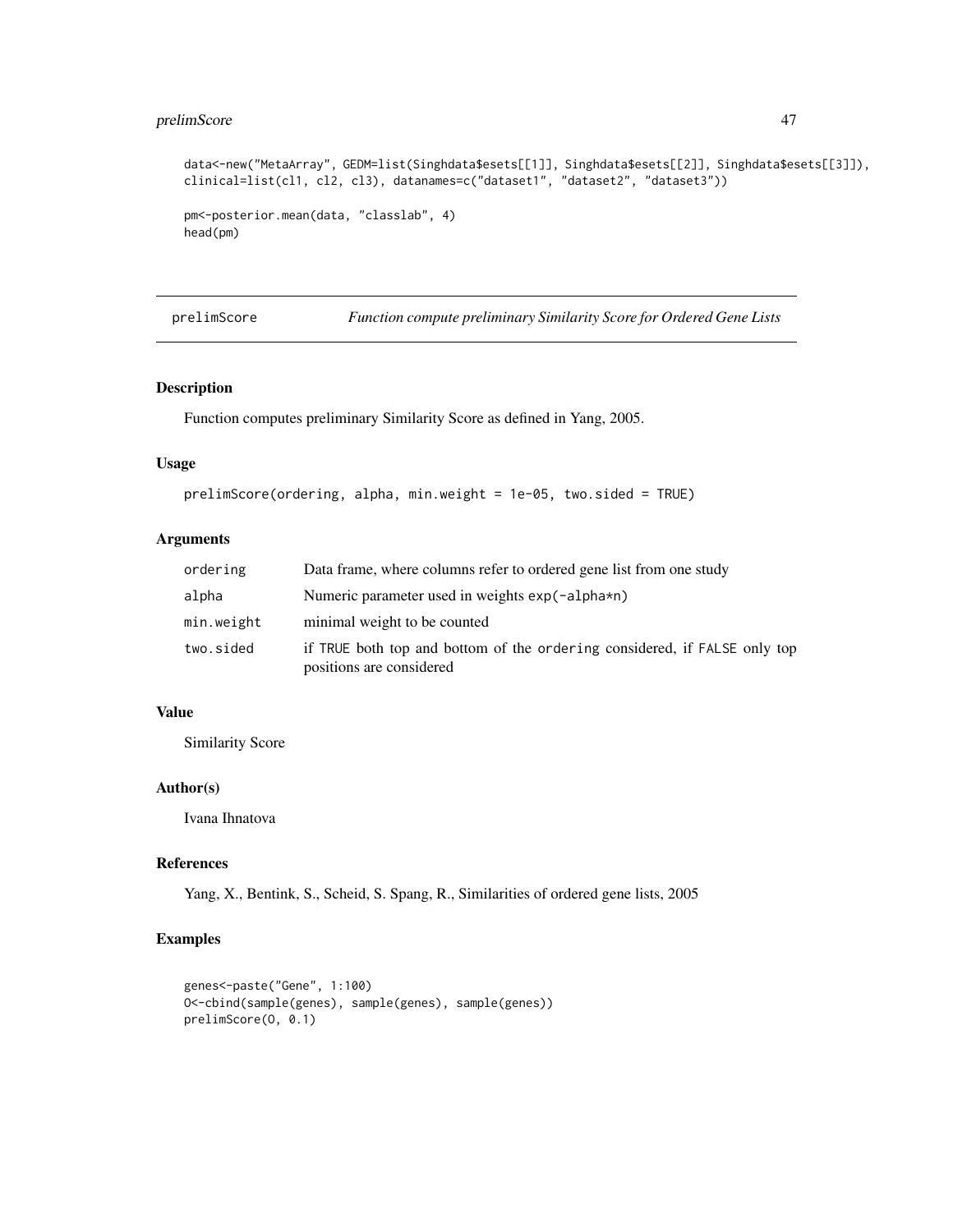### <span id="page-46-0"></span>prelimScore  $47$

```
data<-new("MetaArray", GEDM=list(Singhdata$esets[[1]], Singhdata$esets[[2]], Singhdata$esets[[3]]),
clinical=list(cl1, cl2, cl3), datanames=c("dataset1", "dataset2", "dataset3"))
pm<-posterior.mean(data, "classlab", 4)
head(pm)
```
prelimScore *Function compute preliminary Similarity Score for Ordered Gene Lists*

### Description

Function computes preliminary Similarity Score as defined in Yang, 2005.

#### Usage

```
prelimScore(ordering, alpha, min.weight = 1e-05, two.sided = TRUE)
```
### Arguments

| ordering   | Data frame, where columns refer to ordered gene list from one study                                   |
|------------|-------------------------------------------------------------------------------------------------------|
| alpha      | Numeric parameter used in weights exp(-alpha*n)                                                       |
| min.weight | minimal weight to be counted                                                                          |
| two.sided  | if TRUE both top and bottom of the ordering considered, if FALSE only top<br>positions are considered |

### Value

Similarity Score

### Author(s)

Ivana Ihnatova

### References

Yang, X., Bentink, S., Scheid, S. Spang, R., Similarities of ordered gene lists, 2005

```
genes<-paste("Gene", 1:100)
O<-cbind(sample(genes), sample(genes), sample(genes))
prelimScore(O, 0.1)
```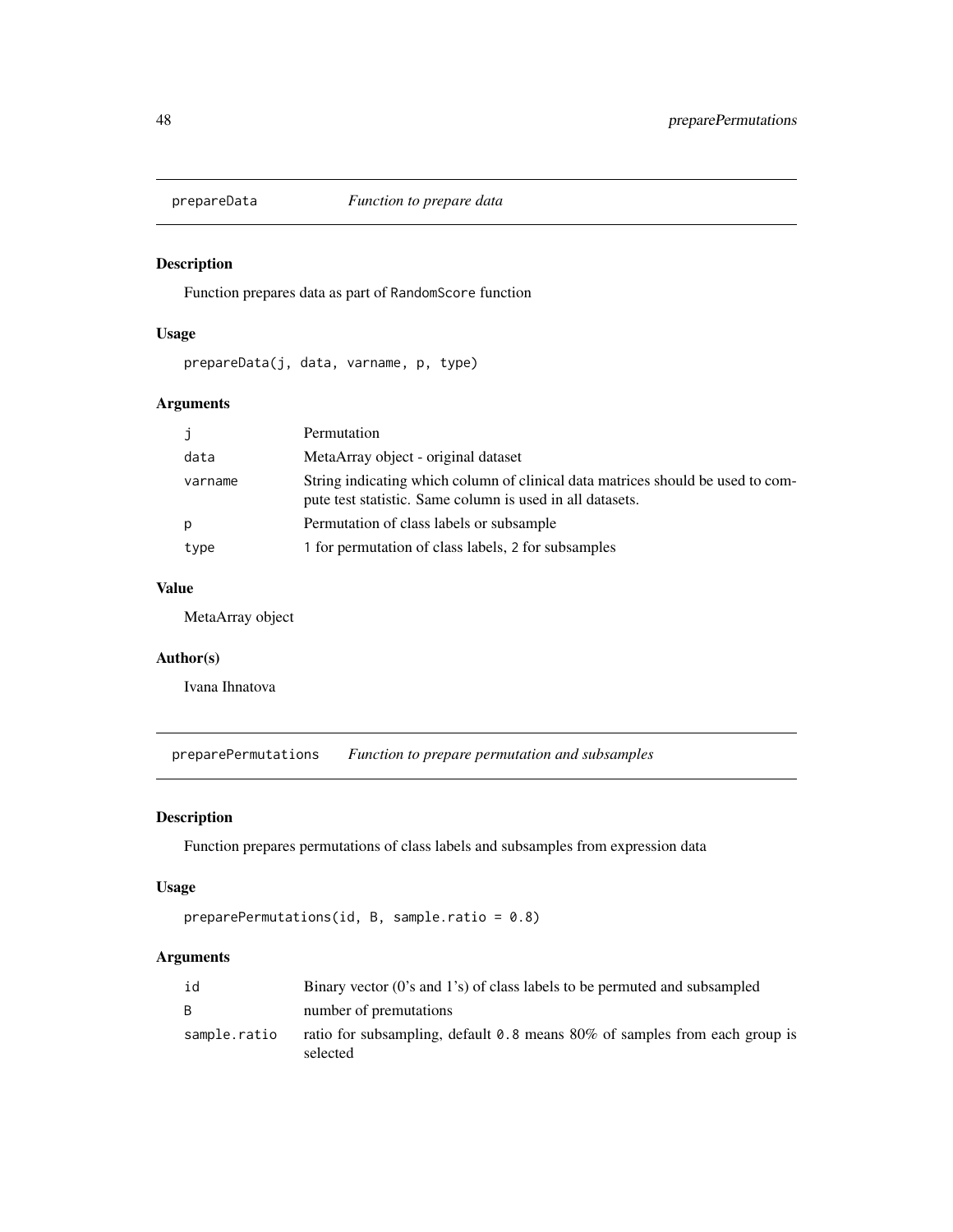<span id="page-47-0"></span>

Function prepares data as part of RandomScore function

### Usage

prepareData(j, data, varname, p, type)

### Arguments

| j       | Permutation                                                                                                                                  |
|---------|----------------------------------------------------------------------------------------------------------------------------------------------|
| data    | MetaArray object - original dataset                                                                                                          |
| varname | String indicating which column of clinical data matrices should be used to com-<br>pute test statistic. Same column is used in all datasets. |
| p       | Permutation of class labels or subsample                                                                                                     |
| type    | 1 for permutation of class labels, 2 for subsamples                                                                                          |

### Value

MetaArray object

#### Author(s)

Ivana Ihnatova

preparePermutations *Function to prepare permutation and subsamples*

### Description

Function prepares permutations of class labels and subsamples from expression data

#### Usage

```
preparePermutations(id, B, sample.ratio = 0.8)
```
### Arguments

| id           | Binary vector (0's and 1's) of class labels to be permuted and subsampled                 |
|--------------|-------------------------------------------------------------------------------------------|
| B.           | number of premutations                                                                    |
| sample.ratio | ratio for subsampling, default 0.8 means $80\%$ of samples from each group is<br>selected |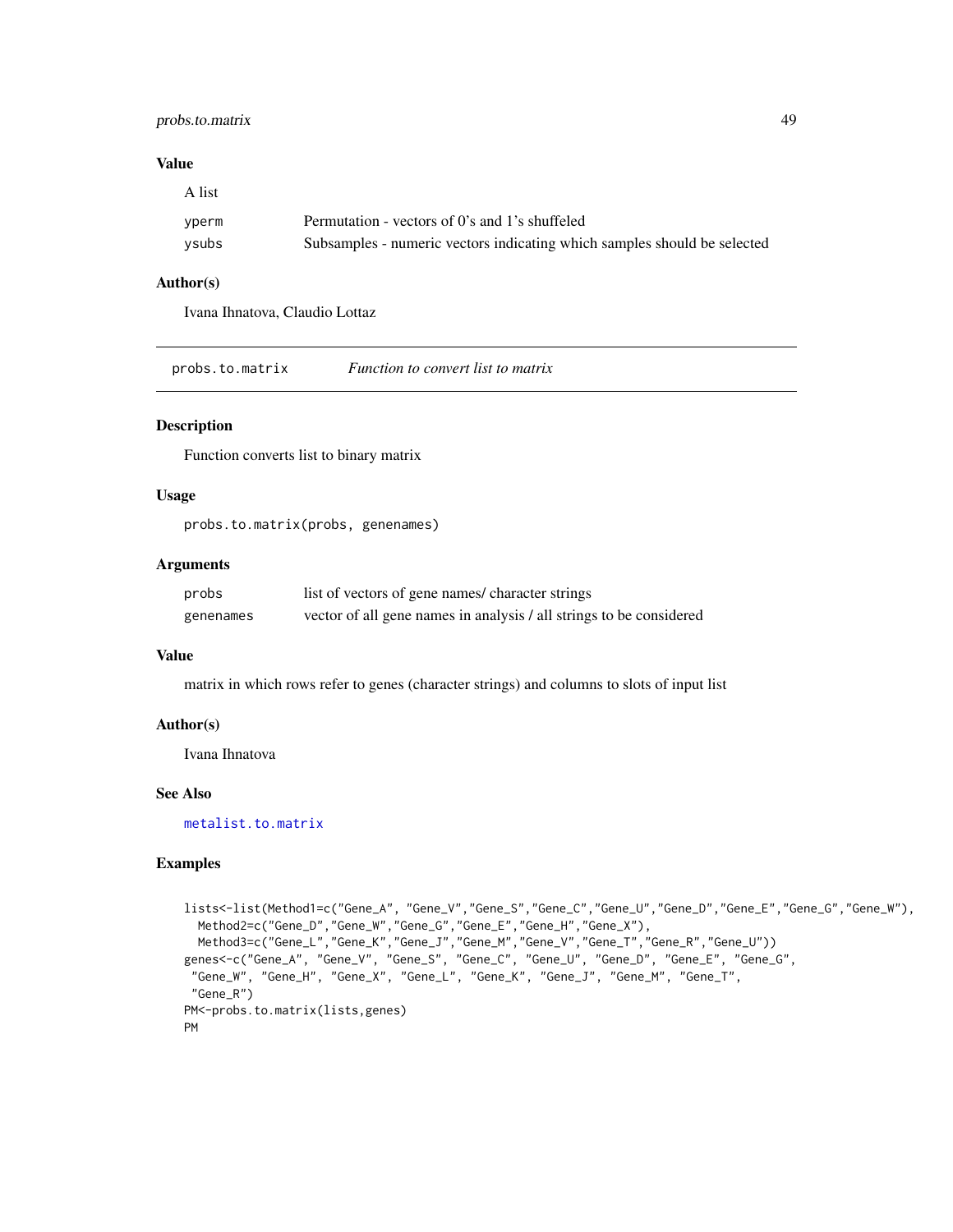### <span id="page-48-0"></span>probs.to.matrix 49

A list

#### Value

| .     |                                                                          |
|-------|--------------------------------------------------------------------------|
| yperm | Permutation - vectors of 0's and 1's shuffeled                           |
| ysubs | Subsamples - numeric vectors indicating which samples should be selected |

### Author(s)

Ivana Ihnatova, Claudio Lottaz

probs.to.matrix *Function to convert list to matrix*

### Description

Function converts list to binary matrix

#### Usage

probs.to.matrix(probs, genenames)

### Arguments

| probs     | list of vectors of gene names/ character strings                    |
|-----------|---------------------------------------------------------------------|
| genenames | vector of all gene names in analysis / all strings to be considered |

### Value

matrix in which rows refer to genes (character strings) and columns to slots of input list

### Author(s)

Ivana Ihnatova

### See Also

[metalist.to.matrix](#page-32-1)

```
lists<-list(Method1=c("Gene_A", "Gene_V","Gene_S","Gene_C","Gene_U","Gene_D","Gene_E","Gene_G","Gene_W"),
  Method2=c("Gene_D","Gene_W","Gene_G","Gene_E","Gene_H","Gene_X"),
  Method3=c("Gene_L","Gene_K","Gene_J","Gene_M","Gene_V","Gene_T","Gene_R","Gene_U"))
genes<-c("Gene_A", "Gene_V", "Gene_S", "Gene_C", "Gene_U", "Gene_D", "Gene_E", "Gene_G",
 "Gene_W", "Gene_H", "Gene_X", "Gene_L", "Gene_K", "Gene_J", "Gene_M", "Gene_T",
 "Gene_R")
PM<-probs.to.matrix(lists,genes)
PM
```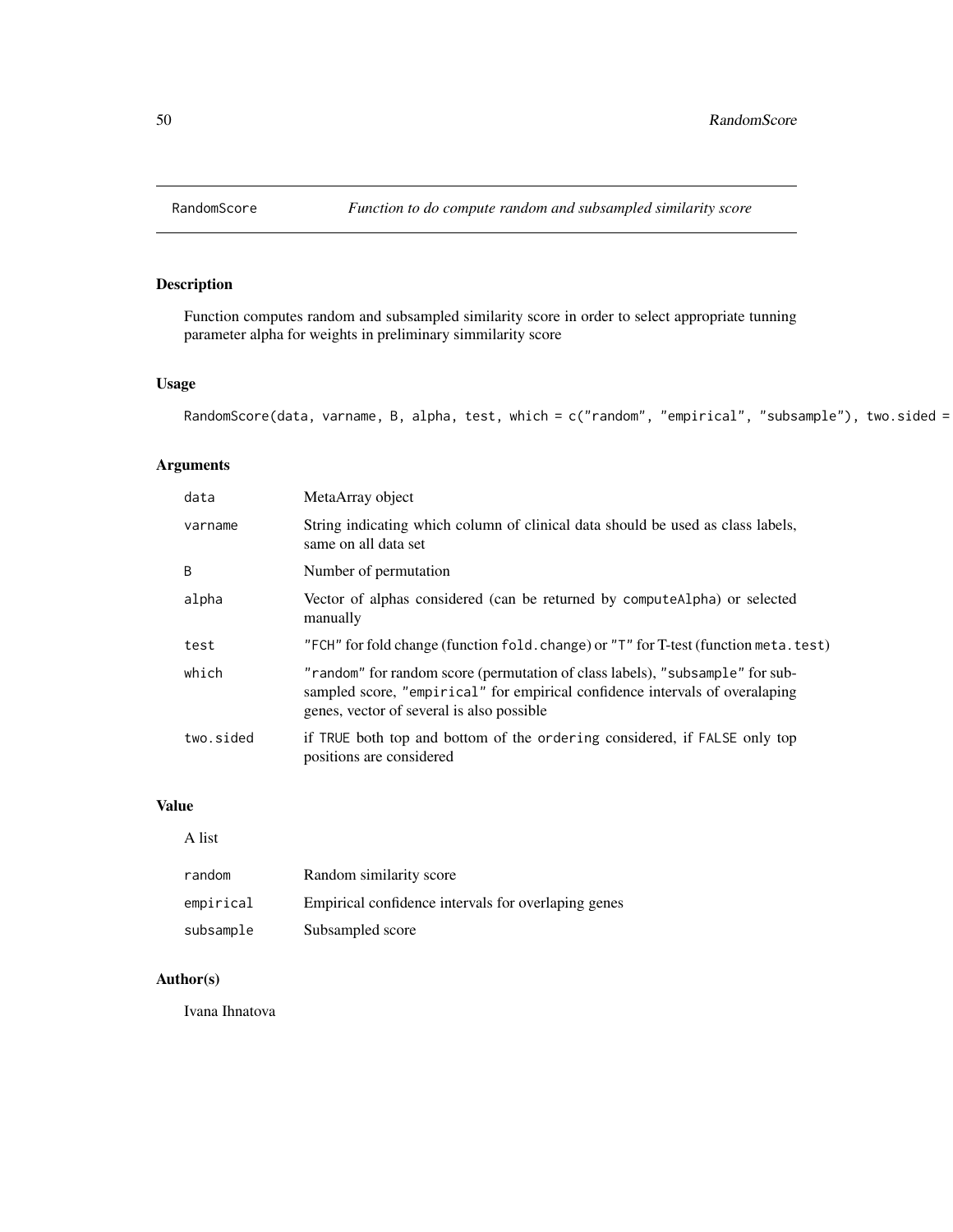<span id="page-49-1"></span><span id="page-49-0"></span>

Function computes random and subsampled similarity score in order to select appropriate tunning parameter alpha for weights in preliminary simmilarity score

### Usage

```
RandomScore(data, varname, B, alpha, test, which = c("random", "empirical", "subsample"), two.sided =
```
### Arguments

| data      | MetaArray object                                                                                                                                                                                           |
|-----------|------------------------------------------------------------------------------------------------------------------------------------------------------------------------------------------------------------|
| varname   | String indicating which column of clinical data should be used as class labels,<br>same on all data set                                                                                                    |
| B         | Number of permutation                                                                                                                                                                                      |
| alpha     | Vector of alphas considered (can be returned by computeAlpha) or selected<br>manually                                                                                                                      |
| test      | "FCH" for fold change (function fold. change) or "T" for T-test (function meta. test)                                                                                                                      |
| which     | "random" for random score (permutation of class labels), "subsample" for sub-<br>sampled score, "empirical" for empirical confidence intervals of overalaping<br>genes, vector of several is also possible |
| two.sided | if TRUE both top and bottom of the ordering considered, if FALSE only top<br>positions are considered                                                                                                      |

### Value

#### A list

| random    | Random similarity score                             |
|-----------|-----------------------------------------------------|
| empirical | Empirical confidence intervals for overlaping genes |
| subsample | Subsampled score                                    |

### Author(s)

Ivana Ihnatova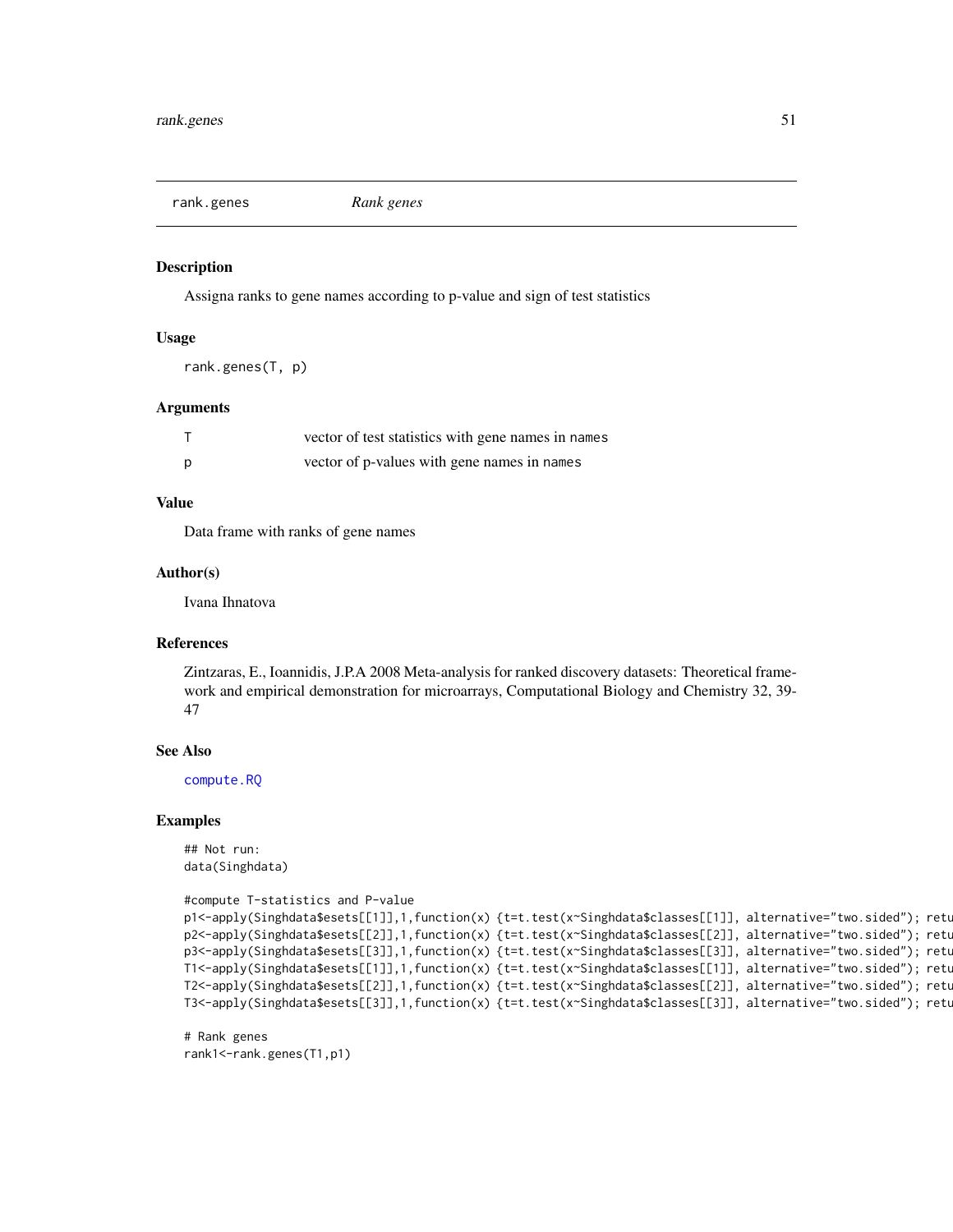<span id="page-50-1"></span><span id="page-50-0"></span>rank.genes *Rank genes*

#### Description

Assigna ranks to gene names according to p-value and sign of test statistics

#### Usage

```
rank.genes(T, p)
```
#### Arguments

|   | vector of test statistics with gene names in names |
|---|----------------------------------------------------|
| Ŋ | vector of p-values with gene names in names        |

#### Value

Data frame with ranks of gene names

#### Author(s)

Ivana Ihnatova

#### References

Zintzaras, E., Ioannidis, J.P.A 2008 Meta-analysis for ranked discovery datasets: Theoretical framework and empirical demonstration for microarrays, Computational Biology and Chemistry 32, 39- 47

#### See Also

[compute.RQ](#page-6-1)

#### Examples

## Not run: data(Singhdata)

```
#compute T-statistics and P-value
p1<-apply(Singhdata$esets[[1]],1,function(x) {t=t.test(x~Singhdata$classes[[1]], alternative="two.sided"); retu
p2<-apply(Singhdata$esets[[2]],1,function(x) {t=t.test(x~Singhdata$classes[[2]], alternative="two.sided"); retu
p3<-apply(Singhdata$esets[[3]],1,function(x) {t=t.test(x~Singhdata$classes[[3]], alternative="two.sided"); retu
T1<-apply(Singhdata$esets[[1]],1,function(x) {t=t.test(x~Singhdata$classes[[1]], alternative="two.sided"); retu
T2<-apply(Singhdata$esets[[2]],1,function(x) {t=t.test(x~Singhdata$classes[[2]], alternative="two.sided"); retu
T3<-apply(Singhdata$esets[[3]],1,function(x) {t=t.test(x~Singhdata$classes[[3]], alternative="two.sided"); retu
```
# Rank genes rank1<-rank.genes(T1,p1)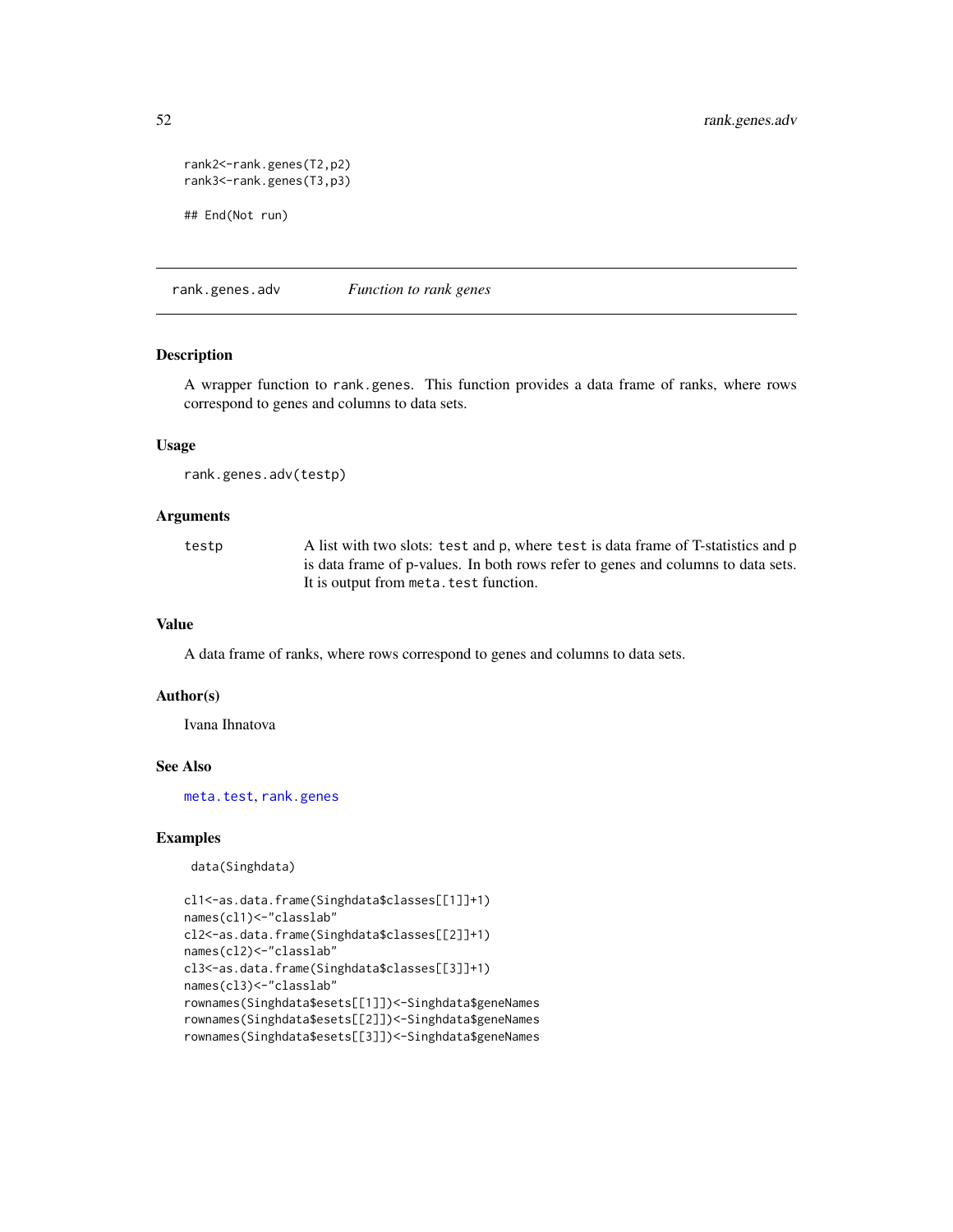```
rank2<-rank.genes(T2,p2)
rank3<-rank.genes(T3,p3)
## End(Not run)
```
rank.genes.adv *Function to rank genes*

#### Description

A wrapper function to rank.genes. This function provides a data frame of ranks, where rows correspond to genes and columns to data sets.

### Usage

```
rank.genes.adv(testp)
```
#### Arguments

testp A list with two slots: test and p, where test is data frame of T-statistics and p is data frame of p-values. In both rows refer to genes and columns to data sets. It is output from meta.test function.

### Value

A data frame of ranks, where rows correspond to genes and columns to data sets.

#### Author(s)

Ivana Ihnatova

#### See Also

[meta.test](#page-26-1), [rank.genes](#page-50-1)

### Examples

data(Singhdata)

```
cl1<-as.data.frame(Singhdata$classes[[1]]+1)
names(cl1)<-"classlab"
cl2<-as.data.frame(Singhdata$classes[[2]]+1)
names(cl2)<-"classlab"
cl3<-as.data.frame(Singhdata$classes[[3]]+1)
names(cl3)<-"classlab"
rownames(Singhdata$esets[[1]])<-Singhdata$geneNames
rownames(Singhdata$esets[[2]])<-Singhdata$geneNames
rownames(Singhdata$esets[[3]])<-Singhdata$geneNames
```
<span id="page-51-0"></span>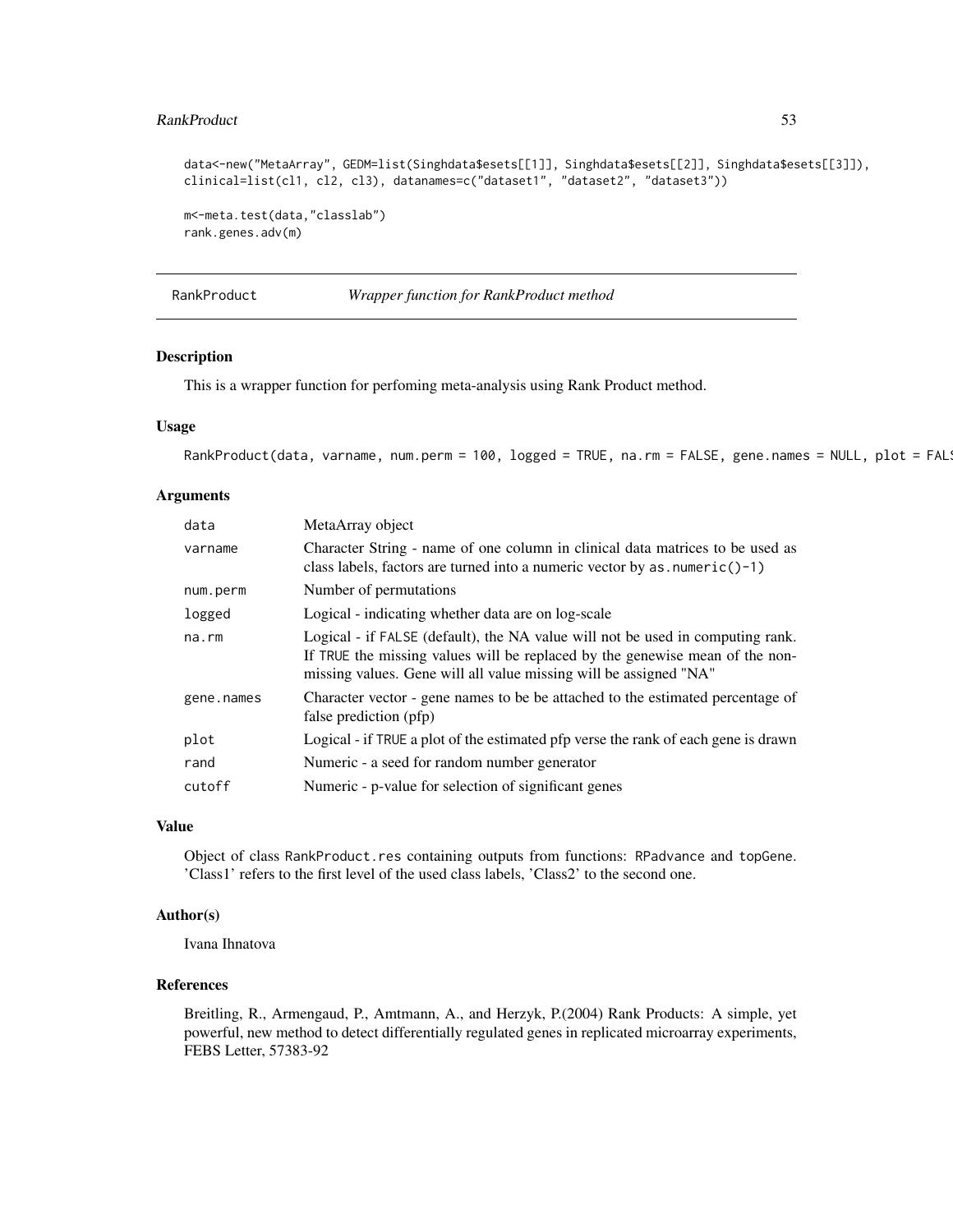#### <span id="page-52-0"></span>RankProduct 53

```
data<-new("MetaArray", GEDM=list(Singhdata$esets[[1]], Singhdata$esets[[2]], Singhdata$esets[[3]]),
clinical=list(cl1, cl2, cl3), datanames=c("dataset1", "dataset2", "dataset3"))
m<-meta.test(data,"classlab")
rank.genes.adv(m)
```
RankProduct *Wrapper function for RankProduct method*

#### Description

This is a wrapper function for perfoming meta-analysis using Rank Product method.

#### Usage

```
RankProduct(data, varname, num.perm = 100, logged = TRUE, na.rm = FALSE, gene.names = NULL, plot = FAL
```
#### Arguments

| data       | MetaArray object                                                                                                                                                                                                                    |
|------------|-------------------------------------------------------------------------------------------------------------------------------------------------------------------------------------------------------------------------------------|
| varname    | Character String - name of one column in clinical data matrices to be used as<br>class labels, factors are turned into a numeric vector by as $numeric() - 1)$                                                                      |
| num.perm   | Number of permutations                                                                                                                                                                                                              |
| logged     | Logical - indicating whether data are on log-scale                                                                                                                                                                                  |
| na.rm      | Logical - if FALSE (default), the NA value will not be used in computing rank.<br>If TRUE the missing values will be replaced by the genewise mean of the non-<br>missing values. Gene will all value missing will be assigned "NA" |
| gene.names | Character vector - gene names to be be attached to the estimated percentage of<br>false prediction (pfp)                                                                                                                            |
| plot       | Logical - if TRUE a plot of the estimated pfp verse the rank of each gene is drawn                                                                                                                                                  |
| rand       | Numeric - a seed for random number generator                                                                                                                                                                                        |
| cutoff     | Numeric - p-value for selection of significant genes                                                                                                                                                                                |

### Value

Object of class RankProduct.res containing outputs from functions: RPadvance and topGene. 'Class1' refers to the first level of the used class labels, 'Class2' to the second one.

#### Author(s)

Ivana Ihnatova

### References

Breitling, R., Armengaud, P., Amtmann, A., and Herzyk, P.(2004) Rank Products: A simple, yet powerful, new method to detect differentially regulated genes in replicated microarray experiments, FEBS Letter, 57383-92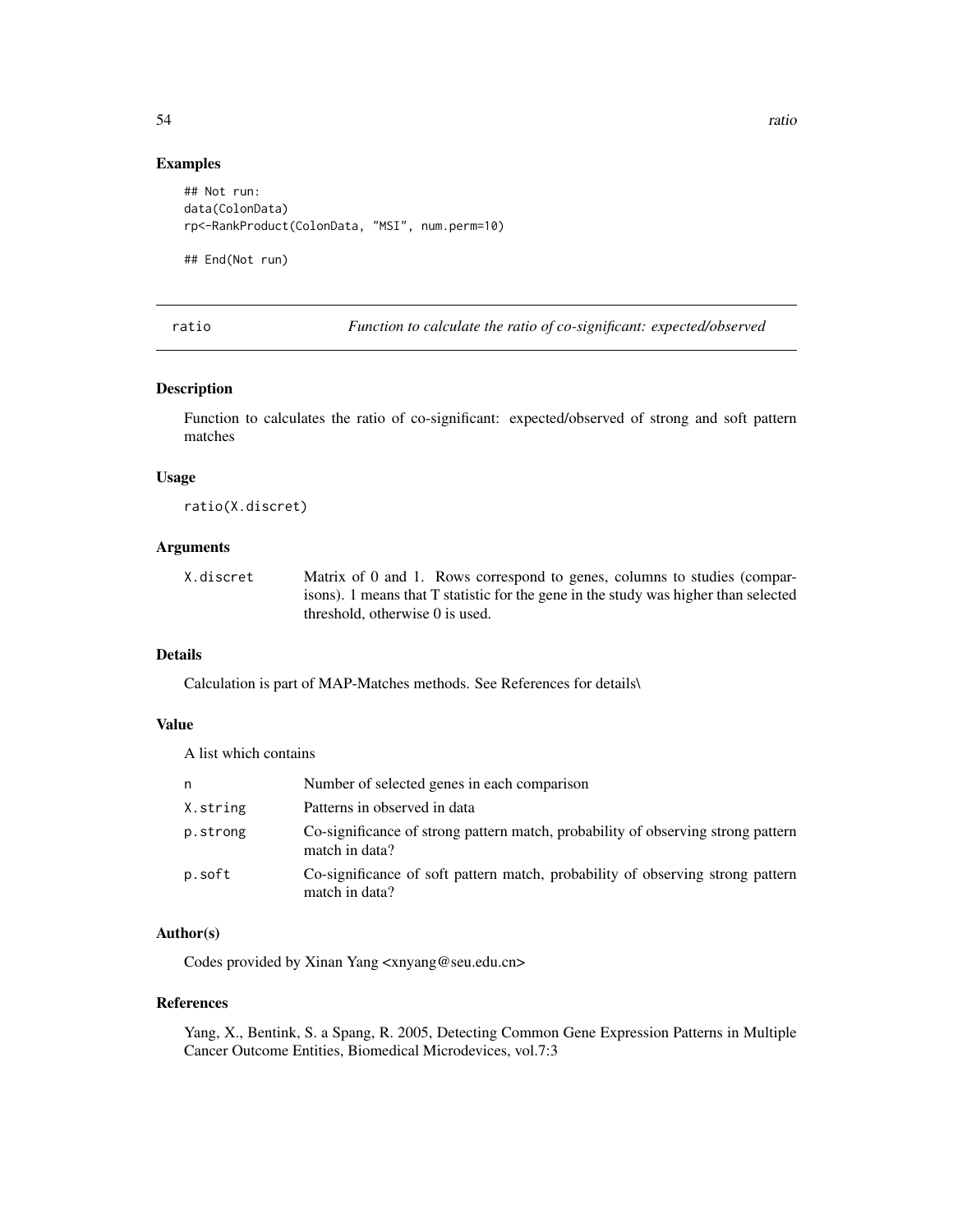#### Examples

```
## Not run:
data(ColonData)
rp<-RankProduct(ColonData, "MSI", num.perm=10)
```
## End(Not run)

ratio *Function to calculate the ratio of co-significant: expected/observed*

#### Description

Function to calculates the ratio of co-significant: expected/observed of strong and soft pattern matches

### Usage

ratio(X.discret)

### Arguments

X.discret Matrix of 0 and 1. Rows correspond to genes, columns to studies (comparisons). 1 means that T statistic for the gene in the study was higher than selected threshold, otherwise 0 is used.

### Details

Calculation is part of MAP-Matches methods. See References for details\

### Value

A list which contains

| n        | Number of selected genes in each comparison                                                        |
|----------|----------------------------------------------------------------------------------------------------|
| X.string | Patterns in observed in data                                                                       |
| p.strong | Co-significance of strong pattern match, probability of observing strong pattern<br>match in data? |
| p.soft   | Co-significance of soft pattern match, probability of observing strong pattern<br>match in data?   |

### Author(s)

Codes provided by Xinan Yang <xnyang@seu.edu.cn>

#### References

Yang, X., Bentink, S. a Spang, R. 2005, Detecting Common Gene Expression Patterns in Multiple Cancer Outcome Entities, Biomedical Microdevices, vol.7:3

<span id="page-53-0"></span>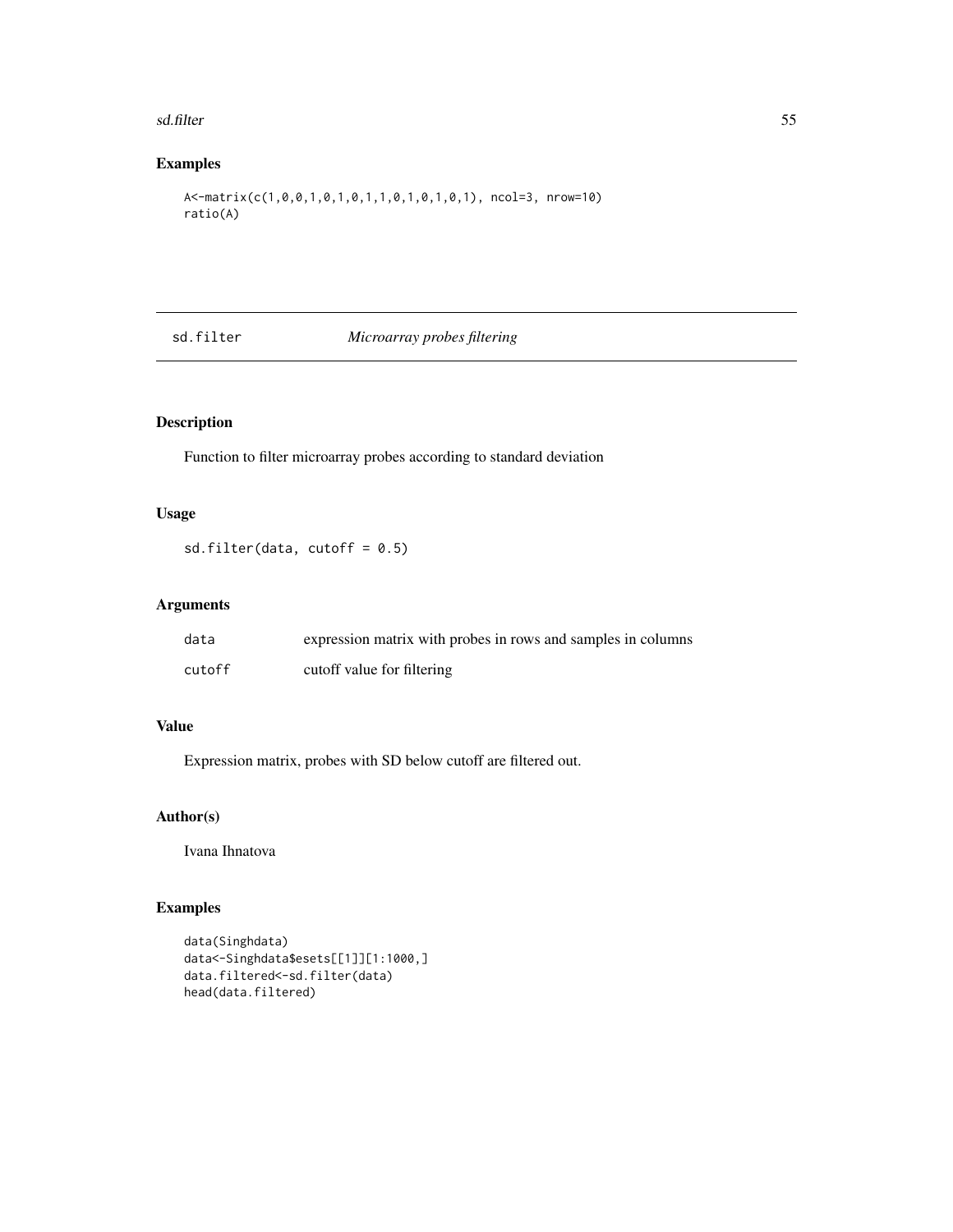#### <span id="page-54-0"></span>sd.filter 55

### Examples

```
A<-matrix(c(1,0,0,1,0,1,0,1,1,0,1,0,1,0,1), ncol=3, nrow=10)
ratio(A)
```
sd.filter *Microarray probes filtering*

### Description

Function to filter microarray probes according to standard deviation

### Usage

sd.filter(data, cutoff =  $0.5$ )

### Arguments

| data   | expression matrix with probes in rows and samples in columns |
|--------|--------------------------------------------------------------|
| cutoff | cutoff value for filtering                                   |

### Value

Expression matrix, probes with SD below cutoff are filtered out.

### Author(s)

Ivana Ihnatova

```
data(Singhdata)
data<-Singhdata$esets[[1]][1:1000,]
data.filtered<-sd.filter(data)
head(data.filtered)
```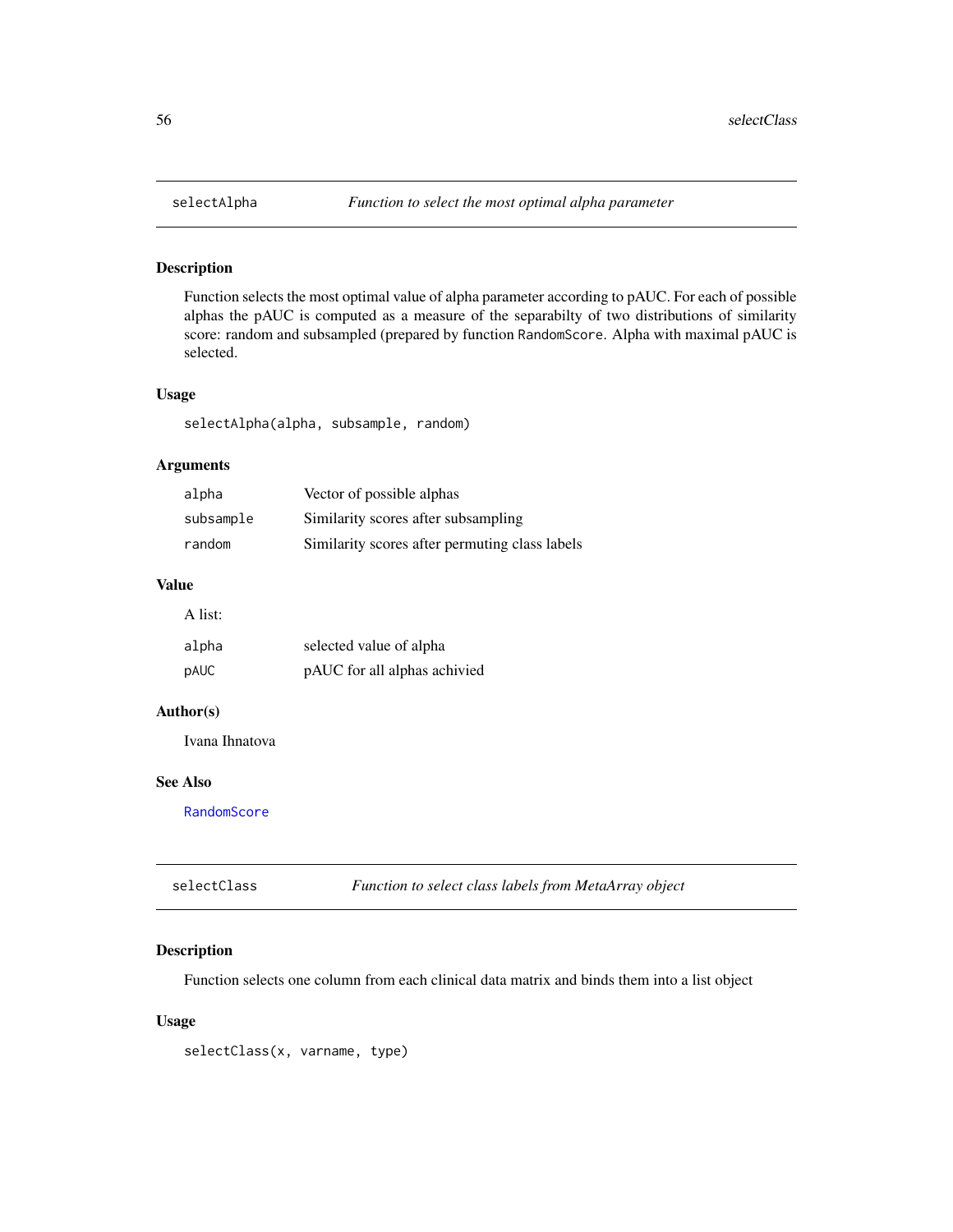Function selects the most optimal value of alpha parameter according to pAUC. For each of possible alphas the pAUC is computed as a measure of the separabilty of two distributions of similarity score: random and subsampled (prepared by function RandomScore. Alpha with maximal pAUC is selected.

### Usage

selectAlpha(alpha, subsample, random)

### Arguments

| alpha     | Vector of possible alphas                      |
|-----------|------------------------------------------------|
| subsample | Similarity scores after subsampling            |
| random    | Similarity scores after permuting class labels |

### Value

| ۰<br>۹<br>I |
|-------------|

| alpha | selected value of alpha      |
|-------|------------------------------|
| pAUC. | pAUC for all alphas achivied |

### Author(s)

Ivana Ihnatova

### See Also

[RandomScore](#page-49-1)

| selectClass | Function to select class labels from MetaArray object |
|-------------|-------------------------------------------------------|
|-------------|-------------------------------------------------------|

### Description

Function selects one column from each clinical data matrix and binds them into a list object

#### Usage

selectClass(x, varname, type)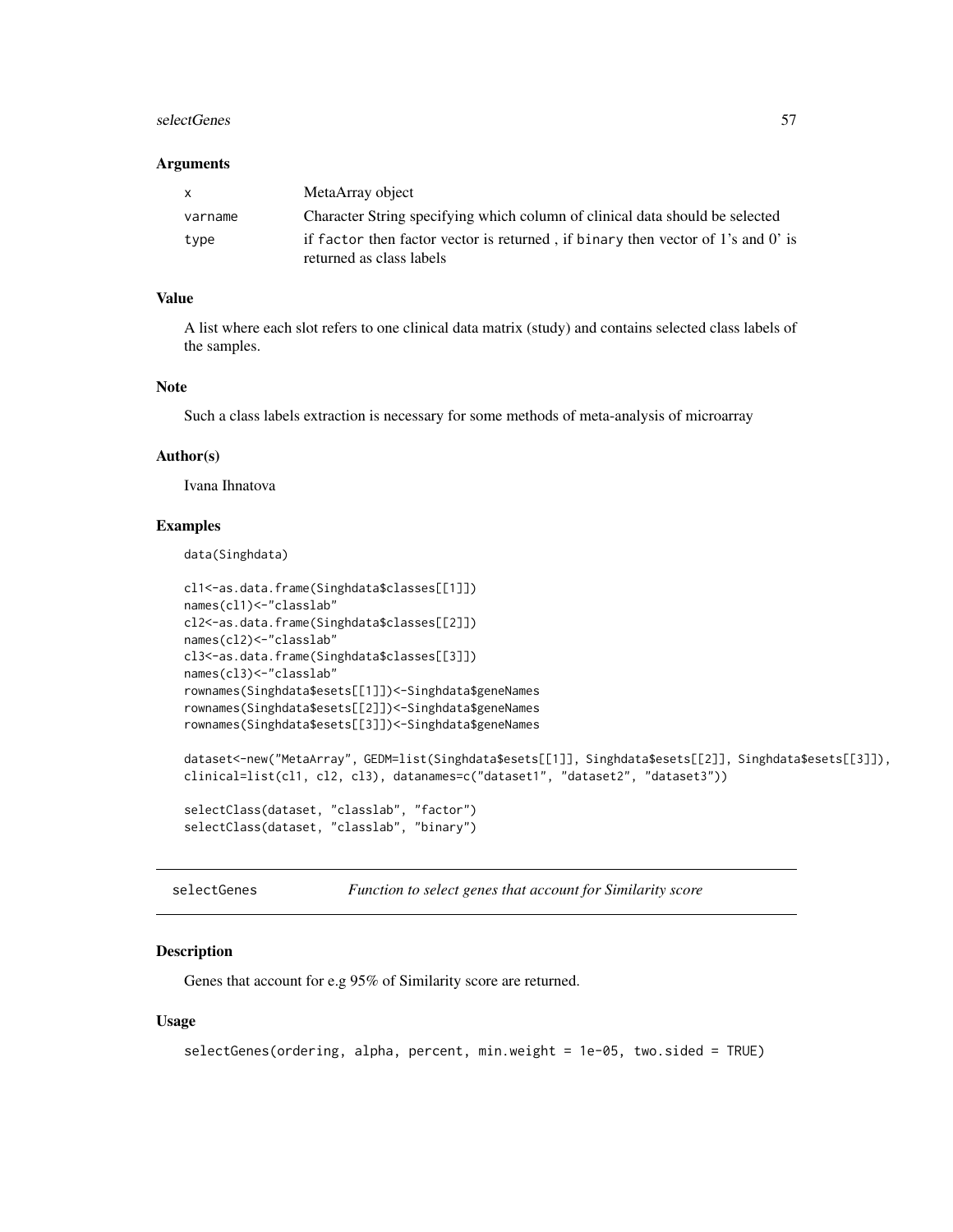#### <span id="page-56-0"></span>selectGenes 57

#### **Arguments**

| X       | MetaArray object                                                                 |
|---------|----------------------------------------------------------------------------------|
| varname | Character String specifying which column of clinical data should be selected     |
| type    | if factor then factor vector is returned, if binary then vector of 1's and 0' is |
|         | returned as class labels                                                         |

### Value

A list where each slot refers to one clinical data matrix (study) and contains selected class labels of the samples.

### Note

Such a class labels extraction is necessary for some methods of meta-analysis of microarray

#### Author(s)

Ivana Ihnatova

#### Examples

data(Singhdata)

```
cl1<-as.data.frame(Singhdata$classes[[1]])
names(cl1)<-"classlab"
cl2<-as.data.frame(Singhdata$classes[[2]])
names(cl2)<-"classlab"
cl3<-as.data.frame(Singhdata$classes[[3]])
names(cl3)<-"classlab"
rownames(Singhdata$esets[[1]])<-Singhdata$geneNames
rownames(Singhdata$esets[[2]])<-Singhdata$geneNames
rownames(Singhdata$esets[[3]])<-Singhdata$geneNames
dataset<-new("MetaArray", GEDM=list(Singhdata$esets[[1]], Singhdata$esets[[2]], Singhdata$esets[[3]]),
clinical=list(cl1, cl2, cl3), datanames=c("dataset1", "dataset2", "dataset3"))
selectClass(dataset, "classlab", "factor")
```
selectClass(dataset, "classlab", "binary")

selectGenes *Function to select genes that account for Similarity score*

#### Description

Genes that account for e.g 95% of Similarity score are returned.

#### Usage

```
selectGenes(ordering, alpha, percent, min.weight = 1e-05, two.sided = TRUE)
```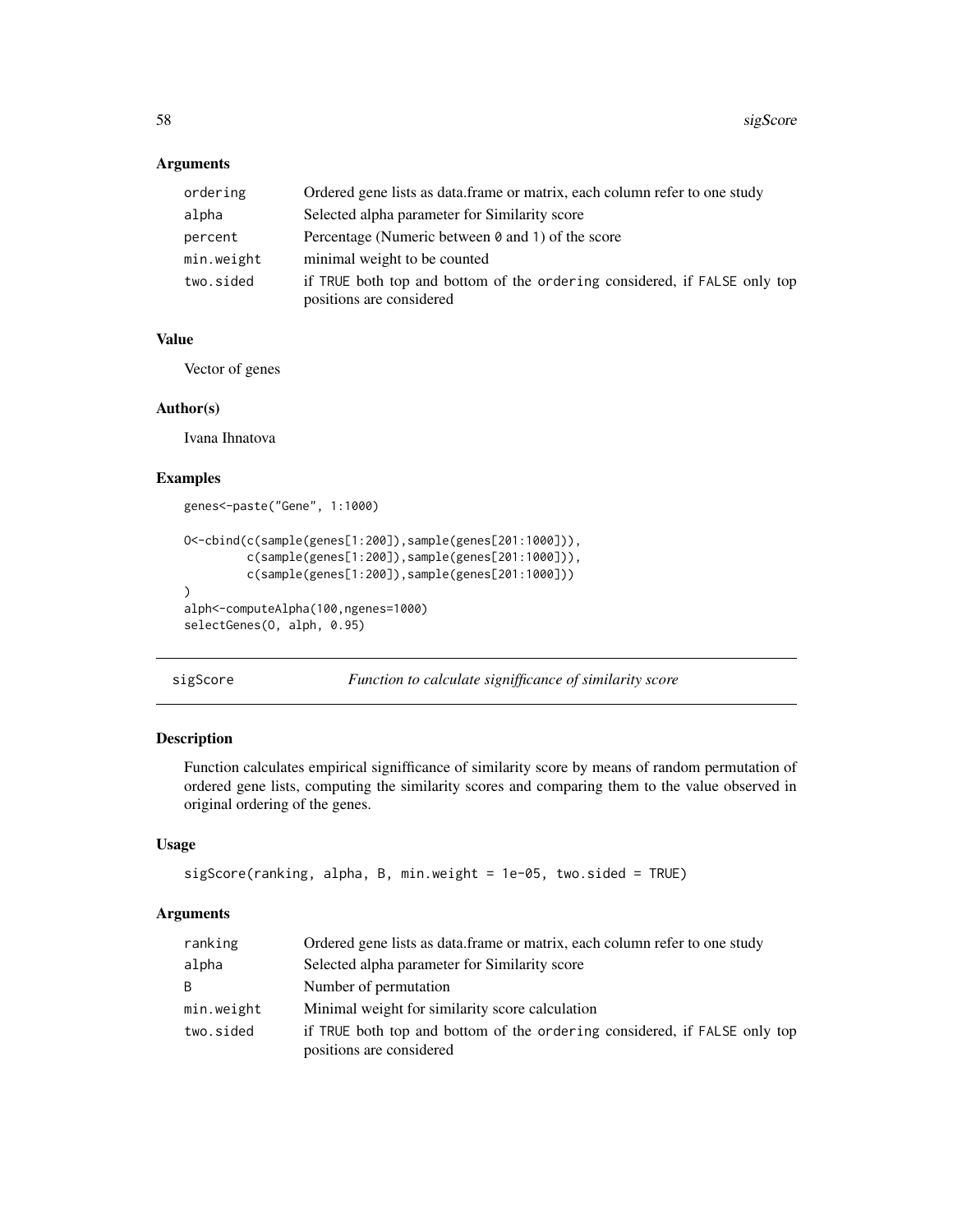<span id="page-57-0"></span>

| ordering   | Ordered gene lists as data.frame or matrix, each column refer to one study                            |
|------------|-------------------------------------------------------------------------------------------------------|
| alpha      | Selected alpha parameter for Similarity score                                                         |
| percent    | Percentage (Numeric between 0 and 1) of the score                                                     |
| min.weight | minimal weight to be counted                                                                          |
| two.sided  | if TRUE both top and bottom of the ordering considered, if FALSE only top<br>positions are considered |

### Value

Vector of genes

#### Author(s)

Ivana Ihnatova

### Examples

```
genes<-paste("Gene", 1:1000)
O<-cbind(c(sample(genes[1:200]),sample(genes[201:1000])),
         c(sample(genes[1:200]),sample(genes[201:1000])),
         c(sample(genes[1:200]),sample(genes[201:1000]))
)
alph<-computeAlpha(100,ngenes=1000)
selectGenes(O, alph, 0.95)
```

```
sigScore Function to calculate signifficance of similarity score
```
### Description

Function calculates empirical signifficance of similarity score by means of random permutation of ordered gene lists, computing the similarity scores and comparing them to the value observed in original ordering of the genes.

#### Usage

```
sigScore(ranking, alpha, B, min.weight = 1e-05, two.sided = TRUE)
```
### Arguments

| ranking      | Ordered gene lists as data.frame or matrix, each column refer to one study                            |
|--------------|-------------------------------------------------------------------------------------------------------|
| alpha        | Selected alpha parameter for Similarity score                                                         |
| <sub>R</sub> | Number of permutation                                                                                 |
| min.weight   | Minimal weight for similarity score calculation                                                       |
| two.sided    | if TRUE both top and bottom of the ordering considered, if FALSE only top<br>positions are considered |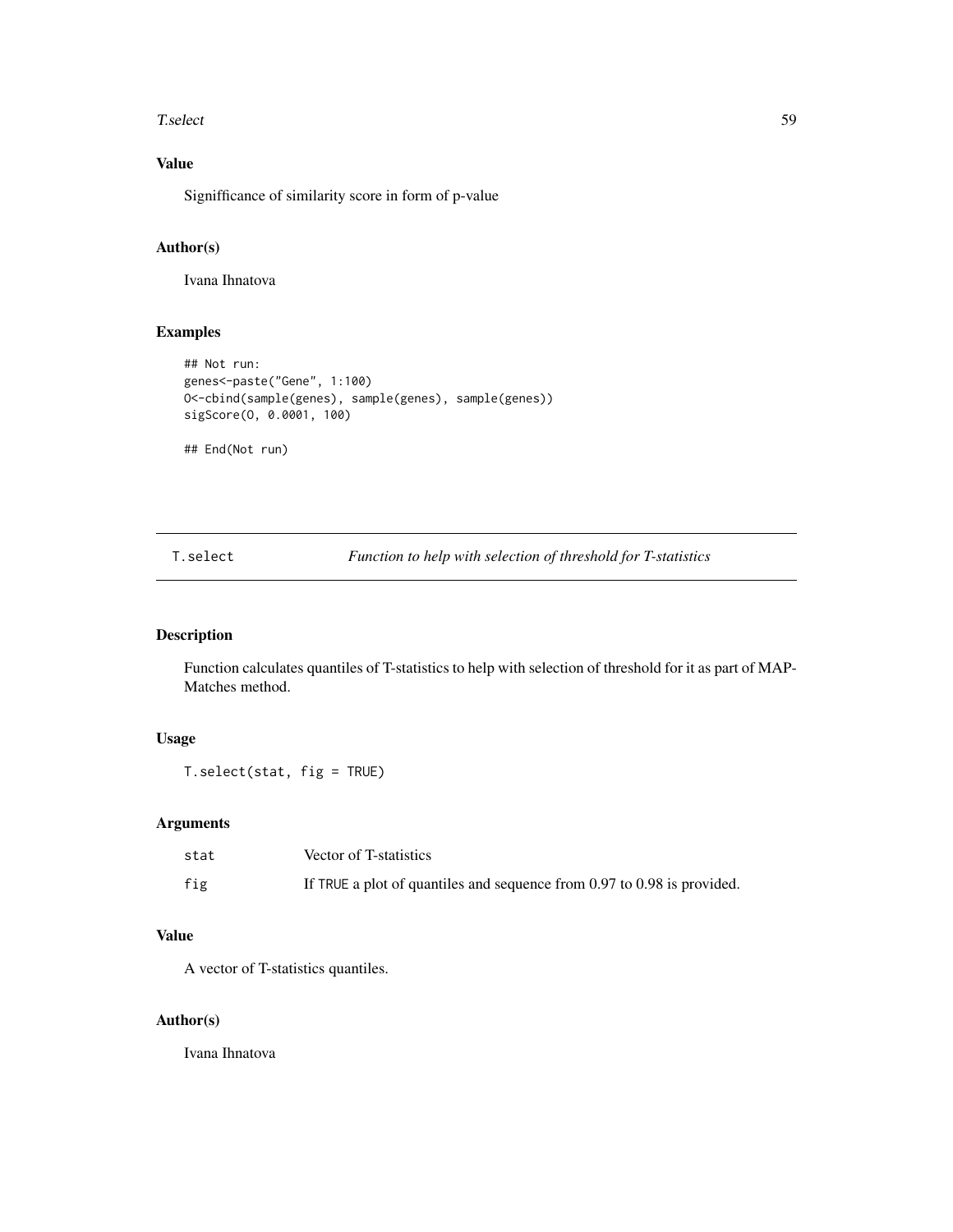#### <span id="page-58-0"></span>T.select 59

### Value

Signifficance of similarity score in form of p-value

### Author(s)

Ivana Ihnatova

### Examples

```
## Not run:
genes<-paste("Gene", 1:100)
O<-cbind(sample(genes), sample(genes), sample(genes))
sigScore(O, 0.0001, 100)
```
## End(Not run)

T.select *Function to help with selection of threshold for T-statistics*

### Description

Function calculates quantiles of T-statistics to help with selection of threshold for it as part of MAP-Matches method.

### Usage

```
T.select(stat, fig = TRUE)
```
### Arguments

| stat | Vector of T-statistics                                                      |
|------|-----------------------------------------------------------------------------|
| fig  | If TRUE a plot of quantiles and sequence from $0.97$ to $0.98$ is provided. |

### Value

A vector of T-statistics quantiles.

#### Author(s)

Ivana Ihnatova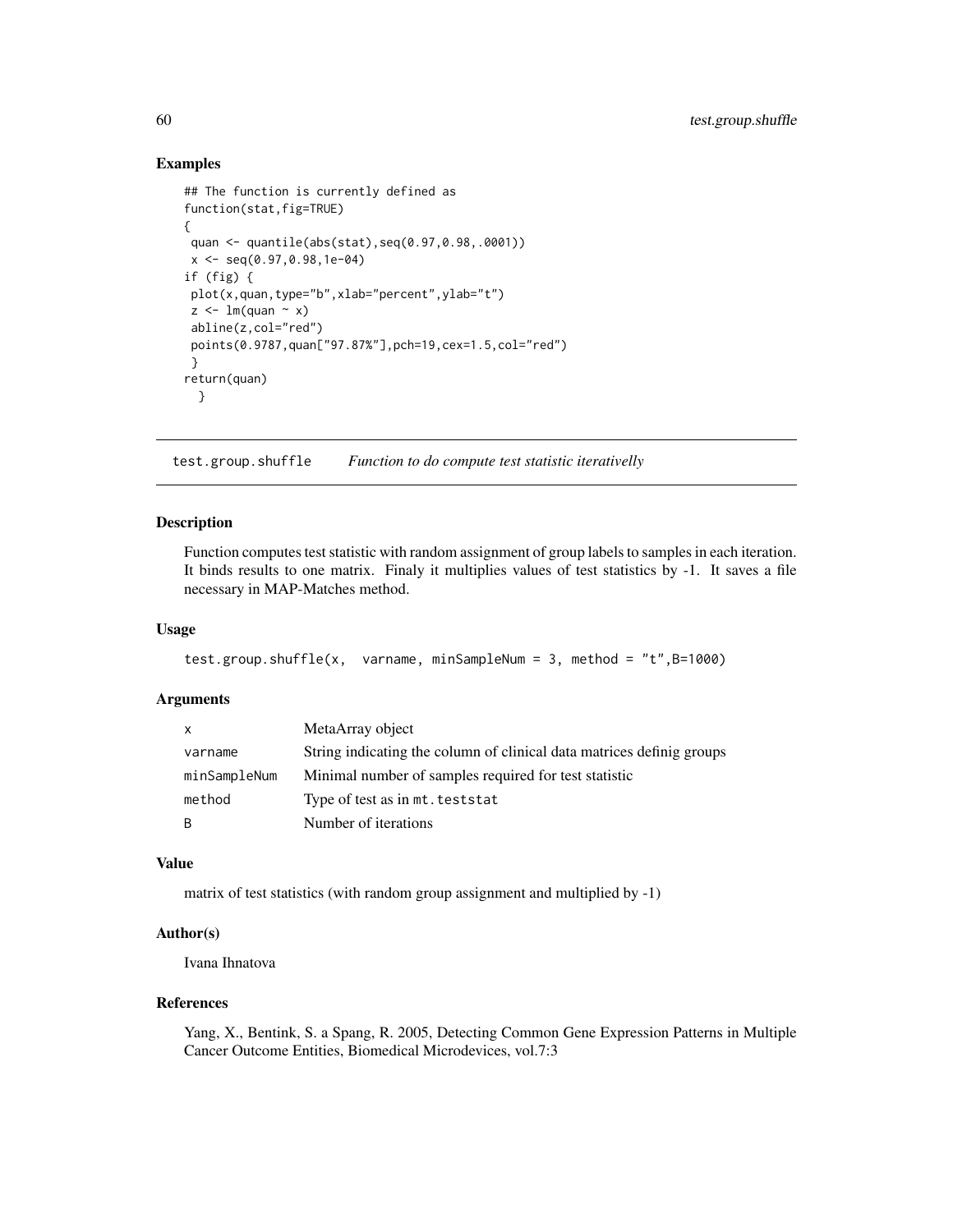#### Examples

```
## The function is currently defined as
function(stat,fig=TRUE)
{
quan <- quantile(abs(stat),seq(0.97,0.98,.0001))
x \leq -\text{seq}(0.97, 0.98, 1e-04)if (fig) {
plot(x,quan,type="b",xlab="percent",ylab="t")
z \leq \text{Im}(quan \sim x)abline(z,col="red")
points(0.9787,quan["97.87%"],pch=19,cex=1.5,col="red")
}
return(quan)
  }
```
test.group.shuffle *Function to do compute test statistic iterativelly*

### Description

Function computes test statistic with random assignment of group labels to samples in each iteration. It binds results to one matrix. Finaly it multiplies values of test statistics by -1. It saves a file necessary in MAP-Matches method.

#### Usage

```
test.group.shuffle(x, varname, minSampleNum = 3, method = "t",B=1000)
```
### Arguments

| x.           | MetaArray object                                                      |
|--------------|-----------------------------------------------------------------------|
| varname      | String indicating the column of clinical data matrices definig groups |
| minSampleNum | Minimal number of samples required for test statistic                 |
| method       | Type of test as in mt. teststat                                       |
| B            | Number of iterations                                                  |

### Value

matrix of test statistics (with random group assignment and multiplied by -1)

### Author(s)

Ivana Ihnatova

### References

Yang, X., Bentink, S. a Spang, R. 2005, Detecting Common Gene Expression Patterns in Multiple Cancer Outcome Entities, Biomedical Microdevices, vol.7:3

<span id="page-59-0"></span>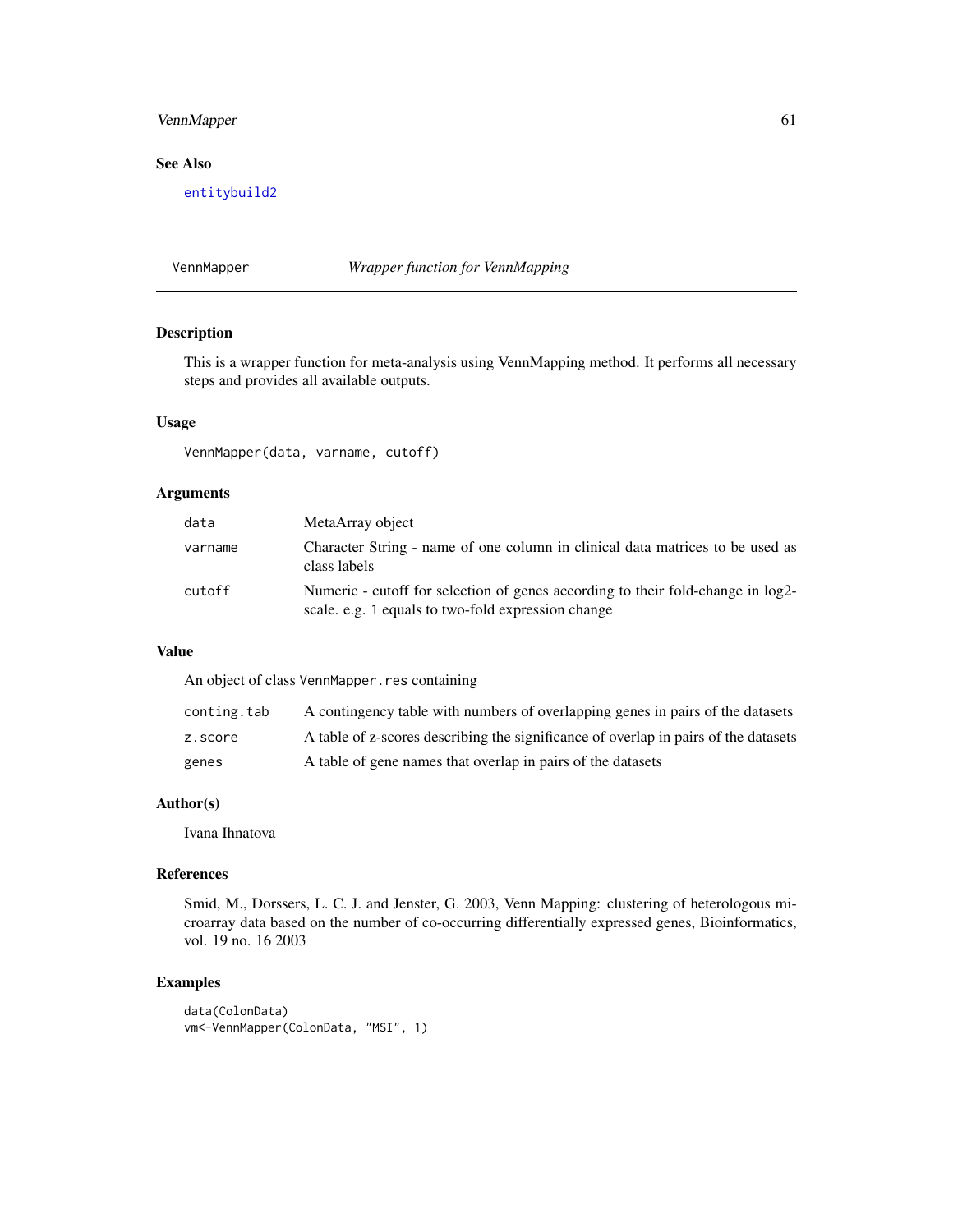### <span id="page-60-0"></span>VennMapper 61

### See Also

[entitybuild2](#page-10-1)

#### VennMapper *Wrapper function for VennMapping*

### Description

This is a wrapper function for meta-analysis using VennMapping method. It performs all necessary steps and provides all available outputs.

#### Usage

VennMapper(data, varname, cutoff)

#### Arguments

| data    | MetaArray object                                                                                                                      |
|---------|---------------------------------------------------------------------------------------------------------------------------------------|
| varname | Character String - name of one column in clinical data matrices to be used as<br>class labels                                         |
| cutoff  | Numeric - cutoff for selection of genes according to their fold-change in log2-<br>scale, e.g. 1 equals to two-fold expression change |

### Value

An object of class VennMapper.res containing

| conting.tab | A contingency table with numbers of overlapping genes in pairs of the datasets      |
|-------------|-------------------------------------------------------------------------------------|
| z.score     | A table of z-scores describing the significance of overlap in pairs of the datasets |
| genes       | A table of gene names that overlap in pairs of the datasets                         |

#### Author(s)

Ivana Ihnatova

#### References

Smid, M., Dorssers, L. C. J. and Jenster, G. 2003, Venn Mapping: clustering of heterologous microarray data based on the number of co-occurring differentially expressed genes, Bioinformatics, vol. 19 no. 16 2003

```
data(ColonData)
vm<-VennMapper(ColonData, "MSI", 1)
```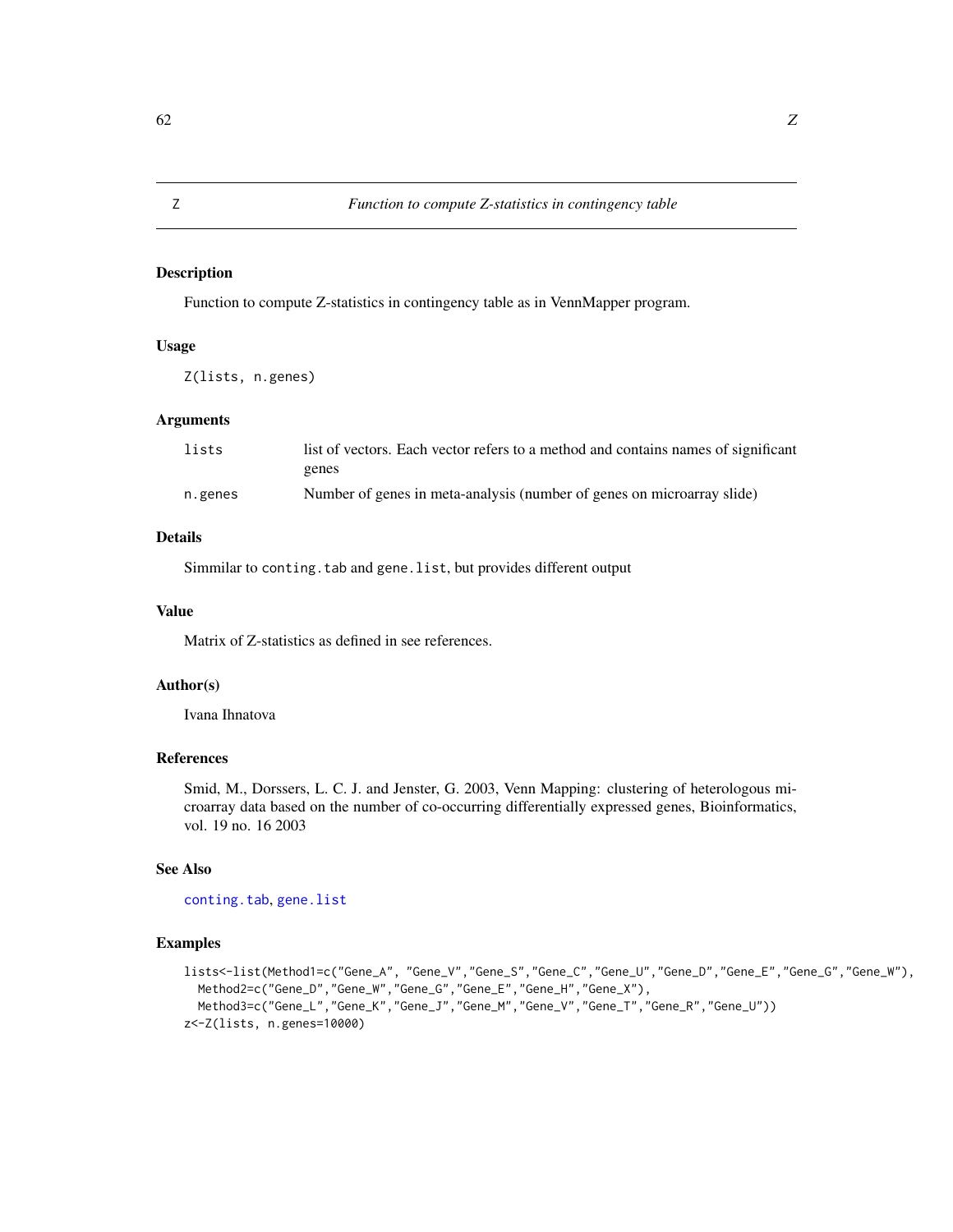Function to compute Z-statistics in contingency table as in VennMapper program.

#### Usage

Z(lists, n.genes)

### Arguments

| lists   | list of vectors. Each vector refers to a method and contains names of significant |
|---------|-----------------------------------------------------------------------------------|
|         | genes                                                                             |
| n.genes | Number of genes in meta-analysis (number of genes on microarray slide)            |

### Details

Simmilar to conting.tab and gene.list, but provides different output

#### Value

Matrix of Z-statistics as defined in see references.

### Author(s)

Ivana Ihnatova

#### References

Smid, M., Dorssers, L. C. J. and Jenster, G. 2003, Venn Mapping: clustering of heterologous microarray data based on the number of co-occurring differentially expressed genes, Bioinformatics, vol. 19 no. 16 2003

#### See Also

[conting.tab](#page-9-1), [gene.list](#page-14-1)

```
lists<-list(Method1=c("Gene_A", "Gene_V","Gene_S","Gene_C","Gene_U","Gene_D","Gene_E","Gene_G","Gene_W"),
  Method2=c("Gene_D","Gene_W","Gene_G","Gene_E","Gene_H","Gene_X"),
  Method3=c("Gene_L","Gene_K","Gene_J","Gene_M","Gene_V","Gene_T","Gene_R","Gene_U"))
z<-Z(lists, n.genes=10000)
```
<span id="page-61-1"></span><span id="page-61-0"></span>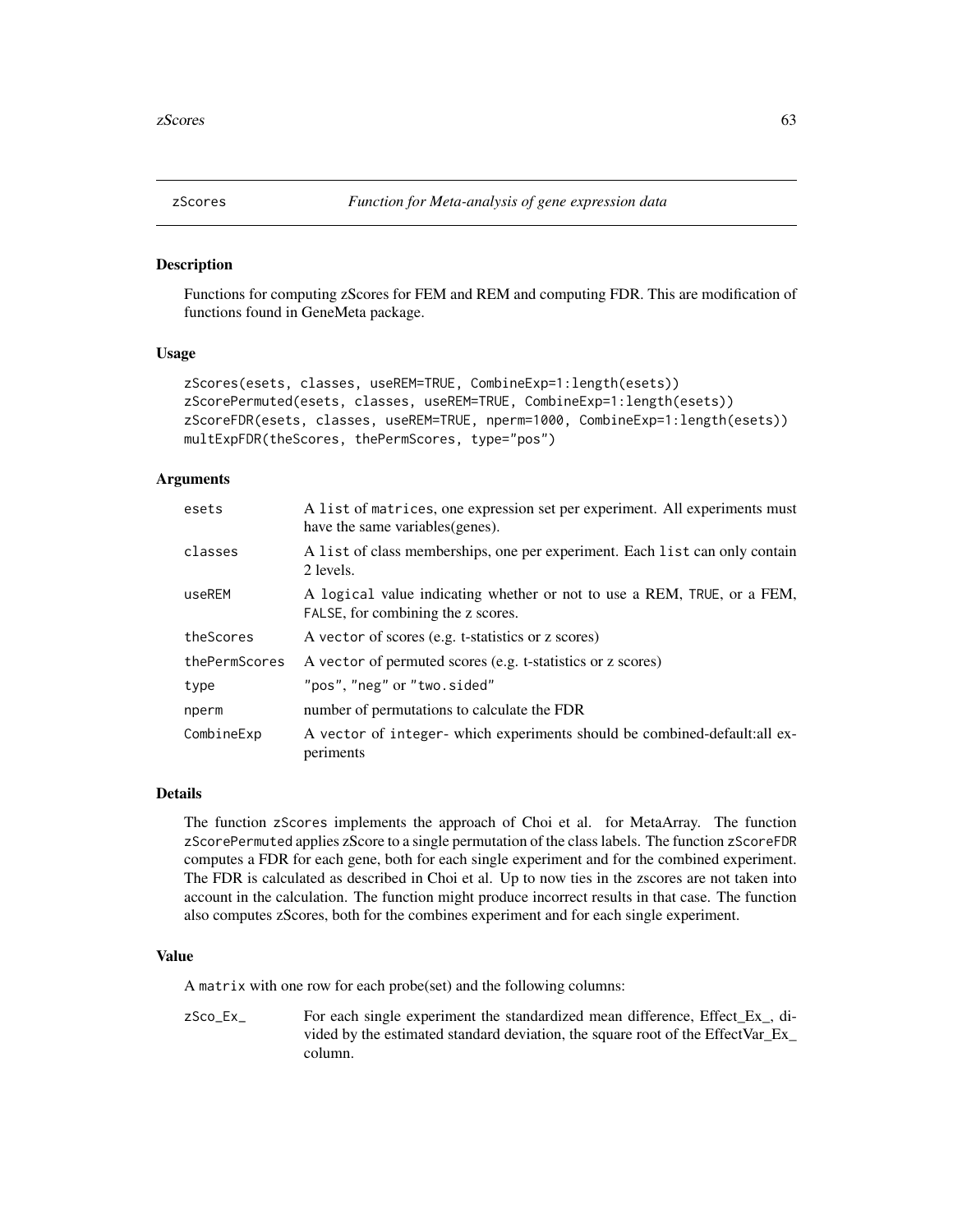<span id="page-62-2"></span><span id="page-62-1"></span><span id="page-62-0"></span>

Functions for computing zScores for FEM and REM and computing FDR. This are modification of functions found in GeneMeta package.

#### Usage

```
zScores(esets, classes, useREM=TRUE, CombineExp=1:length(esets))
zScorePermuted(esets, classes, useREM=TRUE, CombineExp=1:length(esets))
zScoreFDR(esets, classes, useREM=TRUE, nperm=1000, CombineExp=1:length(esets))
multExpFDR(theScores, thePermScores, type="pos")
```
#### Arguments

| esets         | A list of matrices, one expression set per experiment. All experiments must<br>have the same variables (genes). |
|---------------|-----------------------------------------------------------------------------------------------------------------|
| classes       | A list of class memberships, one per experiment. Each list can only contain<br>2 levels.                        |
| useREM        | A logical value indicating whether or not to use a REM, TRUE, or a FEM,<br>FALSE, for combining the z scores.   |
| theScores     | A vector of scores (e.g. t-statistics or z scores)                                                              |
| thePermScores | A vector of permuted scores (e.g. t-statistics or z scores)                                                     |
| type          | "pos", "neg" or "two.sided"                                                                                     |
| nperm         | number of permutations to calculate the FDR                                                                     |
| CombineExp    | A vector of integer- which experiments should be combined-default:all ex-<br>periments                          |

#### Details

The function zScores implements the approach of Choi et al. for MetaArray. The function zScorePermuted applies zScore to a single permutation of the class labels. The function zScoreFDR computes a FDR for each gene, both for each single experiment and for the combined experiment. The FDR is calculated as described in Choi et al. Up to now ties in the zscores are not taken into account in the calculation. The function might produce incorrect results in that case. The function also computes zScores, both for the combines experiment and for each single experiment.

#### Value

A matrix with one row for each probe(set) and the following columns:

zSco\_Ex\_ For each single experiment the standardized mean difference, Effect\_Ex\_, divided by the estimated standard deviation, the square root of the EffectVar\_Ex\_ column.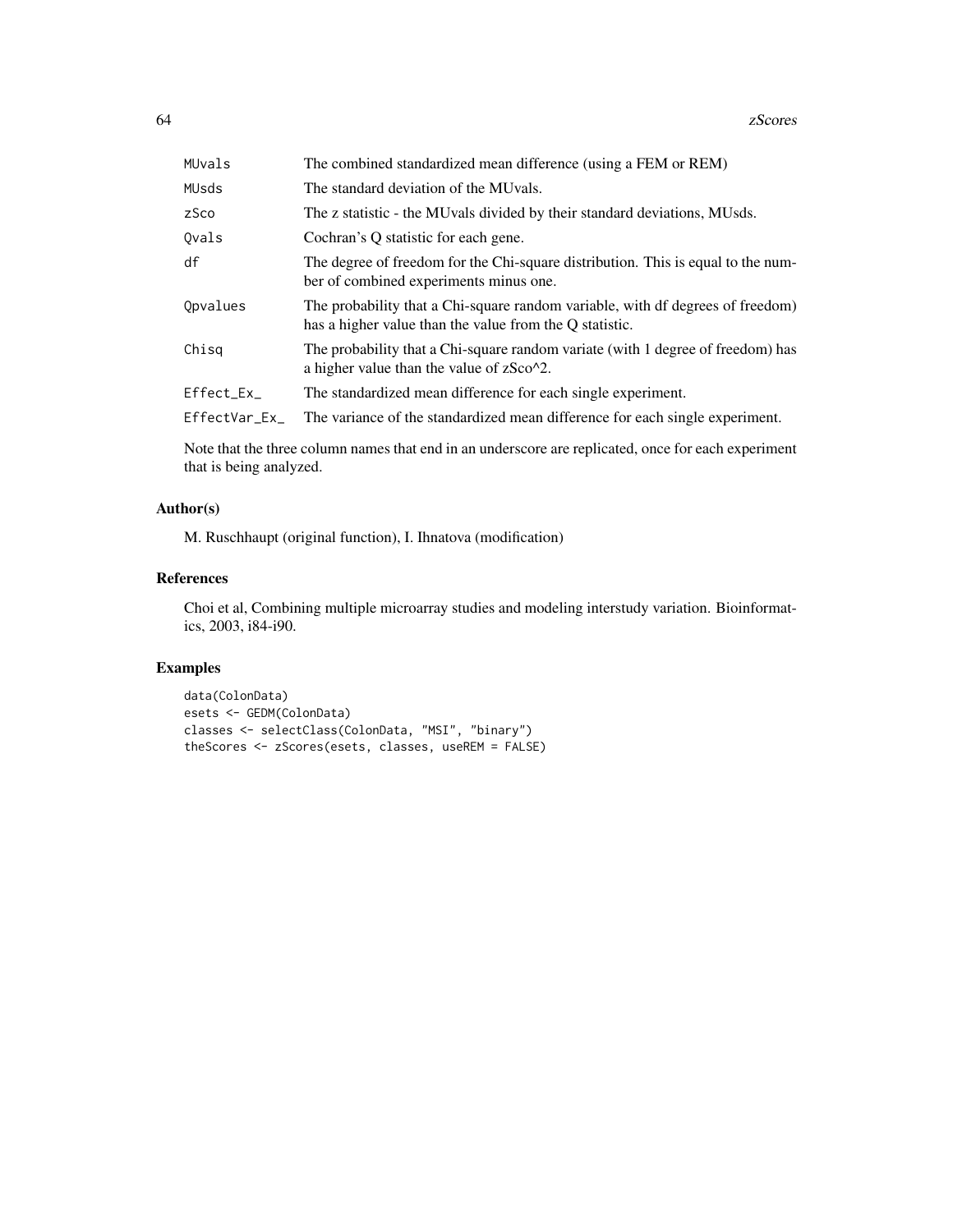| MUvals        | The combined standardized mean difference (using a FEM or REM)                                                                            |
|---------------|-------------------------------------------------------------------------------------------------------------------------------------------|
| MUsds         | The standard deviation of the MUvals.                                                                                                     |
| zSco          | The z statistic - the MU vals divided by their standard deviations, MUsds.                                                                |
| Ovals         | Cochran's Q statistic for each gene.                                                                                                      |
| df            | The degree of freedom for the Chi-square distribution. This is equal to the num-<br>ber of combined experiments minus one.                |
| Opvalues      | The probability that a Chi-square random variable, with df degrees of freedom)<br>has a higher value than the value from the Q statistic. |
| Chisa         | The probability that a Chi-square random variate (with 1 degree of freedom) has<br>a higher value than the value of zSco <sup>^2</sup> .  |
| Effect_Ex_    | The standardized mean difference for each single experiment.                                                                              |
| EffectVar_Ex_ | The variance of the standardized mean difference for each single experiment.                                                              |

Note that the three column names that end in an underscore are replicated, once for each experiment that is being analyzed.

### Author(s)

M. Ruschhaupt (original function), I. Ihnatova (modification)

#### References

Choi et al, Combining multiple microarray studies and modeling interstudy variation. Bioinformatics, 2003, i84-i90.

```
data(ColonData)
esets <- GEDM(ColonData)
classes <- selectClass(ColonData, "MSI", "binary")
theScores <- zScores(esets, classes, useREM = FALSE)
```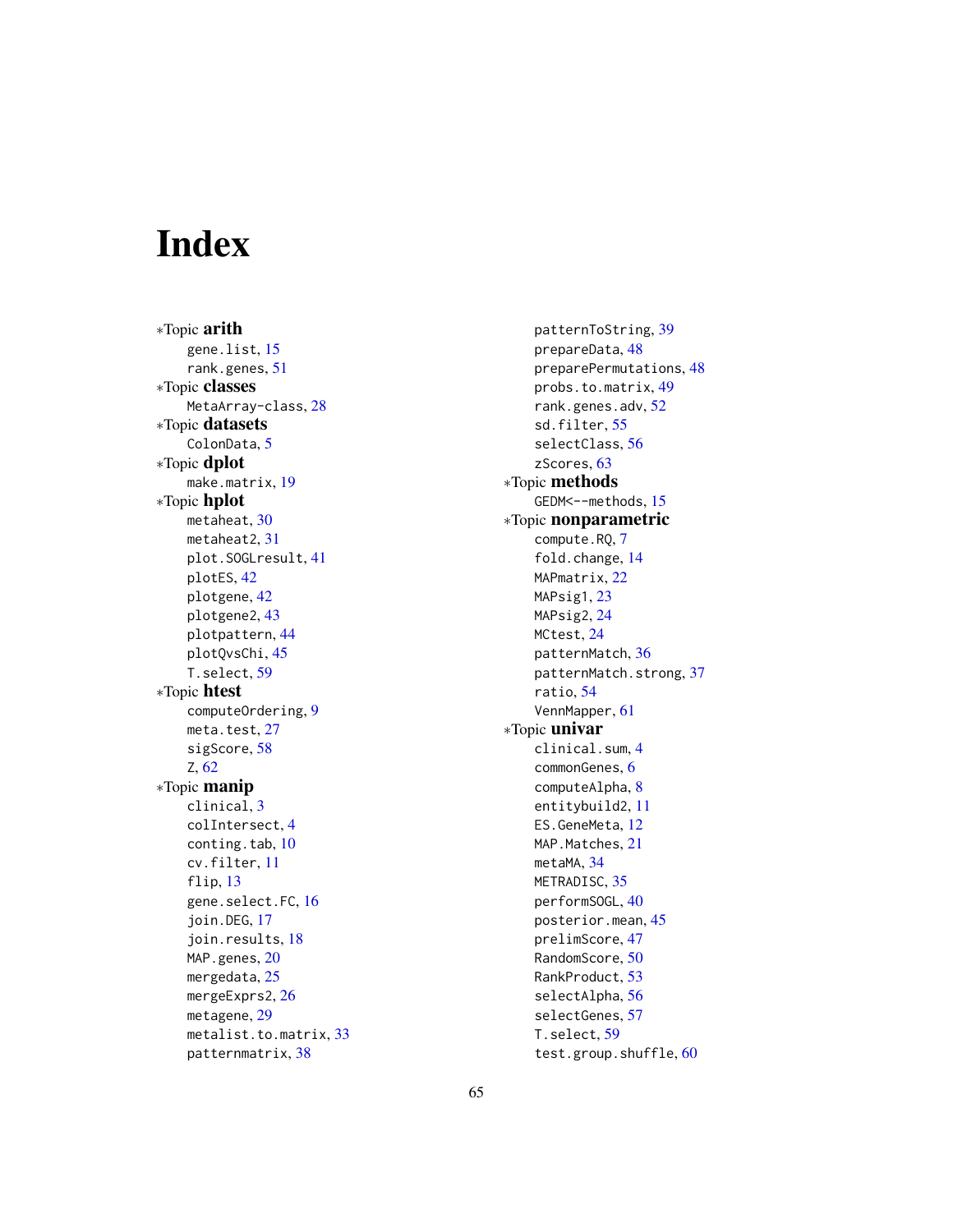# <span id="page-64-0"></span>**Index**

∗Topic arith gene.list, [15](#page-14-0) rank.genes, [51](#page-50-0) ∗Topic classes MetaArray-class, [28](#page-27-0) ∗Topic datasets ColonData, [5](#page-4-0) ∗Topic dplot make.matrix, [19](#page-18-0) ∗Topic hplot metaheat, [30](#page-29-0) metaheat2, [31](#page-30-0) plot.SOGLresult, [41](#page-40-0) plotES, [42](#page-41-0) plotgene, [42](#page-41-0) plotgene2, [43](#page-42-0) plotpattern, [44](#page-43-0) plotQvsChi, [45](#page-44-0) T.select, [59](#page-58-0) ∗Topic htest computeOrdering, [9](#page-8-0) meta.test, [27](#page-26-0) sigScore, [58](#page-57-0) Z, [62](#page-61-0) ∗Topic manip clinical, [3](#page-2-0) colIntersect, [4](#page-3-0) conting.tab, [10](#page-9-0) cv.filter, [11](#page-10-0) flip, [13](#page-12-0) gene.select.FC, [16](#page-15-0) join.DEG, [17](#page-16-0) join.results, [18](#page-17-0) MAP.genes, [20](#page-19-0) mergedata, [25](#page-24-0) mergeExprs2, [26](#page-25-0) metagene, [29](#page-28-0) metalist.to.matrix, [33](#page-32-0) patternmatrix, [38](#page-37-0)

patternToString, [39](#page-38-0) prepareData, [48](#page-47-0) preparePermutations, [48](#page-47-0) probs.to.matrix, [49](#page-48-0) rank.genes.adv, [52](#page-51-0) sd.filter, [55](#page-54-0) selectClass, [56](#page-55-0) zScores, [63](#page-62-0) ∗Topic methods GEDM<--methods, [15](#page-14-0) ∗Topic nonparametric compute.RQ, [7](#page-6-0) fold.change, [14](#page-13-0) MAPmatrix, [22](#page-21-0) MAPsig1, [23](#page-22-0) MAPsig2, [24](#page-23-0) MCtest, [24](#page-23-0) patternMatch, [36](#page-35-0) patternMatch.strong, [37](#page-36-0) ratio, [54](#page-53-0) VennMapper, [61](#page-60-0) ∗Topic univar clinical.sum, [4](#page-3-0) commonGenes, [6](#page-5-0) computeAlpha, [8](#page-7-0) entitybuild2, [11](#page-10-0) ES.GeneMeta, [12](#page-11-0) MAP. Matches, [21](#page-20-0) metaMA, [34](#page-33-0) METRADISC, [35](#page-34-0) performSOGL, [40](#page-39-0) posterior.mean, [45](#page-44-0) prelimScore, [47](#page-46-0) RandomScore, [50](#page-49-0) RankProduct, [53](#page-52-0) selectAlpha, [56](#page-55-0) selectGenes, [57](#page-56-0) T.select, [59](#page-58-0) test.group.shuffle, [60](#page-59-0)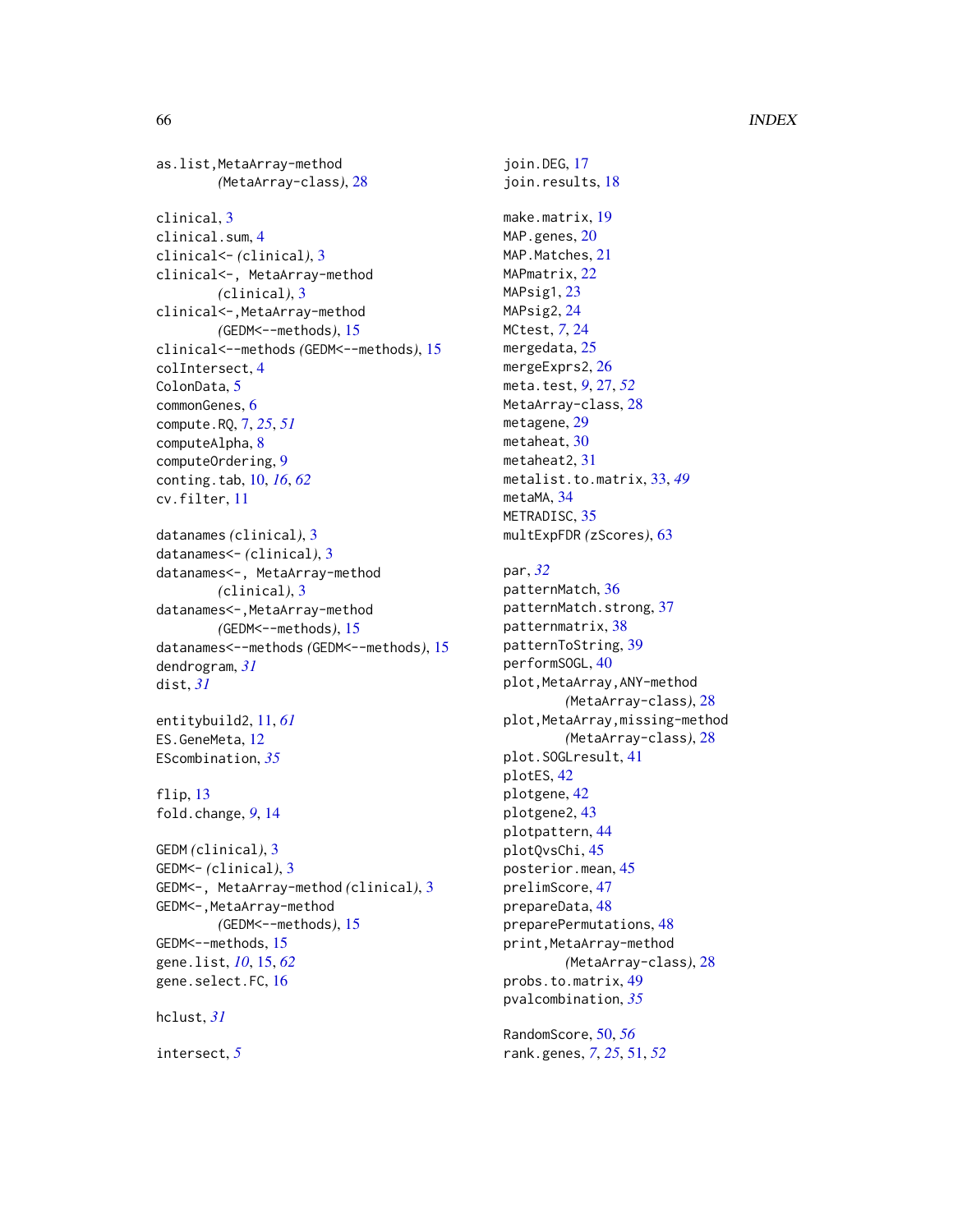```
as.list,MetaArray-method
        (MetaArray-class), 28
clinical, 3
clinical.sum, 4
clinical<- (clinical), 3
clinical<-, MetaArray-method
        (clinical), 3
clinical<-, MetaArray-method
        (GEDM<--methods), 15
clinical<--methods (GEDM<--methods), 15
colIntersect, 4
ColonData, 5
commonGenes, 6
compute.RQ, 7, 25, 51
computeAlpha, 8
computeOrdering, 9
conting.tab, 10, 16, 62
cv.filter, 11
datanames (clinical), 3
datanames<- (clinical), 3
datanames<-, MetaArray-method
        (clinical), 3
datanames<-,MetaArray-method
        (GEDM<--methods), 15
datanames<--methods (GEDM<--methods), 15
dendrogram, 31
dist, 31
entitybuild2, 11, 61
ES.GeneMeta, 12
EScombination, 35
flip, 13
fold.change, 9, 14
GEDM (clinical), 3
GEDM<- (clinical), 3
GEDM<-, MetaArray-method (clinical), 3
GEDM<-, MetaArray-method
        (GEDM<--methods), 15
GEDM<--methods, 15
gene.list, 10, 15, 62
```
hclust, *[31](#page-30-0)*

intersect, *[5](#page-4-0)*

gene.select.FC, [16](#page-15-0)

join.DEG, [17](#page-16-0) join.results, [18](#page-17-0) make.matrix, [19](#page-18-0) MAP.genes, [20](#page-19-0) MAP. Matches, [21](#page-20-0) MAPmatrix, [22](#page-21-0) MAPsig1, [23](#page-22-0) MAPsig2, [24](#page-23-0) MCtest, *[7](#page-6-0)*, [24](#page-23-0) mergedata, [25](#page-24-0) mergeExprs2, [26](#page-25-0) meta.test, *[9](#page-8-0)*, [27,](#page-26-0) *[52](#page-51-0)* MetaArray-class, [28](#page-27-0) metagene, [29](#page-28-0) metaheat, [30](#page-29-0) metaheat2, [31](#page-30-0) metalist.to.matrix, [33,](#page-32-0) *[49](#page-48-0)* metaMA, [34](#page-33-0) METRADISC, [35](#page-34-0) multExpFDR *(*zScores*)*, [63](#page-62-0) par, *[32](#page-31-0)* patternMatch, [36](#page-35-0) patternMatch.strong, [37](#page-36-0) patternmatrix, [38](#page-37-0) patternToString, [39](#page-38-0) performSOGL, [40](#page-39-0) plot,MetaArray,ANY-method *(*MetaArray-class*)*, [28](#page-27-0) plot, MetaArray, missing-method *(*MetaArray-class*)*, [28](#page-27-0) plot.SOGLresult, [41](#page-40-0) plotES, [42](#page-41-0) plotgene, [42](#page-41-0) plotgene2, [43](#page-42-0) plotpattern, [44](#page-43-0) plotQvsChi, [45](#page-44-0) posterior.mean, [45](#page-44-0) prelimScore, [47](#page-46-0) prepareData, [48](#page-47-0) preparePermutations, [48](#page-47-0) print,MetaArray-method *(*MetaArray-class*)*, [28](#page-27-0) probs.to.matrix, [49](#page-48-0) pvalcombination, *[35](#page-34-0)*

RandomScore, [50,](#page-49-0) *[56](#page-55-0)* rank.genes, *[7](#page-6-0)*, *[25](#page-24-0)*, [51,](#page-50-0) *[52](#page-51-0)*